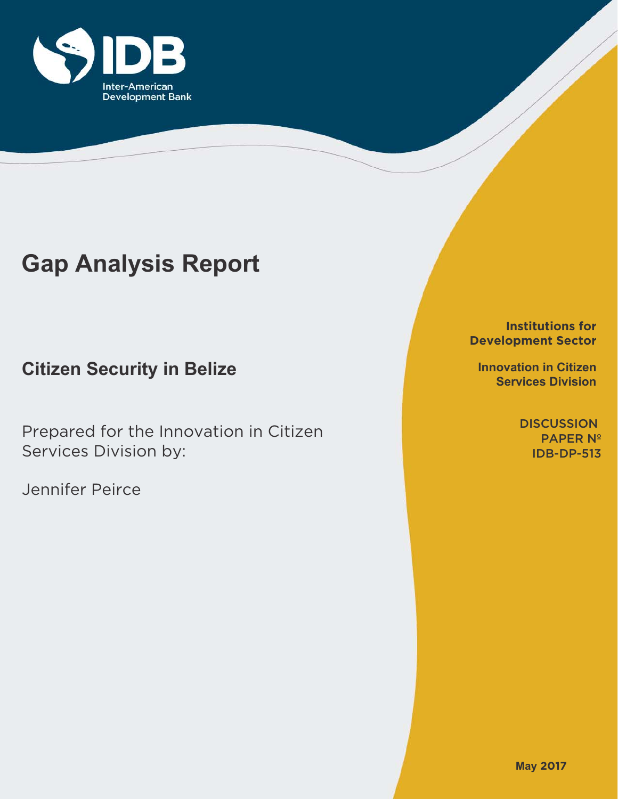

# **Gap Analysis Report**

**Citizen Security in Belize**

Prepared for the Innovation in Citizen Services Division by:

Jennifer Peirce

**Institutions for Development Sector**

**Innovation in Citizen Services Division**

> **DISCUSSION** PAPER Nº IDB-DP-513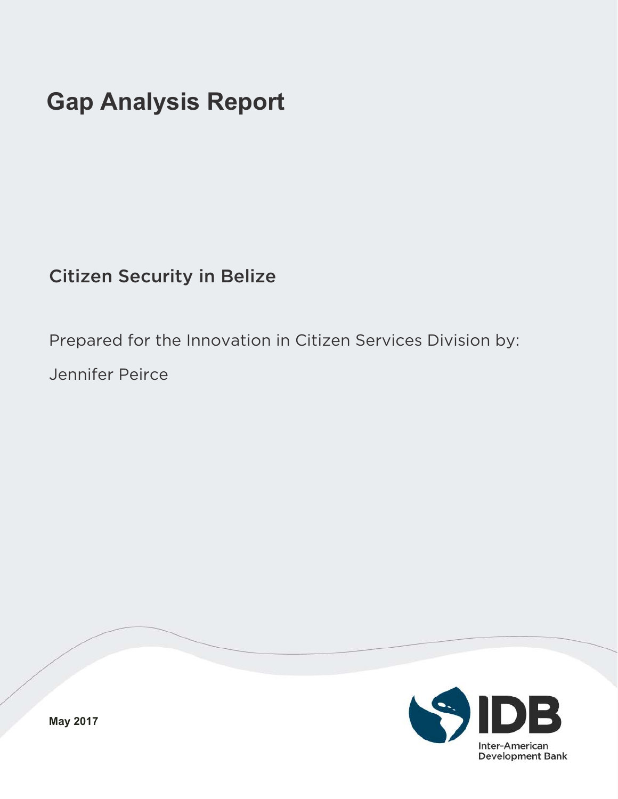# **Gap Analysis Report**

Citizen Security in Belize

Prepared for the Innovation in Citizen Services Division by:

Jennifer Peirce



**May 2017**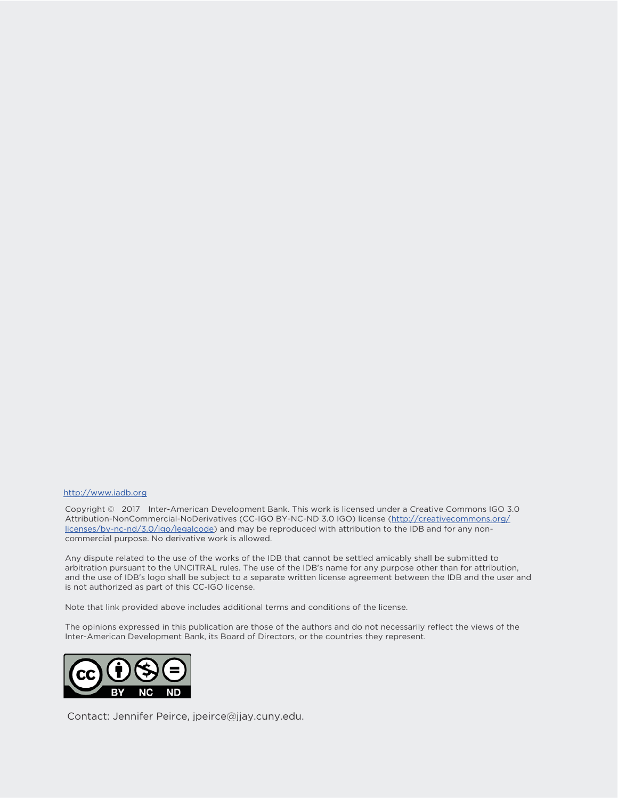#### http://www.iadb.org

Copyright © 2017 Inter-American Development Bank. This work is licensed under a Creative Commons IGO 3.0 Attribution-NonCommercial-NoDerivatives (CC-IGO BY-NC-ND 3.0 IGO) license (http://creativecommons.org/ licenses/by-nc-nd/3.0/igo/legalcode) and may be reproduced with attribution to the IDB and for any noncommercial purpose. No derivative work is allowed.

Any dispute related to the use of the works of the IDB that cannot be settled amicably shall be submitted to arbitration pursuant to the UNCITRAL rules. The use of the IDB's name for any purpose other than for attribution, and the use of IDB's logo shall be subject to a separate written license agreement between the IDB and the user and is not authorized as part of this CC-IGO license.

Note that link provided above includes additional terms and conditions of the license.

The opinions expressed in this publication are those of the authors and do not necessarily reflect the views of the Inter-American Development Bank, its Board of Directors, or the countries they represent.



Contact: Jennifer Peirce, jpeirce@jjay.cuny.edu.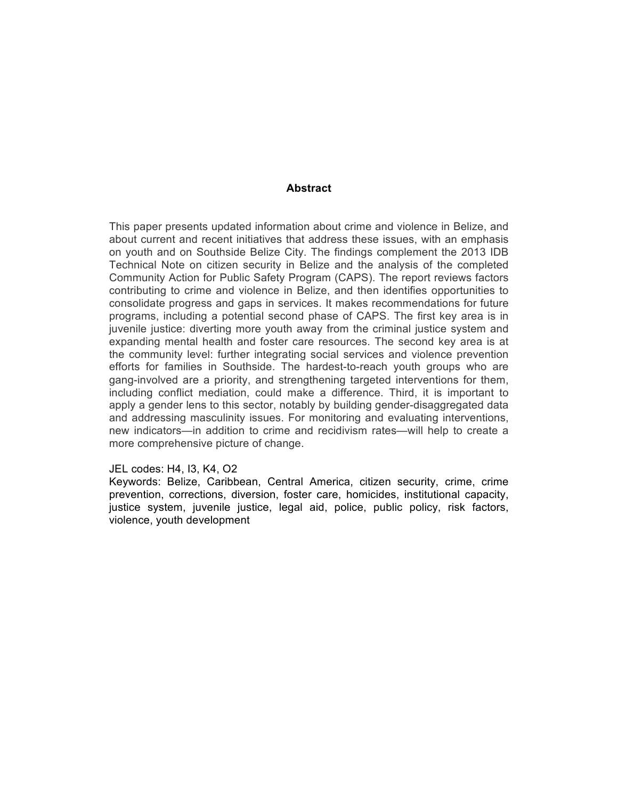#### **Abstract**

This paper presents updated information about crime and violence in Belize, and about current and recent initiatives that address these issues, with an emphasis on youth and on Southside Belize City. The findings complement the 2013 IDB Technical Note on citizen security in Belize and the analysis of the completed Community Action for Public Safety Program (CAPS). The report reviews factors contributing to crime and violence in Belize, and then identifies opportunities to consolidate progress and gaps in services. It makes recommendations for future programs, including a potential second phase of CAPS. The first key area is in juvenile justice: diverting more youth away from the criminal justice system and expanding mental health and foster care resources. The second key area is at the community level: further integrating social services and violence prevention efforts for families in Southside. The hardest-to-reach youth groups who are gang-involved are a priority, and strengthening targeted interventions for them, including conflict mediation, could make a difference. Third, it is important to apply a gender lens to this sector, notably by building gender-disaggregated data and addressing masculinity issues. For monitoring and evaluating interventions, new indicators—in addition to crime and recidivism rates—will help to create a more comprehensive picture of change.

#### JEL codes: H4, I3, K4, O2

Keywords: Belize, Caribbean, Central America, citizen security, crime, crime prevention, corrections, diversion, foster care, homicides, institutional capacity, justice system, juvenile justice, legal aid, police, public policy, risk factors, violence, youth development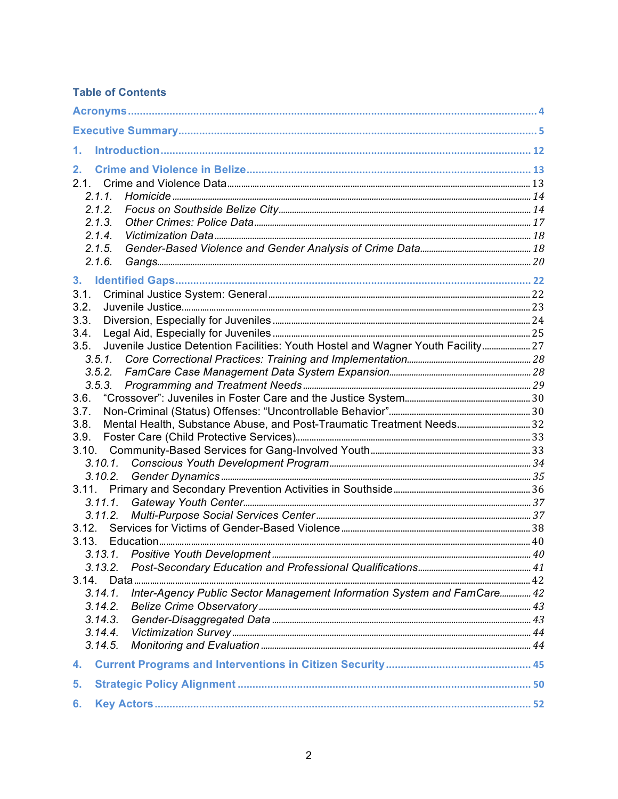## **Table of Contents**

| 1.                                                                                                                             |  |
|--------------------------------------------------------------------------------------------------------------------------------|--|
| 2.<br>2.1.<br>2.1.1<br>2.1.2.<br>2.1.3.<br>2.1.4.<br>2.1.5.<br>2.1.6.                                                          |  |
| 3 <sub>1</sub><br>3.1.<br>3.2.<br>3.3.                                                                                         |  |
| 3.4.<br>Juvenile Justice Detention Facilities: Youth Hostel and Wagner Youth Facility 27<br>3.5.<br>3.5.1.<br>3.5.2.<br>3.5.3. |  |
| 3.6.<br>3.7.<br>Mental Health, Substance Abuse, and Post-Traumatic Treatment Needs 32<br>3.8.<br>3.9.                          |  |
| 3.10.<br>$3.10.1$ .                                                                                                            |  |
| 3.12.                                                                                                                          |  |
| 3.13.<br>3.13.1. Positive Youth Development                                                                                    |  |
| Inter-Agency Public Sector Management Information System and FamCare 42<br>3.14.1.<br>3.14.2.<br>3.14.3.<br>3.14.4.            |  |
| 3.14.5.<br>4.                                                                                                                  |  |
| 5.                                                                                                                             |  |
| 6.                                                                                                                             |  |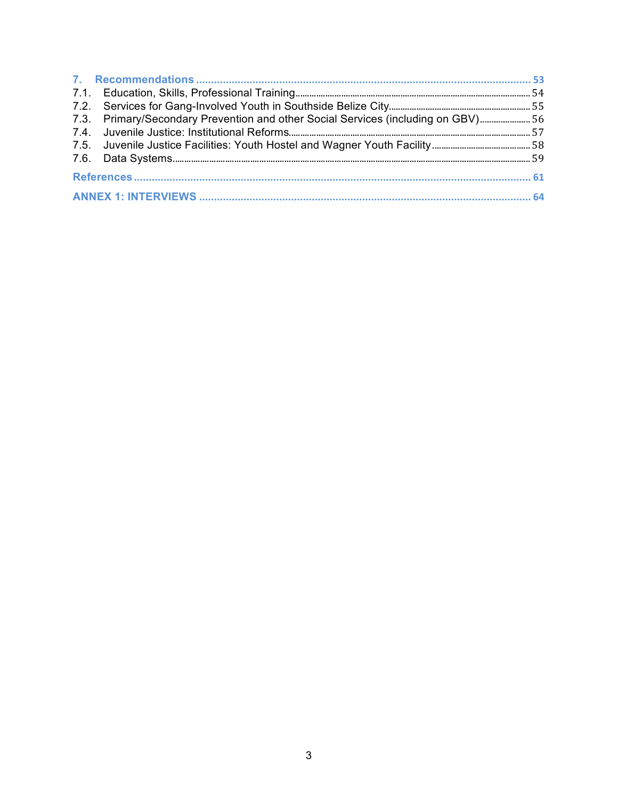| 7.3. Primary/Secondary Prevention and other Social Services (including on GBV) 56 |  |  |  |  |  |
|-----------------------------------------------------------------------------------|--|--|--|--|--|
|                                                                                   |  |  |  |  |  |
|                                                                                   |  |  |  |  |  |
|                                                                                   |  |  |  |  |  |
|                                                                                   |  |  |  |  |  |
|                                                                                   |  |  |  |  |  |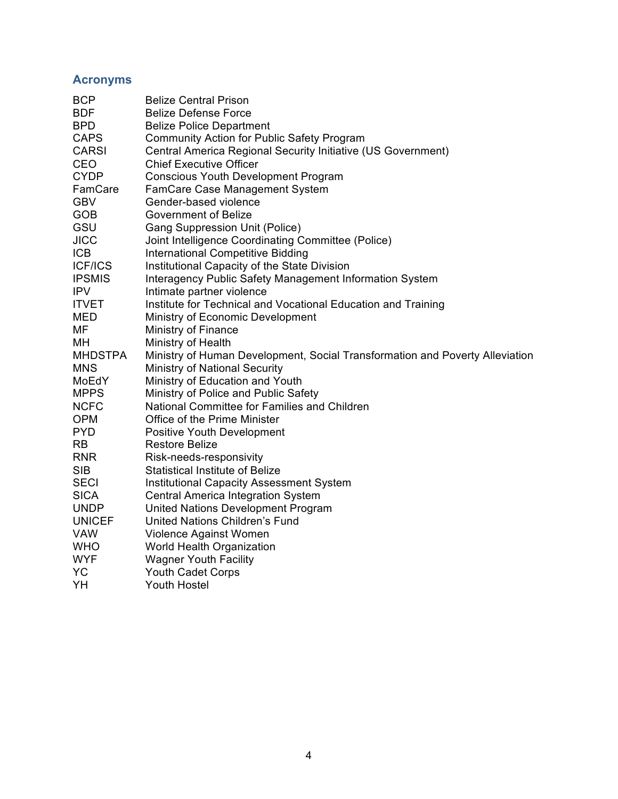## **Acronyms**

| <b>BCP</b>     | <b>Belize Central Prison</b>                                                 |
|----------------|------------------------------------------------------------------------------|
| <b>BDF</b>     | <b>Belize Defense Force</b>                                                  |
| <b>BPD</b>     | <b>Belize Police Department</b>                                              |
| <b>CAPS</b>    | <b>Community Action for Public Safety Program</b>                            |
| <b>CARSI</b>   | Central America Regional Security Initiative (US Government)                 |
| CEO            | <b>Chief Executive Officer</b>                                               |
| <b>CYDP</b>    | <b>Conscious Youth Development Program</b>                                   |
| FamCare        | <b>FamCare Case Management System</b>                                        |
| <b>GBV</b>     | Gender-based violence                                                        |
| GOB            | <b>Government of Belize</b>                                                  |
| GSU            | <b>Gang Suppression Unit (Police)</b>                                        |
| <b>JICC</b>    | Joint Intelligence Coordinating Committee (Police)                           |
| <b>ICB</b>     | <b>International Competitive Bidding</b>                                     |
| <b>ICF/ICS</b> | Institutional Capacity of the State Division                                 |
| <b>IPSMIS</b>  | Interagency Public Safety Management Information System                      |
| <b>IPV</b>     | Intimate partner violence                                                    |
| <b>ITVET</b>   | Institute for Technical and Vocational Education and Training                |
| MED            | Ministry of Economic Development                                             |
| MF             | Ministry of Finance                                                          |
| MН             | Ministry of Health                                                           |
| <b>MHDSTPA</b> | Ministry of Human Development, Social Transformation and Poverty Alleviation |
| <b>MNS</b>     | <b>Ministry of National Security</b>                                         |
| MoEdY          | Ministry of Education and Youth                                              |
| <b>MPPS</b>    | Ministry of Police and Public Safety                                         |
| <b>NCFC</b>    | National Committee for Families and Children                                 |
| <b>OPM</b>     | Office of the Prime Minister                                                 |
| <b>PYD</b>     | Positive Youth Development                                                   |
| RB             | <b>Restore Belize</b>                                                        |
| <b>RNR</b>     | Risk-needs-responsivity                                                      |
| <b>SIB</b>     | <b>Statistical Institute of Belize</b>                                       |
| <b>SECI</b>    | <b>Institutional Capacity Assessment System</b>                              |
| <b>SICA</b>    | Central America Integration System                                           |
| <b>UNDP</b>    | United Nations Development Program                                           |
| <b>UNICEF</b>  | United Nations Children's Fund                                               |
| VAW            | Violence Against Women                                                       |
| <b>WHO</b>     | <b>World Health Organization</b>                                             |
| <b>WYF</b>     | <b>Wagner Youth Facility</b>                                                 |
| YC             | <b>Youth Cadet Corps</b>                                                     |
| YH             | <b>Youth Hostel</b>                                                          |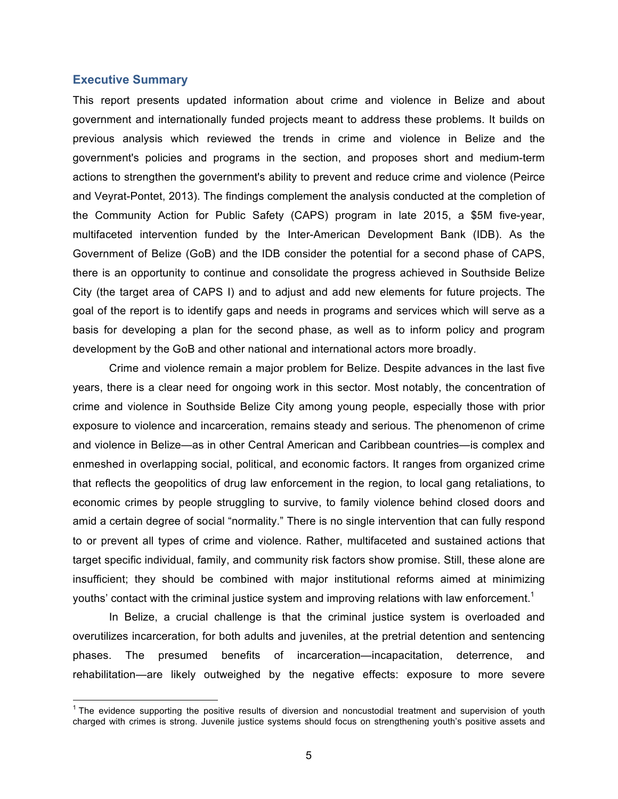#### **Executive Summary**

This report presents updated information about crime and violence in Belize and about government and internationally funded projects meant to address these problems. It builds on previous analysis which reviewed the trends in crime and violence in Belize and the government's policies and programs in the section, and proposes short and medium-term actions to strengthen the government's ability to prevent and reduce crime and violence (Peirce and Veyrat-Pontet, 2013). The findings complement the analysis conducted at the completion of the Community Action for Public Safety (CAPS) program in late 2015, a \$5M five-year, multifaceted intervention funded by the Inter-American Development Bank (IDB). As the Government of Belize (GoB) and the IDB consider the potential for a second phase of CAPS, there is an opportunity to continue and consolidate the progress achieved in Southside Belize City (the target area of CAPS I) and to adjust and add new elements for future projects. The goal of the report is to identify gaps and needs in programs and services which will serve as a basis for developing a plan for the second phase, as well as to inform policy and program development by the GoB and other national and international actors more broadly.

Crime and violence remain a major problem for Belize. Despite advances in the last five years, there is a clear need for ongoing work in this sector. Most notably, the concentration of crime and violence in Southside Belize City among young people, especially those with prior exposure to violence and incarceration, remains steady and serious. The phenomenon of crime and violence in Belize—as in other Central American and Caribbean countries—is complex and enmeshed in overlapping social, political, and economic factors. It ranges from organized crime that reflects the geopolitics of drug law enforcement in the region, to local gang retaliations, to economic crimes by people struggling to survive, to family violence behind closed doors and amid a certain degree of social "normality." There is no single intervention that can fully respond to or prevent all types of crime and violence. Rather, multifaceted and sustained actions that target specific individual, family, and community risk factors show promise. Still, these alone are insufficient; they should be combined with major institutional reforms aimed at minimizing youths' contact with the criminal justice system and improving relations with law enforcement.<sup>1</sup>

In Belize, a crucial challenge is that the criminal justice system is overloaded and overutilizes incarceration, for both adults and juveniles, at the pretrial detention and sentencing phases. The presumed benefits of incarceration—incapacitation, deterrence, and rehabilitation—are likely outweighed by the negative effects: exposure to more severe

 $1$  The evidence supporting the positive results of diversion and noncustodial treatment and supervision of youth charged with crimes is strong. Juvenile justice systems should focus on strengthening youth's positive assets and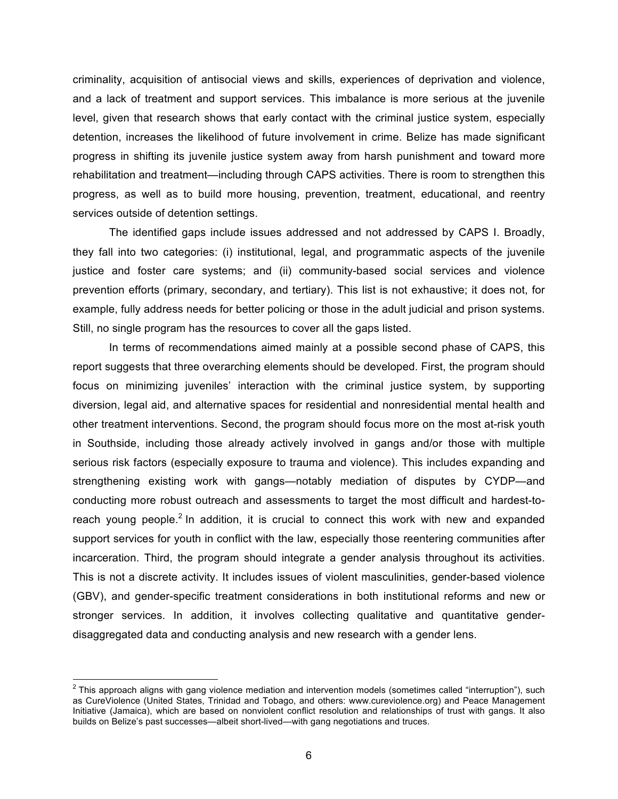criminality, acquisition of antisocial views and skills, experiences of deprivation and violence, and a lack of treatment and support services. This imbalance is more serious at the juvenile level, given that research shows that early contact with the criminal justice system, especially detention, increases the likelihood of future involvement in crime. Belize has made significant progress in shifting its juvenile justice system away from harsh punishment and toward more rehabilitation and treatment—including through CAPS activities. There is room to strengthen this progress, as well as to build more housing, prevention, treatment, educational, and reentry services outside of detention settings.

The identified gaps include issues addressed and not addressed by CAPS I. Broadly, they fall into two categories: (i) institutional, legal, and programmatic aspects of the juvenile justice and foster care systems; and (ii) community-based social services and violence prevention efforts (primary, secondary, and tertiary). This list is not exhaustive; it does not, for example, fully address needs for better policing or those in the adult judicial and prison systems. Still, no single program has the resources to cover all the gaps listed.

In terms of recommendations aimed mainly at a possible second phase of CAPS, this report suggests that three overarching elements should be developed. First, the program should focus on minimizing juveniles' interaction with the criminal justice system, by supporting diversion, legal aid, and alternative spaces for residential and nonresidential mental health and other treatment interventions. Second, the program should focus more on the most at-risk youth in Southside, including those already actively involved in gangs and/or those with multiple serious risk factors (especially exposure to trauma and violence). This includes expanding and strengthening existing work with gangs—notably mediation of disputes by CYDP—and conducting more robust outreach and assessments to target the most difficult and hardest-toreach young people.<sup>2</sup> In addition, it is crucial to connect this work with new and expanded support services for youth in conflict with the law, especially those reentering communities after incarceration. Third, the program should integrate a gender analysis throughout its activities. This is not a discrete activity. It includes issues of violent masculinities, gender-based violence (GBV), and gender-specific treatment considerations in both institutional reforms and new or stronger services. In addition, it involves collecting qualitative and quantitative genderdisaggregated data and conducting analysis and new research with a gender lens.

 $2$  This approach aligns with gang violence mediation and intervention models (sometimes called "interruption"), such as CureViolence (United States, Trinidad and Tobago, and others: www.cureviolence.org) and Peace Management Initiative (Jamaica), which are based on nonviolent conflict resolution and relationships of trust with gangs. It also builds on Belize's past successes—albeit short-lived—with gang negotiations and truces.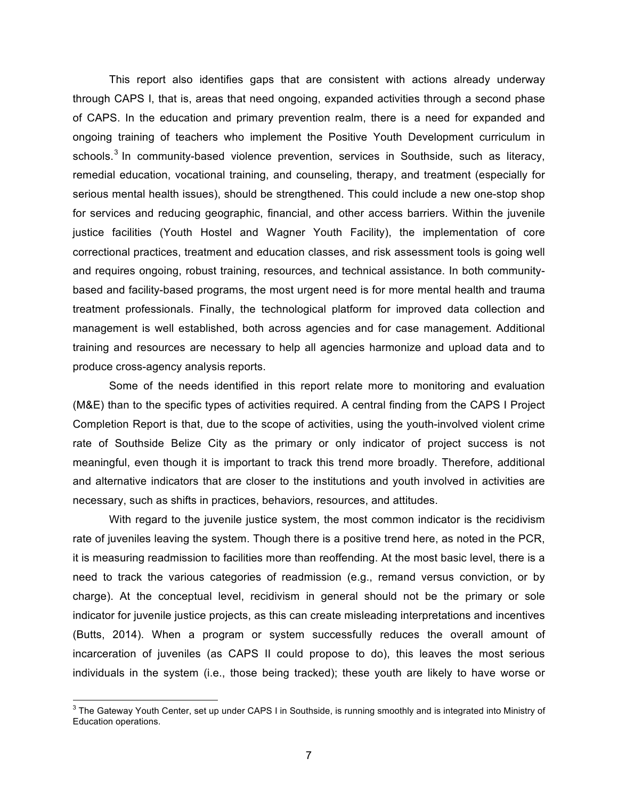This report also identifies gaps that are consistent with actions already underway through CAPS I, that is, areas that need ongoing, expanded activities through a second phase of CAPS. In the education and primary prevention realm, there is a need for expanded and ongoing training of teachers who implement the Positive Youth Development curriculum in schools.<sup>3</sup> In community-based violence prevention, services in Southside, such as literacy, remedial education, vocational training, and counseling, therapy, and treatment (especially for serious mental health issues), should be strengthened. This could include a new one-stop shop for services and reducing geographic, financial, and other access barriers. Within the juvenile justice facilities (Youth Hostel and Wagner Youth Facility), the implementation of core correctional practices, treatment and education classes, and risk assessment tools is going well and requires ongoing, robust training, resources, and technical assistance. In both communitybased and facility-based programs, the most urgent need is for more mental health and trauma treatment professionals. Finally, the technological platform for improved data collection and management is well established, both across agencies and for case management. Additional training and resources are necessary to help all agencies harmonize and upload data and to produce cross-agency analysis reports.

Some of the needs identified in this report relate more to monitoring and evaluation (M&E) than to the specific types of activities required. A central finding from the CAPS I Project Completion Report is that, due to the scope of activities, using the youth-involved violent crime rate of Southside Belize City as the primary or only indicator of project success is not meaningful, even though it is important to track this trend more broadly. Therefore, additional and alternative indicators that are closer to the institutions and youth involved in activities are necessary, such as shifts in practices, behaviors, resources, and attitudes.

With regard to the juvenile justice system, the most common indicator is the recidivism rate of juveniles leaving the system. Though there is a positive trend here, as noted in the PCR, it is measuring readmission to facilities more than reoffending. At the most basic level, there is a need to track the various categories of readmission (e.g., remand versus conviction, or by charge). At the conceptual level, recidivism in general should not be the primary or sole indicator for juvenile justice projects, as this can create misleading interpretations and incentives (Butts, 2014). When a program or system successfully reduces the overall amount of incarceration of juveniles (as CAPS II could propose to do), this leaves the most serious individuals in the system (i.e., those being tracked); these youth are likely to have worse or

 $3$  The Gateway Youth Center, set up under CAPS I in Southside, is running smoothly and is integrated into Ministry of Education operations.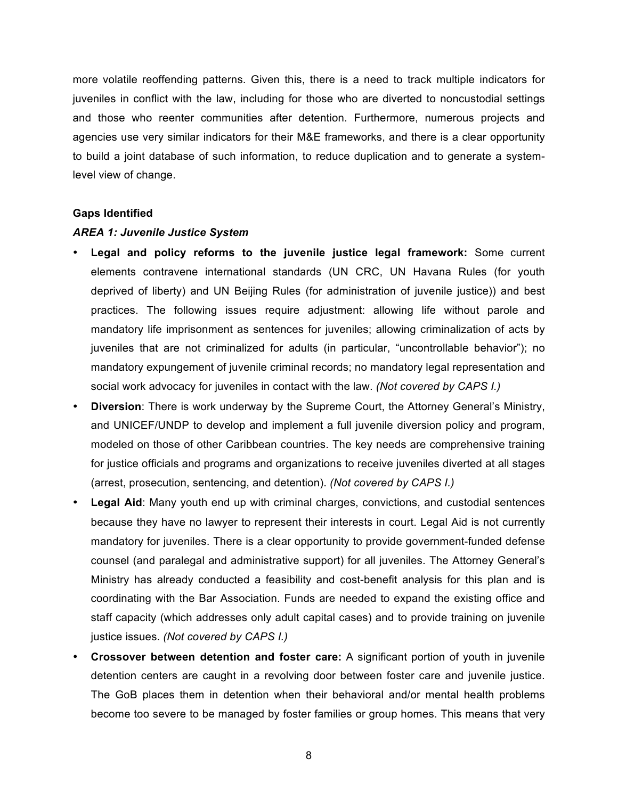more volatile reoffending patterns. Given this, there is a need to track multiple indicators for juveniles in conflict with the law, including for those who are diverted to noncustodial settings and those who reenter communities after detention. Furthermore, numerous projects and agencies use very similar indicators for their M&E frameworks, and there is a clear opportunity to build a joint database of such information, to reduce duplication and to generate a systemlevel view of change.

#### **Gaps Identified**

#### *AREA 1: Juvenile Justice System*

- **Legal and policy reforms to the juvenile justice legal framework:** Some current elements contravene international standards (UN CRC, UN Havana Rules (for youth deprived of liberty) and UN Beijing Rules (for administration of juvenile justice)) and best practices. The following issues require adjustment: allowing life without parole and mandatory life imprisonment as sentences for juveniles; allowing criminalization of acts by juveniles that are not criminalized for adults (in particular, "uncontrollable behavior"); no mandatory expungement of juvenile criminal records; no mandatory legal representation and social work advocacy for juveniles in contact with the law. *(Not covered by CAPS I.)*
- **Diversion**: There is work underway by the Supreme Court, the Attorney General's Ministry, and UNICEF/UNDP to develop and implement a full juvenile diversion policy and program, modeled on those of other Caribbean countries. The key needs are comprehensive training for justice officials and programs and organizations to receive juveniles diverted at all stages (arrest, prosecution, sentencing, and detention). *(Not covered by CAPS I.)*
- **Legal Aid:** Many youth end up with criminal charges, convictions, and custodial sentences because they have no lawyer to represent their interests in court. Legal Aid is not currently mandatory for juveniles. There is a clear opportunity to provide government-funded defense counsel (and paralegal and administrative support) for all juveniles. The Attorney General's Ministry has already conducted a feasibility and cost-benefit analysis for this plan and is coordinating with the Bar Association. Funds are needed to expand the existing office and staff capacity (which addresses only adult capital cases) and to provide training on juvenile justice issues. *(Not covered by CAPS I.)*
- **Crossover between detention and foster care:** A significant portion of youth in juvenile detention centers are caught in a revolving door between foster care and juvenile justice. The GoB places them in detention when their behavioral and/or mental health problems become too severe to be managed by foster families or group homes. This means that very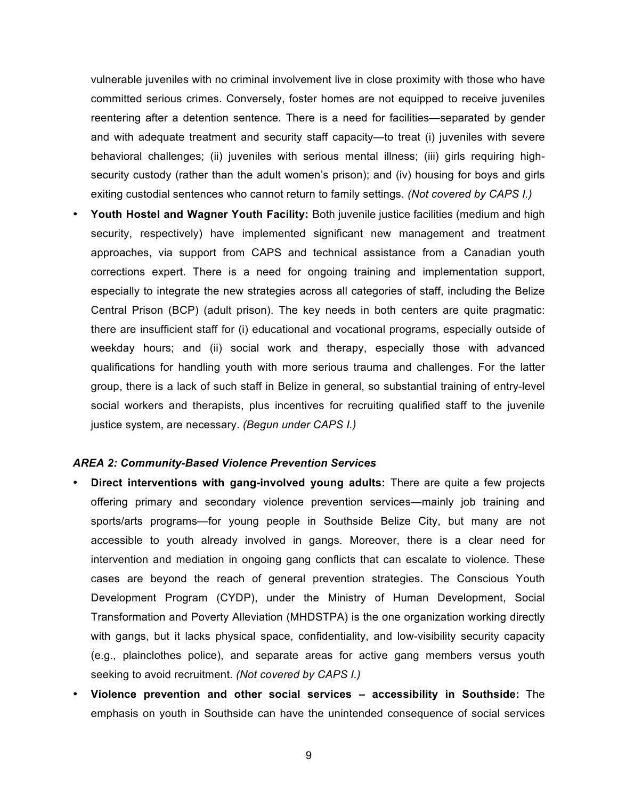vulnerable juveniles with no criminal involvement live in close proximity with those who have committed serious crimes. Conversely, foster homes are not equipped to receive juveniles reentering after a detention sentence. There is a need for facilities—separated by gender and with adequate treatment and security staff capacity—to treat (i) juveniles with severe behavioral challenges; (ii) juveniles with serious mental illness; (iii) girls requiring highsecurity custody (rather than the adult women's prison); and (iv) housing for boys and girls exiting custodial sentences who cannot return to family settings. *(Not covered by CAPS I.)*

• **Youth Hostel and Wagner Youth Facility:** Both juvenile justice facilities (medium and high security, respectively) have implemented significant new management and treatment approaches, via support from CAPS and technical assistance from a Canadian youth corrections expert. There is a need for ongoing training and implementation support, especially to integrate the new strategies across all categories of staff, including the Belize Central Prison (BCP) (adult prison). The key needs in both centers are quite pragmatic: there are insufficient staff for (i) educational and vocational programs, especially outside of weekday hours; and (ii) social work and therapy, especially those with advanced qualifications for handling youth with more serious trauma and challenges. For the latter group, there is a lack of such staff in Belize in general, so substantial training of entry-level social workers and therapists, plus incentives for recruiting qualified staff to the juvenile justice system, are necessary. *(Begun under CAPS I.)*

#### *AREA 2: Community-Based Violence Prevention Services*

- **Direct interventions with gang-involved young adults:** There are quite a few projects offering primary and secondary violence prevention services—mainly job training and sports/arts programs—for young people in Southside Belize City, but many are not accessible to youth already involved in gangs. Moreover, there is a clear need for intervention and mediation in ongoing gang conflicts that can escalate to violence. These cases are beyond the reach of general prevention strategies. The Conscious Youth Development Program (CYDP), under the Ministry of Human Development, Social Transformation and Poverty Alleviation (MHDSTPA) is the one organization working directly with gangs, but it lacks physical space, confidentiality, and low-visibility security capacity (e.g., plainclothes police), and separate areas for active gang members versus youth seeking to avoid recruitment. *(Not covered by CAPS I.)*
- **Violence prevention and other social services – accessibility in Southside:** The emphasis on youth in Southside can have the unintended consequence of social services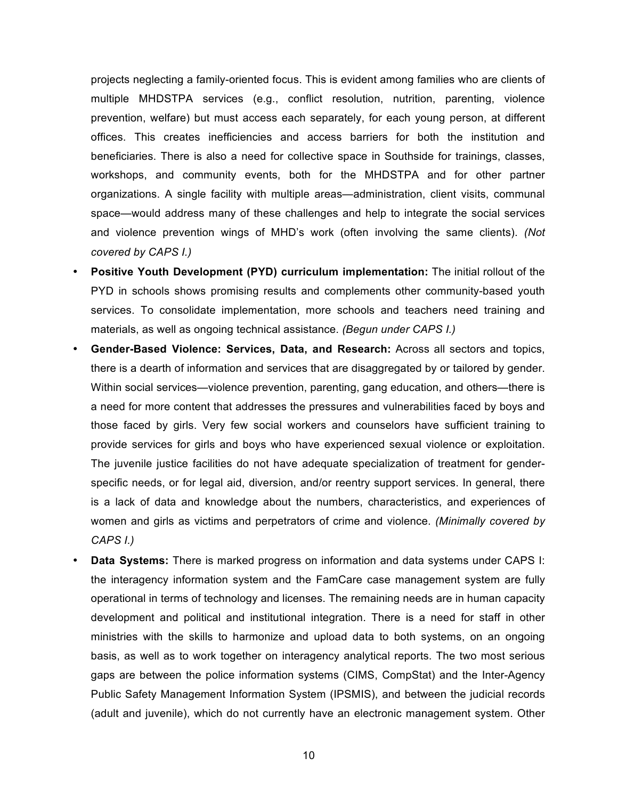projects neglecting a family-oriented focus. This is evident among families who are clients of multiple MHDSTPA services (e.g., conflict resolution, nutrition, parenting, violence prevention, welfare) but must access each separately, for each young person, at different offices. This creates inefficiencies and access barriers for both the institution and beneficiaries. There is also a need for collective space in Southside for trainings, classes, workshops, and community events, both for the MHDSTPA and for other partner organizations. A single facility with multiple areas—administration, client visits, communal space—would address many of these challenges and help to integrate the social services and violence prevention wings of MHD's work (often involving the same clients). *(Not covered by CAPS I.)*

- **Positive Youth Development (PYD) curriculum implementation:** The initial rollout of the PYD in schools shows promising results and complements other community-based youth services. To consolidate implementation, more schools and teachers need training and materials, as well as ongoing technical assistance. *(Begun under CAPS I.)*
- **Gender-Based Violence: Services, Data, and Research:** Across all sectors and topics, there is a dearth of information and services that are disaggregated by or tailored by gender. Within social services—violence prevention, parenting, gang education, and others—there is a need for more content that addresses the pressures and vulnerabilities faced by boys and those faced by girls. Very few social workers and counselors have sufficient training to provide services for girls and boys who have experienced sexual violence or exploitation. The juvenile justice facilities do not have adequate specialization of treatment for genderspecific needs, or for legal aid, diversion, and/or reentry support services. In general, there is a lack of data and knowledge about the numbers, characteristics, and experiences of women and girls as victims and perpetrators of crime and violence. *(Minimally covered by CAPS I.)*
- **Data Systems:** There is marked progress on information and data systems under CAPS I: the interagency information system and the FamCare case management system are fully operational in terms of technology and licenses. The remaining needs are in human capacity development and political and institutional integration. There is a need for staff in other ministries with the skills to harmonize and upload data to both systems, on an ongoing basis, as well as to work together on interagency analytical reports. The two most serious gaps are between the police information systems (CIMS, CompStat) and the Inter-Agency Public Safety Management Information System (IPSMIS), and between the judicial records (adult and juvenile), which do not currently have an electronic management system. Other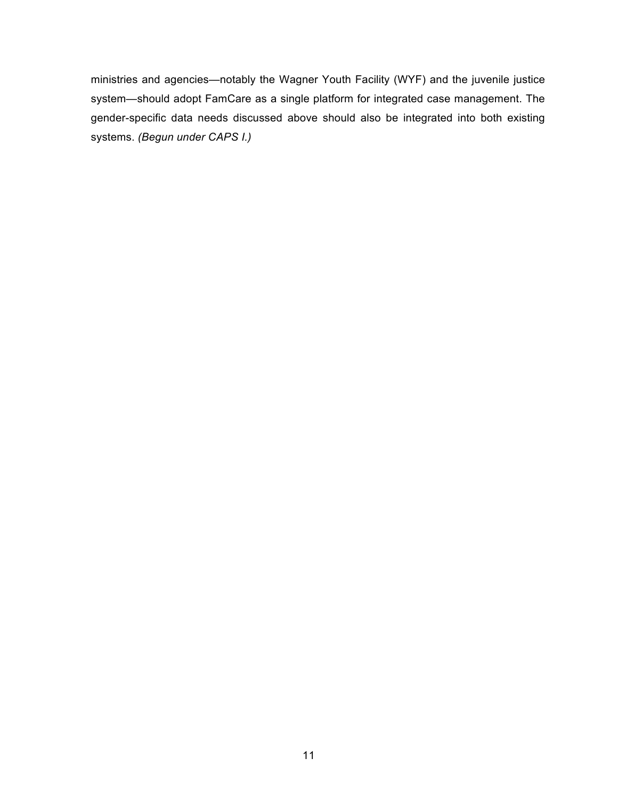ministries and agencies—notably the Wagner Youth Facility (WYF) and the juvenile justice system—should adopt FamCare as a single platform for integrated case management. The gender-specific data needs discussed above should also be integrated into both existing systems. *(Begun under CAPS I.)*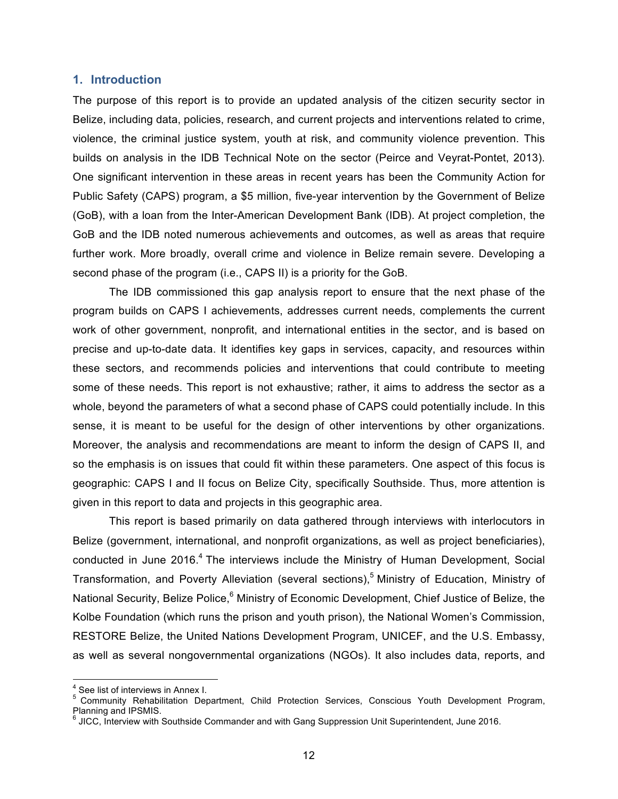#### **1. Introduction**

The purpose of this report is to provide an updated analysis of the citizen security sector in Belize, including data, policies, research, and current projects and interventions related to crime, violence, the criminal justice system, youth at risk, and community violence prevention. This builds on analysis in the IDB Technical Note on the sector (Peirce and Veyrat-Pontet, 2013). One significant intervention in these areas in recent years has been the Community Action for Public Safety (CAPS) program, a \$5 million, five-year intervention by the Government of Belize (GoB), with a loan from the Inter-American Development Bank (IDB). At project completion, the GoB and the IDB noted numerous achievements and outcomes, as well as areas that require further work. More broadly, overall crime and violence in Belize remain severe. Developing a second phase of the program (i.e., CAPS II) is a priority for the GoB.

The IDB commissioned this gap analysis report to ensure that the next phase of the program builds on CAPS I achievements, addresses current needs, complements the current work of other government, nonprofit, and international entities in the sector, and is based on precise and up-to-date data. It identifies key gaps in services, capacity, and resources within these sectors, and recommends policies and interventions that could contribute to meeting some of these needs. This report is not exhaustive; rather, it aims to address the sector as a whole, beyond the parameters of what a second phase of CAPS could potentially include. In this sense, it is meant to be useful for the design of other interventions by other organizations. Moreover, the analysis and recommendations are meant to inform the design of CAPS II, and so the emphasis is on issues that could fit within these parameters. One aspect of this focus is geographic: CAPS I and II focus on Belize City, specifically Southside. Thus, more attention is given in this report to data and projects in this geographic area.

This report is based primarily on data gathered through interviews with interlocutors in Belize (government, international, and nonprofit organizations, as well as project beneficiaries), conducted in June 2016.<sup>4</sup> The interviews include the Ministry of Human Development, Social Transformation, and Poverty Alleviation (several sections),<sup>5</sup> Ministry of Education, Ministry of National Security, Belize Police,<sup>6</sup> Ministry of Economic Development, Chief Justice of Belize, the Kolbe Foundation (which runs the prison and youth prison), the National Women's Commission, RESTORE Belize, the United Nations Development Program, UNICEF, and the U.S. Embassy, as well as several nongovernmental organizations (NGOs). It also includes data, reports, and

<sup>&</sup>lt;sup>4</sup> See list of interviews in Annex I.<br><sup>5</sup> Community Rehabilitation Department, Child Protection Services, Conscious Youth Development Program, Planning and IPSMIS.

<sup>&</sup>lt;sup>6</sup> JICC, Interview with Southside Commander and with Gang Suppression Unit Superintendent, June 2016.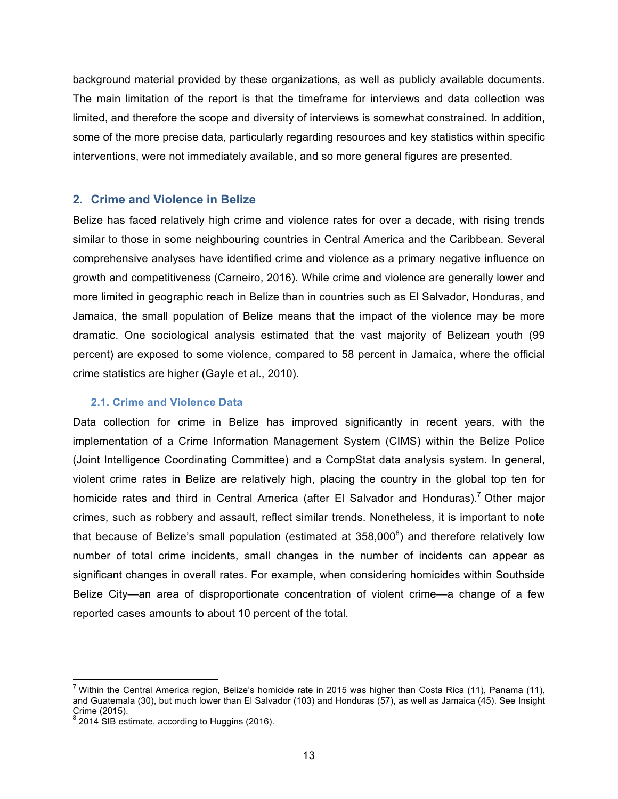background material provided by these organizations, as well as publicly available documents. The main limitation of the report is that the timeframe for interviews and data collection was limited, and therefore the scope and diversity of interviews is somewhat constrained. In addition, some of the more precise data, particularly regarding resources and key statistics within specific interventions, were not immediately available, and so more general figures are presented.

### **2. Crime and Violence in Belize**

Belize has faced relatively high crime and violence rates for over a decade, with rising trends similar to those in some neighbouring countries in Central America and the Caribbean. Several comprehensive analyses have identified crime and violence as a primary negative influence on growth and competitiveness (Carneiro, 2016). While crime and violence are generally lower and more limited in geographic reach in Belize than in countries such as El Salvador, Honduras, and Jamaica, the small population of Belize means that the impact of the violence may be more dramatic. One sociological analysis estimated that the vast majority of Belizean youth (99 percent) are exposed to some violence, compared to 58 percent in Jamaica, where the official crime statistics are higher (Gayle et al., 2010).

#### **2.1. Crime and Violence Data**

Data collection for crime in Belize has improved significantly in recent years, with the implementation of a Crime Information Management System (CIMS) within the Belize Police (Joint Intelligence Coordinating Committee) and a CompStat data analysis system. In general, violent crime rates in Belize are relatively high, placing the country in the global top ten for homicide rates and third in Central America (after El Salvador and Honduras).<sup>7</sup> Other major crimes, such as robbery and assault, reflect similar trends. Nonetheless, it is important to note that because of Belize's small population (estimated at  $358,000^8$ ) and therefore relatively low number of total crime incidents, small changes in the number of incidents can appear as significant changes in overall rates. For example, when considering homicides within Southside Belize City—an area of disproportionate concentration of violent crime—a change of a few reported cases amounts to about 10 percent of the total.

<sup>&</sup>lt;sup>7</sup> Within the Central America region, Belize's homicide rate in 2015 was higher than Costa Rica (11), Panama (11), and Guatemala (30), but much lower than El Salvador (103) and Honduras (57), as well as Jamaica (45). See Insight Crime (2015). 8 2016). Crime (2016). 8 2014 SIB estimate, according to Huggins (2016).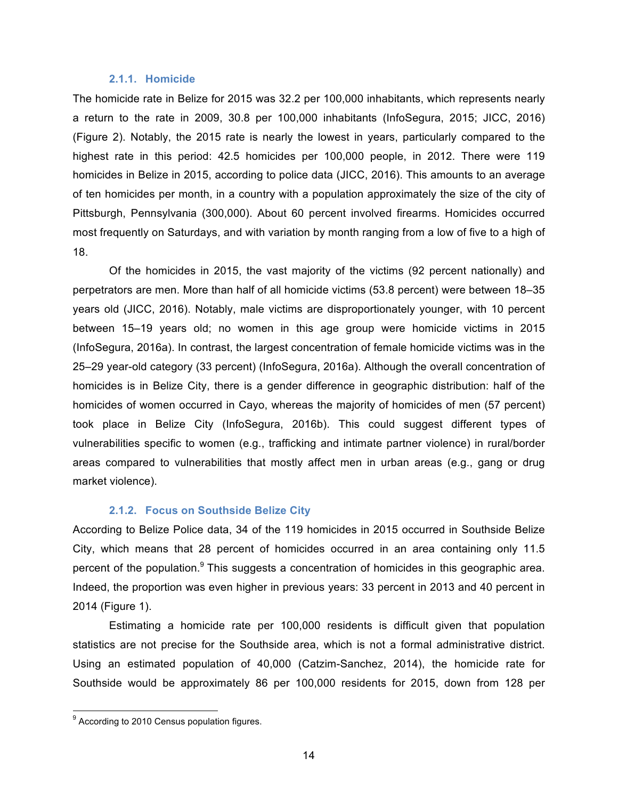#### **2.1.1. Homicide**

The homicide rate in Belize for 2015 was 32.2 per 100,000 inhabitants, which represents nearly a return to the rate in 2009, 30.8 per 100,000 inhabitants (InfoSegura, 2015; JICC, 2016) (Figure 2). Notably, the 2015 rate is nearly the lowest in years, particularly compared to the highest rate in this period: 42.5 homicides per 100,000 people, in 2012. There were 119 homicides in Belize in 2015, according to police data (JICC, 2016). This amounts to an average of ten homicides per month, in a country with a population approximately the size of the city of Pittsburgh, Pennsylvania (300,000). About 60 percent involved firearms. Homicides occurred most frequently on Saturdays, and with variation by month ranging from a low of five to a high of 18.

Of the homicides in 2015, the vast majority of the victims (92 percent nationally) and perpetrators are men. More than half of all homicide victims (53.8 percent) were between 18–35 years old (JICC, 2016). Notably, male victims are disproportionately younger, with 10 percent between 15–19 years old; no women in this age group were homicide victims in 2015 (InfoSegura, 2016a). In contrast, the largest concentration of female homicide victims was in the 25–29 year-old category (33 percent) (InfoSegura, 2016a). Although the overall concentration of homicides is in Belize City, there is a gender difference in geographic distribution: half of the homicides of women occurred in Cayo, whereas the majority of homicides of men (57 percent) took place in Belize City (InfoSegura, 2016b). This could suggest different types of vulnerabilities specific to women (e.g., trafficking and intimate partner violence) in rural/border areas compared to vulnerabilities that mostly affect men in urban areas (e.g., gang or drug market violence).

#### **2.1.2. Focus on Southside Belize City**

According to Belize Police data, 34 of the 119 homicides in 2015 occurred in Southside Belize City, which means that 28 percent of homicides occurred in an area containing only 11.5 percent of the population.<sup>9</sup> This suggests a concentration of homicides in this geographic area. Indeed, the proportion was even higher in previous years: 33 percent in 2013 and 40 percent in 2014 (Figure 1).

Estimating a homicide rate per 100,000 residents is difficult given that population statistics are not precise for the Southside area, which is not a formal administrative district. Using an estimated population of 40,000 (Catzim-Sanchez, 2014), the homicide rate for Southside would be approximately 86 per 100,000 residents for 2015, down from 128 per

 $9$  According to 2010 Census population figures.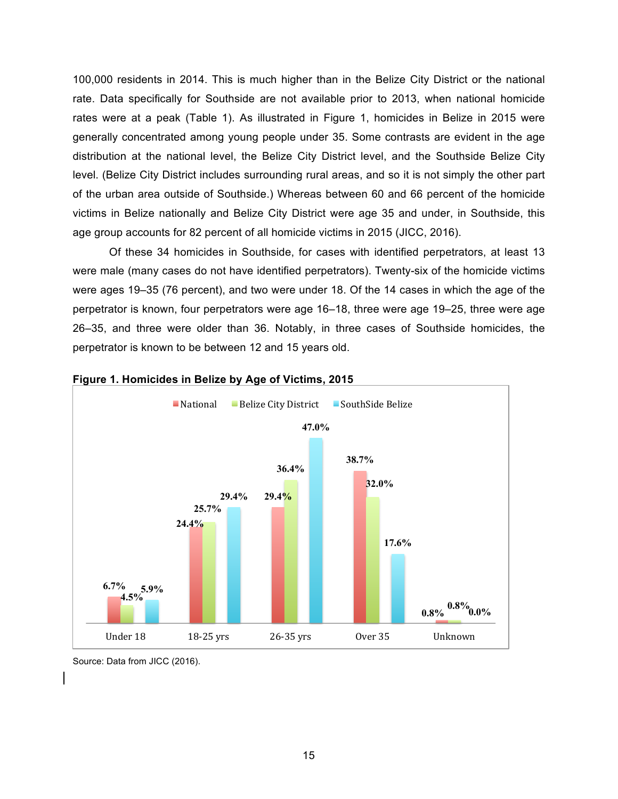100,000 residents in 2014. This is much higher than in the Belize City District or the national rate. Data specifically for Southside are not available prior to 2013, when national homicide rates were at a peak (Table 1). As illustrated in Figure 1, homicides in Belize in 2015 were generally concentrated among young people under 35. Some contrasts are evident in the age distribution at the national level, the Belize City District level, and the Southside Belize City level. (Belize City District includes surrounding rural areas, and so it is not simply the other part of the urban area outside of Southside.) Whereas between 60 and 66 percent of the homicide victims in Belize nationally and Belize City District were age 35 and under, in Southside, this age group accounts for 82 percent of all homicide victims in 2015 (JICC, 2016).

Of these 34 homicides in Southside, for cases with identified perpetrators, at least 13 were male (many cases do not have identified perpetrators). Twenty-six of the homicide victims were ages 19–35 (76 percent), and two were under 18. Of the 14 cases in which the age of the perpetrator is known, four perpetrators were age 16–18, three were age 19–25, three were age 26–35, and three were older than 36. Notably, in three cases of Southside homicides, the perpetrator is known to be between 12 and 15 years old.



#### **Figure 1. Homicides in Belize by Age of Victims, 2015**

Source: Data from JICC (2016).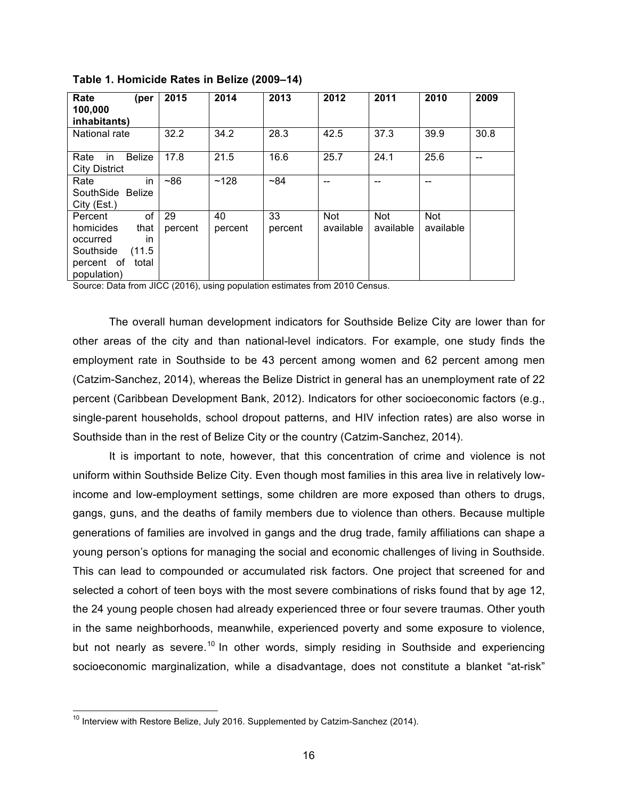| Rate<br>(per<br>100,000<br>inhabitants)                                                                           | 2015          | 2014          | 2013          | 2012             | 2011                    | 2010             | 2009 |
|-------------------------------------------------------------------------------------------------------------------|---------------|---------------|---------------|------------------|-------------------------|------------------|------|
| National rate                                                                                                     | 32.2          | 34.2          | 28.3          | 42.5             | 37.3                    | 39.9             | 30.8 |
| <b>Belize</b><br>Rate<br>in.<br><b>City District</b>                                                              | 17.8          | 21.5          | 16.6          | 25.7             | 24.1                    | 25.6             |      |
| in<br>Rate<br>SouthSide Belize<br>City (Est.)                                                                     | $~10^{-8}$    | ~128          | ~184          |                  |                         | --               |      |
| of<br>Percent<br>homicides<br>that<br>in<br>occurred<br>Southside<br>(11.5)<br>percent of<br>total<br>population) | 29<br>percent | 40<br>percent | 33<br>percent | Not<br>available | <b>Not</b><br>available | Not<br>available |      |

**Table 1. Homicide Rates in Belize (2009–14)**

Source: Data from JICC (2016), using population estimates from 2010 Census.

The overall human development indicators for Southside Belize City are lower than for other areas of the city and than national-level indicators. For example, one study finds the employment rate in Southside to be 43 percent among women and 62 percent among men (Catzim-Sanchez, 2014), whereas the Belize District in general has an unemployment rate of 22 percent (Caribbean Development Bank, 2012). Indicators for other socioeconomic factors (e.g., single-parent households, school dropout patterns, and HIV infection rates) are also worse in Southside than in the rest of Belize City or the country (Catzim-Sanchez, 2014).

It is important to note, however, that this concentration of crime and violence is not uniform within Southside Belize City. Even though most families in this area live in relatively lowincome and low-employment settings, some children are more exposed than others to drugs, gangs, guns, and the deaths of family members due to violence than others. Because multiple generations of families are involved in gangs and the drug trade, family affiliations can shape a young person's options for managing the social and economic challenges of living in Southside. This can lead to compounded or accumulated risk factors. One project that screened for and selected a cohort of teen boys with the most severe combinations of risks found that by age 12, the 24 young people chosen had already experienced three or four severe traumas. Other youth in the same neighborhoods, meanwhile, experienced poverty and some exposure to violence, but not nearly as severe.<sup>10</sup> In other words, simply residing in Southside and experiencing socioeconomic marginalization, while a disadvantage, does not constitute a blanket "at-risk"

 $10$  Interview with Restore Belize, July 2016. Supplemented by Catzim-Sanchez (2014).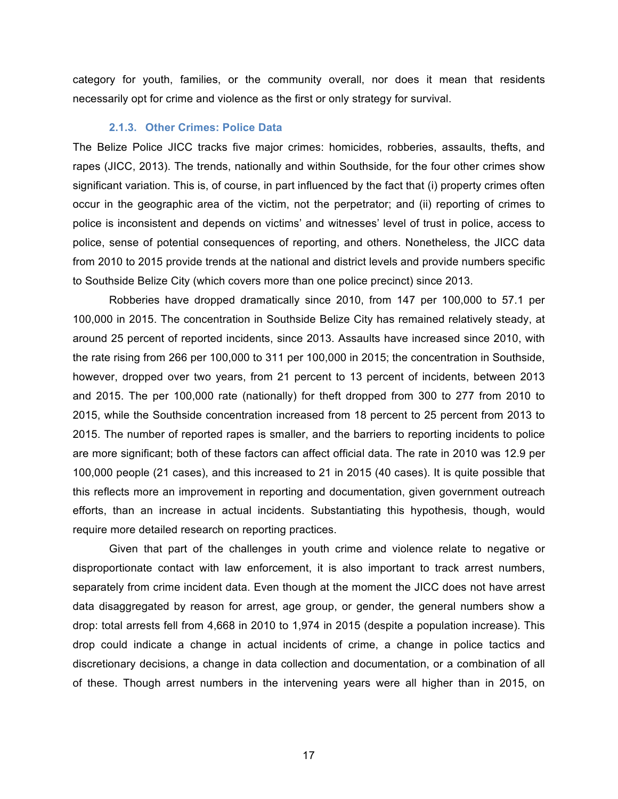category for youth, families, or the community overall, nor does it mean that residents necessarily opt for crime and violence as the first or only strategy for survival.

#### **2.1.3. Other Crimes: Police Data**

The Belize Police JICC tracks five major crimes: homicides, robberies, assaults, thefts, and rapes (JICC, 2013). The trends, nationally and within Southside, for the four other crimes show significant variation. This is, of course, in part influenced by the fact that (i) property crimes often occur in the geographic area of the victim, not the perpetrator; and (ii) reporting of crimes to police is inconsistent and depends on victims' and witnesses' level of trust in police, access to police, sense of potential consequences of reporting, and others. Nonetheless, the JICC data from 2010 to 2015 provide trends at the national and district levels and provide numbers specific to Southside Belize City (which covers more than one police precinct) since 2013.

Robberies have dropped dramatically since 2010, from 147 per 100,000 to 57.1 per 100,000 in 2015. The concentration in Southside Belize City has remained relatively steady, at around 25 percent of reported incidents, since 2013. Assaults have increased since 2010, with the rate rising from 266 per 100,000 to 311 per 100,000 in 2015; the concentration in Southside, however, dropped over two years, from 21 percent to 13 percent of incidents, between 2013 and 2015. The per 100,000 rate (nationally) for theft dropped from 300 to 277 from 2010 to 2015, while the Southside concentration increased from 18 percent to 25 percent from 2013 to 2015. The number of reported rapes is smaller, and the barriers to reporting incidents to police are more significant; both of these factors can affect official data. The rate in 2010 was 12.9 per 100,000 people (21 cases), and this increased to 21 in 2015 (40 cases). It is quite possible that this reflects more an improvement in reporting and documentation, given government outreach efforts, than an increase in actual incidents. Substantiating this hypothesis, though, would require more detailed research on reporting practices.

Given that part of the challenges in youth crime and violence relate to negative or disproportionate contact with law enforcement, it is also important to track arrest numbers, separately from crime incident data. Even though at the moment the JICC does not have arrest data disaggregated by reason for arrest, age group, or gender, the general numbers show a drop: total arrests fell from 4,668 in 2010 to 1,974 in 2015 (despite a population increase). This drop could indicate a change in actual incidents of crime, a change in police tactics and discretionary decisions, a change in data collection and documentation, or a combination of all of these. Though arrest numbers in the intervening years were all higher than in 2015, on

17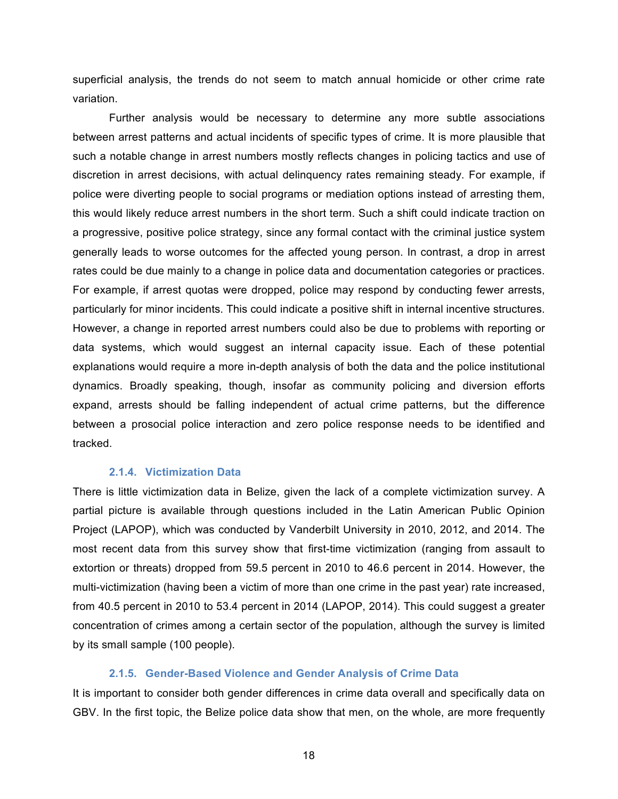superficial analysis, the trends do not seem to match annual homicide or other crime rate variation.

Further analysis would be necessary to determine any more subtle associations between arrest patterns and actual incidents of specific types of crime. It is more plausible that such a notable change in arrest numbers mostly reflects changes in policing tactics and use of discretion in arrest decisions, with actual delinquency rates remaining steady. For example, if police were diverting people to social programs or mediation options instead of arresting them, this would likely reduce arrest numbers in the short term. Such a shift could indicate traction on a progressive, positive police strategy, since any formal contact with the criminal justice system generally leads to worse outcomes for the affected young person. In contrast, a drop in arrest rates could be due mainly to a change in police data and documentation categories or practices. For example, if arrest quotas were dropped, police may respond by conducting fewer arrests, particularly for minor incidents. This could indicate a positive shift in internal incentive structures. However, a change in reported arrest numbers could also be due to problems with reporting or data systems, which would suggest an internal capacity issue. Each of these potential explanations would require a more in-depth analysis of both the data and the police institutional dynamics. Broadly speaking, though, insofar as community policing and diversion efforts expand, arrests should be falling independent of actual crime patterns, but the difference between a prosocial police interaction and zero police response needs to be identified and tracked.

#### **2.1.4. Victimization Data**

There is little victimization data in Belize, given the lack of a complete victimization survey. A partial picture is available through questions included in the Latin American Public Opinion Project (LAPOP), which was conducted by Vanderbilt University in 2010, 2012, and 2014. The most recent data from this survey show that first-time victimization (ranging from assault to extortion or threats) dropped from 59.5 percent in 2010 to 46.6 percent in 2014. However, the multi-victimization (having been a victim of more than one crime in the past year) rate increased, from 40.5 percent in 2010 to 53.4 percent in 2014 (LAPOP, 2014). This could suggest a greater concentration of crimes among a certain sector of the population, although the survey is limited by its small sample (100 people).

#### **2.1.5. Gender-Based Violence and Gender Analysis of Crime Data**

It is important to consider both gender differences in crime data overall and specifically data on GBV. In the first topic, the Belize police data show that men, on the whole, are more frequently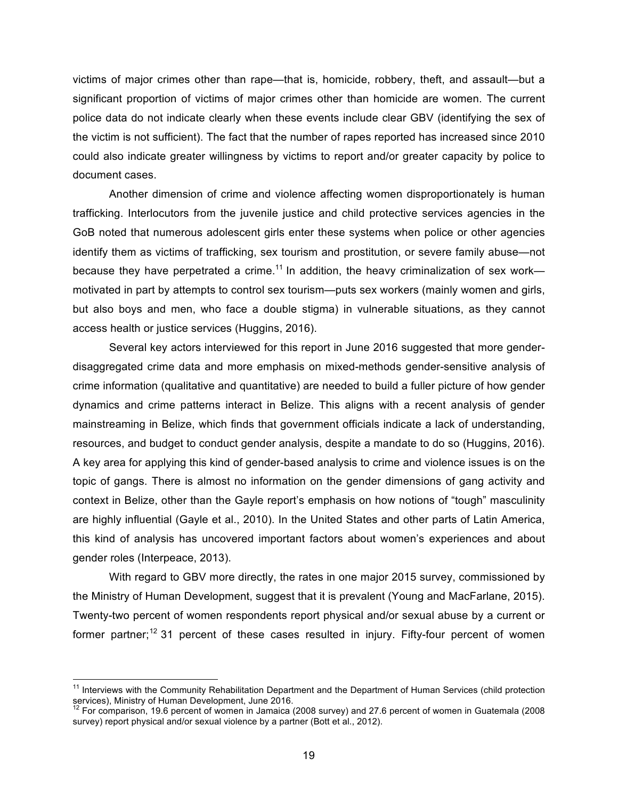victims of major crimes other than rape—that is, homicide, robbery, theft, and assault—but a significant proportion of victims of major crimes other than homicide are women. The current police data do not indicate clearly when these events include clear GBV (identifying the sex of the victim is not sufficient). The fact that the number of rapes reported has increased since 2010 could also indicate greater willingness by victims to report and/or greater capacity by police to document cases.

Another dimension of crime and violence affecting women disproportionately is human trafficking. Interlocutors from the juvenile justice and child protective services agencies in the GoB noted that numerous adolescent girls enter these systems when police or other agencies identify them as victims of trafficking, sex tourism and prostitution, or severe family abuse—not because they have perpetrated a crime.<sup>11</sup> In addition, the heavy criminalization of sex work motivated in part by attempts to control sex tourism—puts sex workers (mainly women and girls, but also boys and men, who face a double stigma) in vulnerable situations, as they cannot access health or justice services (Huggins, 2016).

Several key actors interviewed for this report in June 2016 suggested that more genderdisaggregated crime data and more emphasis on mixed-methods gender-sensitive analysis of crime information (qualitative and quantitative) are needed to build a fuller picture of how gender dynamics and crime patterns interact in Belize. This aligns with a recent analysis of gender mainstreaming in Belize, which finds that government officials indicate a lack of understanding, resources, and budget to conduct gender analysis, despite a mandate to do so (Huggins, 2016). A key area for applying this kind of gender-based analysis to crime and violence issues is on the topic of gangs. There is almost no information on the gender dimensions of gang activity and context in Belize, other than the Gayle report's emphasis on how notions of "tough" masculinity are highly influential (Gayle et al., 2010). In the United States and other parts of Latin America, this kind of analysis has uncovered important factors about women's experiences and about gender roles (Interpeace, 2013).

With regard to GBV more directly, the rates in one major 2015 survey, commissioned by the Ministry of Human Development, suggest that it is prevalent (Young and MacFarlane, 2015). Twenty-two percent of women respondents report physical and/or sexual abuse by a current or former partner;<sup>12</sup> 31 percent of these cases resulted in injury. Fifty-four percent of women

<sup>&</sup>lt;sup>11</sup> Interviews with the Community Rehabilitation Department and the Department of Human Services (child protection services), Ministry of Human Development, June 2016.

 $12$  For comparison, 19.6 percent of women in Jamaica (2008 survey) and 27.6 percent of women in Guatemala (2008 survey) report physical and/or sexual violence by a partner (Bott et al., 2012).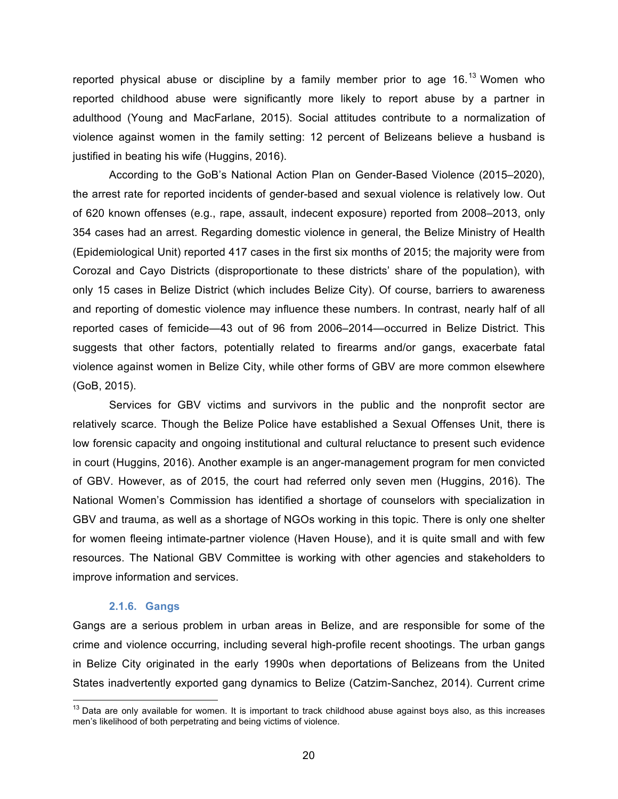reported physical abuse or discipline by a family member prior to age  $16<sup>13</sup>$  Women who reported childhood abuse were significantly more likely to report abuse by a partner in adulthood (Young and MacFarlane, 2015). Social attitudes contribute to a normalization of violence against women in the family setting: 12 percent of Belizeans believe a husband is justified in beating his wife (Huggins, 2016).

According to the GoB's National Action Plan on Gender-Based Violence (2015–2020), the arrest rate for reported incidents of gender-based and sexual violence is relatively low. Out of 620 known offenses (e.g., rape, assault, indecent exposure) reported from 2008–2013, only 354 cases had an arrest. Regarding domestic violence in general, the Belize Ministry of Health (Epidemiological Unit) reported 417 cases in the first six months of 2015; the majority were from Corozal and Cayo Districts (disproportionate to these districts' share of the population), with only 15 cases in Belize District (which includes Belize City). Of course, barriers to awareness and reporting of domestic violence may influence these numbers. In contrast, nearly half of all reported cases of femicide—43 out of 96 from 2006–2014—occurred in Belize District. This suggests that other factors, potentially related to firearms and/or gangs, exacerbate fatal violence against women in Belize City, while other forms of GBV are more common elsewhere (GoB, 2015).

Services for GBV victims and survivors in the public and the nonprofit sector are relatively scarce. Though the Belize Police have established a Sexual Offenses Unit, there is low forensic capacity and ongoing institutional and cultural reluctance to present such evidence in court (Huggins, 2016). Another example is an anger-management program for men convicted of GBV. However, as of 2015, the court had referred only seven men (Huggins, 2016). The National Women's Commission has identified a shortage of counselors with specialization in GBV and trauma, as well as a shortage of NGOs working in this topic. There is only one shelter for women fleeing intimate-partner violence (Haven House), and it is quite small and with few resources. The National GBV Committee is working with other agencies and stakeholders to improve information and services.

#### **2.1.6. Gangs**

Gangs are a serious problem in urban areas in Belize, and are responsible for some of the crime and violence occurring, including several high-profile recent shootings. The urban gangs in Belize City originated in the early 1990s when deportations of Belizeans from the United States inadvertently exported gang dynamics to Belize (Catzim-Sanchez, 2014). Current crime

 $13$  Data are only available for women. It is important to track childhood abuse against boys also, as this increases men's likelihood of both perpetrating and being victims of violence.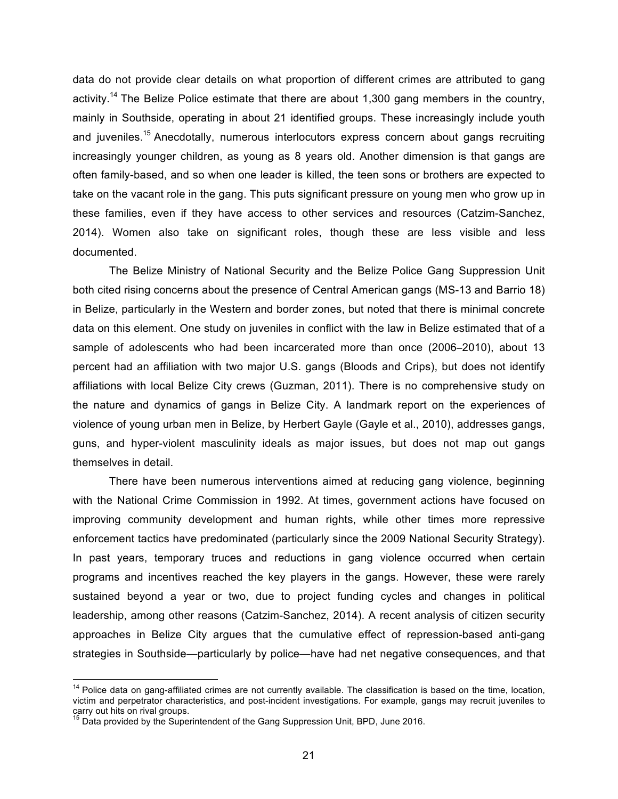data do not provide clear details on what proportion of different crimes are attributed to gang activity.<sup>14</sup> The Belize Police estimate that there are about 1,300 gang members in the country, mainly in Southside, operating in about 21 identified groups. These increasingly include youth and iuveniles.<sup>15</sup> Anecdotally, numerous interlocutors express concern about gangs recruiting increasingly younger children, as young as 8 years old. Another dimension is that gangs are often family-based, and so when one leader is killed, the teen sons or brothers are expected to take on the vacant role in the gang. This puts significant pressure on young men who grow up in these families, even if they have access to other services and resources (Catzim-Sanchez, 2014). Women also take on significant roles, though these are less visible and less documented.

The Belize Ministry of National Security and the Belize Police Gang Suppression Unit both cited rising concerns about the presence of Central American gangs (MS-13 and Barrio 18) in Belize, particularly in the Western and border zones, but noted that there is minimal concrete data on this element. One study on juveniles in conflict with the law in Belize estimated that of a sample of adolescents who had been incarcerated more than once (2006–2010), about 13 percent had an affiliation with two major U.S. gangs (Bloods and Crips), but does not identify affiliations with local Belize City crews (Guzman, 2011). There is no comprehensive study on the nature and dynamics of gangs in Belize City. A landmark report on the experiences of violence of young urban men in Belize, by Herbert Gayle (Gayle et al., 2010), addresses gangs, guns, and hyper-violent masculinity ideals as major issues, but does not map out gangs themselves in detail.

There have been numerous interventions aimed at reducing gang violence, beginning with the National Crime Commission in 1992. At times, government actions have focused on improving community development and human rights, while other times more repressive enforcement tactics have predominated (particularly since the 2009 National Security Strategy). In past years, temporary truces and reductions in gang violence occurred when certain programs and incentives reached the key players in the gangs. However, these were rarely sustained beyond a year or two, due to project funding cycles and changes in political leadership, among other reasons (Catzim-Sanchez, 2014). A recent analysis of citizen security approaches in Belize City argues that the cumulative effect of repression-based anti-gang strategies in Southside—particularly by police—have had net negative consequences, and that

 $14$  Police data on gang-affiliated crimes are not currently available. The classification is based on the time, location, victim and perpetrator characteristics, and post-incident investigations. For example, gangs may recruit juveniles to carry out hits on rival groups.

<sup>&</sup>lt;sup>15</sup> Data provided by the Superintendent of the Gang Suppression Unit, BPD, June 2016.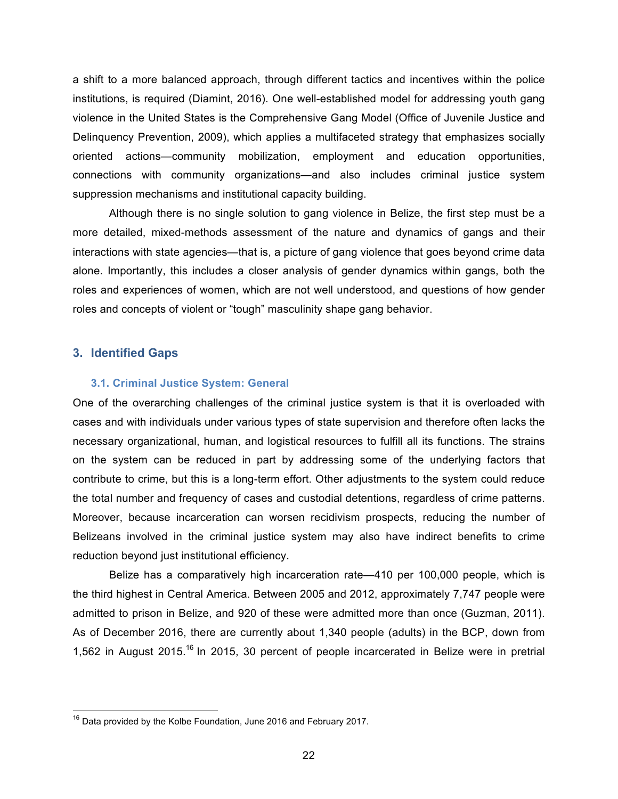a shift to a more balanced approach, through different tactics and incentives within the police institutions, is required (Diamint, 2016). One well-established model for addressing youth gang violence in the United States is the Comprehensive Gang Model (Office of Juvenile Justice and Delinquency Prevention, 2009), which applies a multifaceted strategy that emphasizes socially oriented actions—community mobilization, employment and education opportunities, connections with community organizations—and also includes criminal justice system suppression mechanisms and institutional capacity building.

Although there is no single solution to gang violence in Belize, the first step must be a more detailed, mixed-methods assessment of the nature and dynamics of gangs and their interactions with state agencies—that is, a picture of gang violence that goes beyond crime data alone. Importantly, this includes a closer analysis of gender dynamics within gangs, both the roles and experiences of women, which are not well understood, and questions of how gender roles and concepts of violent or "tough" masculinity shape gang behavior.

#### **3. Identified Gaps**

#### **3.1. Criminal Justice System: General**

One of the overarching challenges of the criminal justice system is that it is overloaded with cases and with individuals under various types of state supervision and therefore often lacks the necessary organizational, human, and logistical resources to fulfill all its functions. The strains on the system can be reduced in part by addressing some of the underlying factors that contribute to crime, but this is a long-term effort. Other adjustments to the system could reduce the total number and frequency of cases and custodial detentions, regardless of crime patterns. Moreover, because incarceration can worsen recidivism prospects, reducing the number of Belizeans involved in the criminal justice system may also have indirect benefits to crime reduction beyond just institutional efficiency.

Belize has a comparatively high incarceration rate—410 per 100,000 people, which is the third highest in Central America. Between 2005 and 2012, approximately 7,747 people were admitted to prison in Belize, and 920 of these were admitted more than once (Guzman, 2011). As of December 2016, there are currently about 1,340 people (adults) in the BCP, down from 1,562 in August 2015.<sup>16</sup> In 2015, 30 percent of people incarcerated in Belize were in pretrial

 $16$  Data provided by the Kolbe Foundation, June 2016 and February 2017.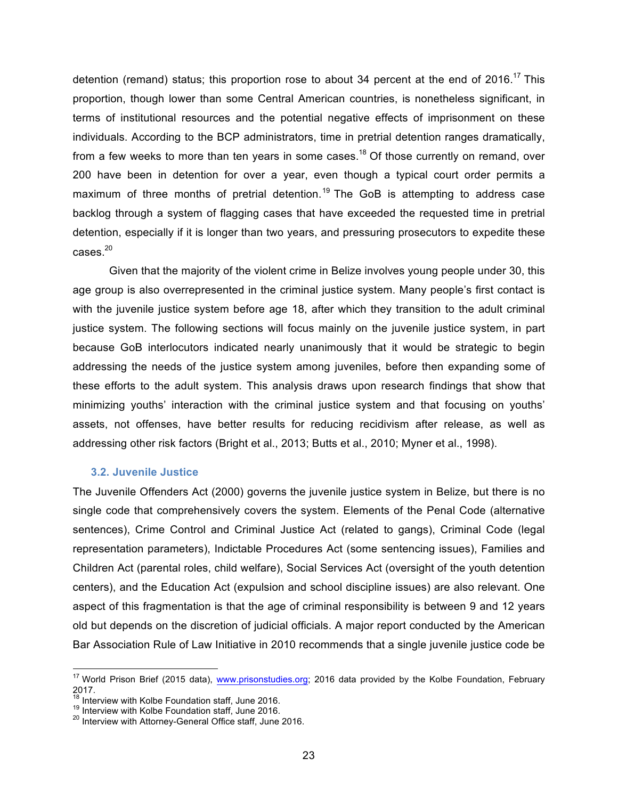detention (remand) status; this proportion rose to about 34 percent at the end of 2016.<sup>17</sup> This proportion, though lower than some Central American countries, is nonetheless significant, in terms of institutional resources and the potential negative effects of imprisonment on these individuals. According to the BCP administrators, time in pretrial detention ranges dramatically, from a few weeks to more than ten years in some cases.<sup>18</sup> Of those currently on remand, over 200 have been in detention for over a year, even though a typical court order permits a maximum of three months of pretrial detention.<sup>19</sup> The GoB is attempting to address case backlog through a system of flagging cases that have exceeded the requested time in pretrial detention, especially if it is longer than two years, and pressuring prosecutors to expedite these  $cases.<sup>20</sup>$ 

Given that the majority of the violent crime in Belize involves young people under 30, this age group is also overrepresented in the criminal justice system. Many people's first contact is with the juvenile justice system before age 18, after which they transition to the adult criminal justice system. The following sections will focus mainly on the juvenile justice system, in part because GoB interlocutors indicated nearly unanimously that it would be strategic to begin addressing the needs of the justice system among juveniles, before then expanding some of these efforts to the adult system. This analysis draws upon research findings that show that minimizing youths' interaction with the criminal justice system and that focusing on youths' assets, not offenses, have better results for reducing recidivism after release, as well as addressing other risk factors (Bright et al., 2013; Butts et al., 2010; Myner et al., 1998).

#### **3.2. Juvenile Justice**

The Juvenile Offenders Act (2000) governs the juvenile justice system in Belize, but there is no single code that comprehensively covers the system. Elements of the Penal Code (alternative sentences), Crime Control and Criminal Justice Act (related to gangs), Criminal Code (legal representation parameters), Indictable Procedures Act (some sentencing issues), Families and Children Act (parental roles, child welfare), Social Services Act (oversight of the youth detention centers), and the Education Act (expulsion and school discipline issues) are also relevant. One aspect of this fragmentation is that the age of criminal responsibility is between 9 and 12 years old but depends on the discretion of judicial officials. A major report conducted by the American Bar Association Rule of Law Initiative in 2010 recommends that a single juvenile justice code be

<sup>&</sup>lt;sup>17</sup> World Prison Brief (2015 data), www.prisonstudies.org; 2016 data provided by the Kolbe Foundation, February 2017.<br><sup>18</sup> Interview with Kolbe Foundation staff, June 2016.

<sup>&</sup>lt;sup>19</sup> Interview with Kolbe Foundation staff, June 2016.<br><sup>20</sup> Interview with Attorney-General Office staff, June 2016.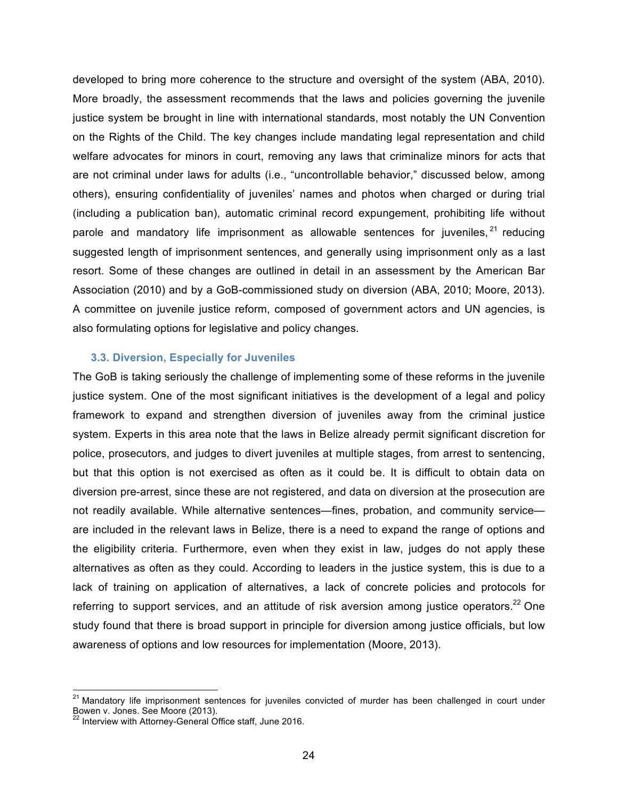developed to bring more coherence to the structure and oversight of the system (ABA, 2010). More broadly, the assessment recommends that the laws and policies governing the juvenile justice system be brought in line with international standards, most notably the UN Convention on the Rights of the Child. The key changes include mandating legal representation and child welfare advocates for minors in court, removing any laws that criminalize minors for acts that are not criminal under laws for adults (i.e., "uncontrollable behavior," discussed below, among others), ensuring confidentiality of juveniles' names and photos when charged or during trial (including a publication ban), automatic criminal record expungement, prohibiting life without parole and mandatory life imprisonment as allowable sentences for juveniles,  $21$  reducing suggested length of imprisonment sentences, and generally using imprisonment only as a last resort. Some of these changes are outlined in detail in an assessment by the American Bar Association (2010) and by a GoB-commissioned study on diversion (ABA, 2010; Moore, 2013). A committee on juvenile justice reform, composed of government actors and UN agencies, is also formulating options for legislative and policy changes.

#### **3.3. Diversion, Especially for Juveniles**

The GoB is taking seriously the challenge of implementing some of these reforms in the juvenile justice system. One of the most significant initiatives is the development of a legal and policy framework to expand and strengthen diversion of juveniles away from the criminal justice system. Experts in this area note that the laws in Belize already permit significant discretion for police, prosecutors, and judges to divert juveniles at multiple stages, from arrest to sentencing, but that this option is not exercised as often as it could be. It is difficult to obtain data on diversion pre-arrest, since these are not registered, and data on diversion at the prosecution are not readily available. While alternative sentences—fines, probation, and community service are included in the relevant laws in Belize, there is a need to expand the range of options and the eligibility criteria. Furthermore, even when they exist in law, judges do not apply these alternatives as often as they could. According to leaders in the justice system, this is due to a lack of training on application of alternatives, a lack of concrete policies and protocols for referring to support services, and an attitude of risk aversion among justice operators.<sup>22</sup> One study found that there is broad support in principle for diversion among justice officials, but low awareness of options and low resources for implementation (Moore, 2013).

<sup>&</sup>lt;sup>21</sup> Mandatory life imprisonment sentences for juveniles convicted of murder has been challenged in court under Bowen v. Jones. See Moore (2013).<br><sup>22</sup> Interview with Attorney-General Office staff, June 2016.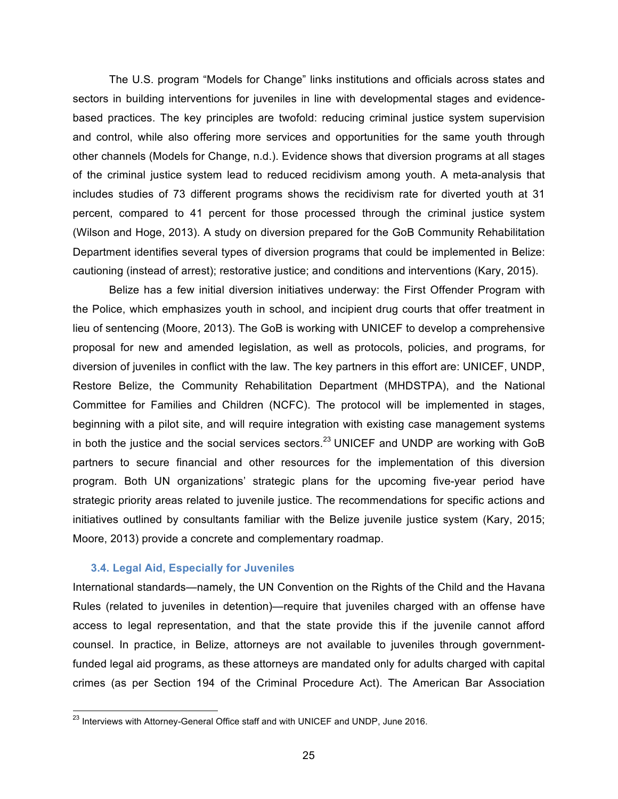The U.S. program "Models for Change" links institutions and officials across states and sectors in building interventions for juveniles in line with developmental stages and evidencebased practices. The key principles are twofold: reducing criminal justice system supervision and control, while also offering more services and opportunities for the same youth through other channels (Models for Change, n.d.). Evidence shows that diversion programs at all stages of the criminal justice system lead to reduced recidivism among youth. A meta-analysis that includes studies of 73 different programs shows the recidivism rate for diverted youth at 31 percent, compared to 41 percent for those processed through the criminal justice system (Wilson and Hoge, 2013). A study on diversion prepared for the GoB Community Rehabilitation Department identifies several types of diversion programs that could be implemented in Belize: cautioning (instead of arrest); restorative justice; and conditions and interventions (Kary, 2015).

Belize has a few initial diversion initiatives underway: the First Offender Program with the Police, which emphasizes youth in school, and incipient drug courts that offer treatment in lieu of sentencing (Moore, 2013). The GoB is working with UNICEF to develop a comprehensive proposal for new and amended legislation, as well as protocols, policies, and programs, for diversion of juveniles in conflict with the law. The key partners in this effort are: UNICEF, UNDP, Restore Belize, the Community Rehabilitation Department (MHDSTPA), and the National Committee for Families and Children (NCFC). The protocol will be implemented in stages, beginning with a pilot site, and will require integration with existing case management systems in both the justice and the social services sectors.<sup>23</sup> UNICEF and UNDP are working with GoB partners to secure financial and other resources for the implementation of this diversion program. Both UN organizations' strategic plans for the upcoming five-year period have strategic priority areas related to juvenile justice. The recommendations for specific actions and initiatives outlined by consultants familiar with the Belize juvenile justice system (Kary, 2015; Moore, 2013) provide a concrete and complementary roadmap.

#### **3.4. Legal Aid, Especially for Juveniles**

International standards—namely, the UN Convention on the Rights of the Child and the Havana Rules (related to juveniles in detention)—require that juveniles charged with an offense have access to legal representation, and that the state provide this if the juvenile cannot afford counsel. In practice, in Belize, attorneys are not available to juveniles through governmentfunded legal aid programs, as these attorneys are mandated only for adults charged with capital crimes (as per Section 194 of the Criminal Procedure Act). The American Bar Association

<sup>&</sup>lt;sup>23</sup> Interviews with Attorney-General Office staff and with UNICEF and UNDP, June 2016.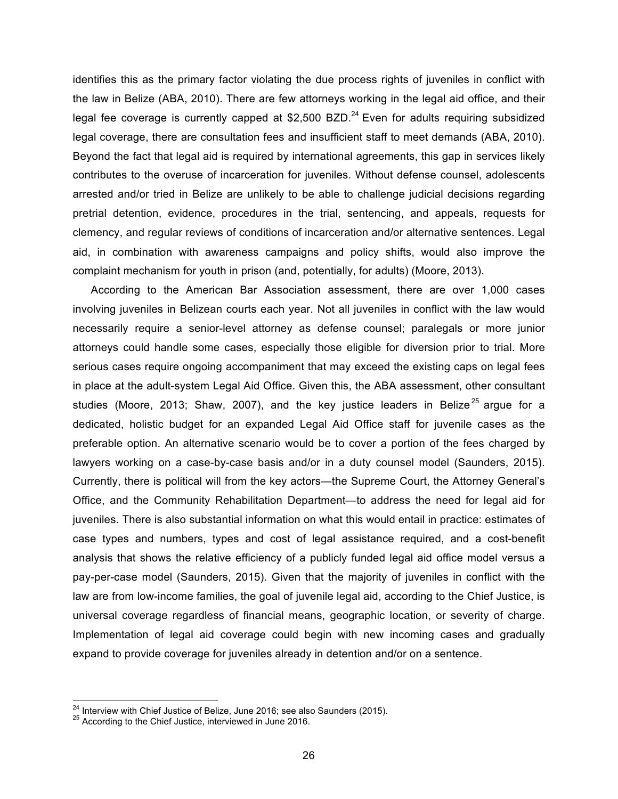identifies this as the primary factor violating the due process rights of juveniles in conflict with the law in Belize (ABA, 2010). There are few attorneys working in the legal aid office, and their legal fee coverage is currently capped at \$2,500 BZD.<sup>24</sup> Even for adults requiring subsidized legal coverage, there are consultation fees and insufficient staff to meet demands (ABA, 2010). Beyond the fact that legal aid is required by international agreements, this gap in services likely contributes to the overuse of incarceration for juveniles. Without defense counsel, adolescents arrested and/or tried in Belize are unlikely to be able to challenge judicial decisions regarding pretrial detention, evidence, procedures in the trial, sentencing, and appeals, requests for clemency, and regular reviews of conditions of incarceration and/or alternative sentences. Legal aid, in combination with awareness campaigns and policy shifts, would also improve the complaint mechanism for youth in prison (and, potentially, for adults) (Moore, 2013).

According to the American Bar Association assessment, there are over 1,000 cases involving juveniles in Belizean courts each year. Not all juveniles in conflict with the law would necessarily require a senior-level attorney as defense counsel; paralegals or more junior attorneys could handle some cases, especially those eligible for diversion prior to trial. More serious cases require ongoing accompaniment that may exceed the existing caps on legal fees in place at the adult-system Legal Aid Office. Given this, the ABA assessment, other consultant studies (Moore, 2013; Shaw, 2007), and the key justice leaders in Belize<sup>25</sup> argue for a dedicated, holistic budget for an expanded Legal Aid Office staff for juvenile cases as the preferable option. An alternative scenario would be to cover a portion of the fees charged by lawyers working on a case-by-case basis and/or in a duty counsel model (Saunders, 2015). Currently, there is political will from the key actors—the Supreme Court, the Attorney General's Office, and the Community Rehabilitation Department—to address the need for legal aid for juveniles. There is also substantial information on what this would entail in practice: estimates of case types and numbers, types and cost of legal assistance required, and a cost-benefit analysis that shows the relative efficiency of a publicly funded legal aid office model versus a pay-per-case model (Saunders, 2015). Given that the majority of juveniles in conflict with the law are from low-income families, the goal of juvenile legal aid, according to the Chief Justice, is universal coverage regardless of financial means, geographic location, or severity of charge. Implementation of legal aid coverage could begin with new incoming cases and gradually expand to provide coverage for juveniles already in detention and/or on a sentence.

 $^{24}$  Interview with Chief Justice of Belize, June 2016; see also Saunders (2015).<br><sup>25</sup> According to the Chief Justice, interviewed in June 2016.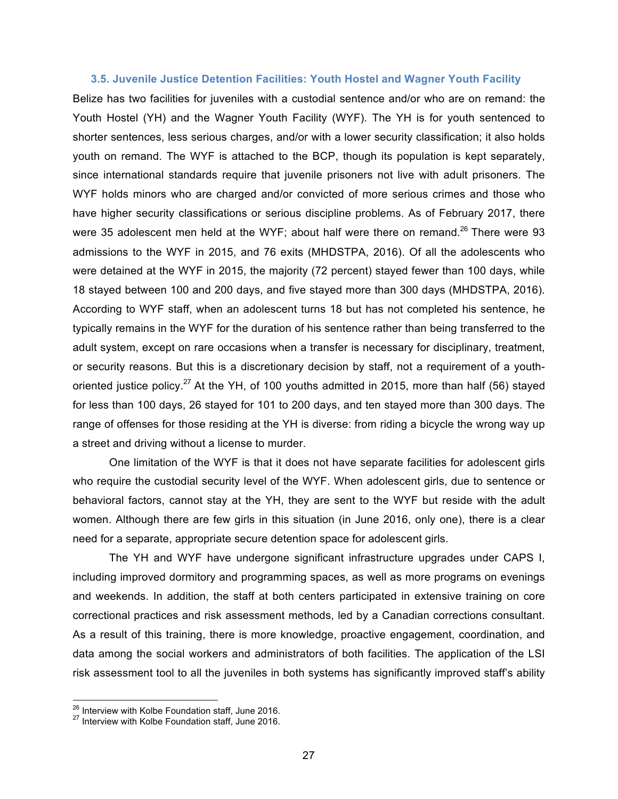#### **3.5. Juvenile Justice Detention Facilities: Youth Hostel and Wagner Youth Facility**

Belize has two facilities for juveniles with a custodial sentence and/or who are on remand: the Youth Hostel (YH) and the Wagner Youth Facility (WYF). The YH is for youth sentenced to shorter sentences, less serious charges, and/or with a lower security classification; it also holds youth on remand. The WYF is attached to the BCP, though its population is kept separately, since international standards require that juvenile prisoners not live with adult prisoners. The WYF holds minors who are charged and/or convicted of more serious crimes and those who have higher security classifications or serious discipline problems. As of February 2017, there were 35 adolescent men held at the WYF; about half were there on remand.<sup>26</sup> There were 93 admissions to the WYF in 2015, and 76 exits (MHDSTPA, 2016). Of all the adolescents who were detained at the WYF in 2015, the majority (72 percent) stayed fewer than 100 days, while 18 stayed between 100 and 200 days, and five stayed more than 300 days (MHDSTPA, 2016). According to WYF staff, when an adolescent turns 18 but has not completed his sentence, he typically remains in the WYF for the duration of his sentence rather than being transferred to the adult system, except on rare occasions when a transfer is necessary for disciplinary, treatment, or security reasons. But this is a discretionary decision by staff, not a requirement of a youthoriented justice policy.<sup>27</sup> At the YH, of 100 youths admitted in 2015, more than half (56) stayed for less than 100 days, 26 stayed for 101 to 200 days, and ten stayed more than 300 days. The range of offenses for those residing at the YH is diverse: from riding a bicycle the wrong way up a street and driving without a license to murder.

One limitation of the WYF is that it does not have separate facilities for adolescent girls who require the custodial security level of the WYF. When adolescent girls, due to sentence or behavioral factors, cannot stay at the YH, they are sent to the WYF but reside with the adult women. Although there are few girls in this situation (in June 2016, only one), there is a clear need for a separate, appropriate secure detention space for adolescent girls.

The YH and WYF have undergone significant infrastructure upgrades under CAPS I, including improved dormitory and programming spaces, as well as more programs on evenings and weekends. In addition, the staff at both centers participated in extensive training on core correctional practices and risk assessment methods, led by a Canadian corrections consultant. As a result of this training, there is more knowledge, proactive engagement, coordination, and data among the social workers and administrators of both facilities. The application of the LSI risk assessment tool to all the juveniles in both systems has significantly improved staff's ability

<sup>&</sup>lt;sup>26</sup> Interview with Kolbe Foundation staff, June 2016.<br><sup>27</sup> Interview with Kolbe Foundation staff, June 2016.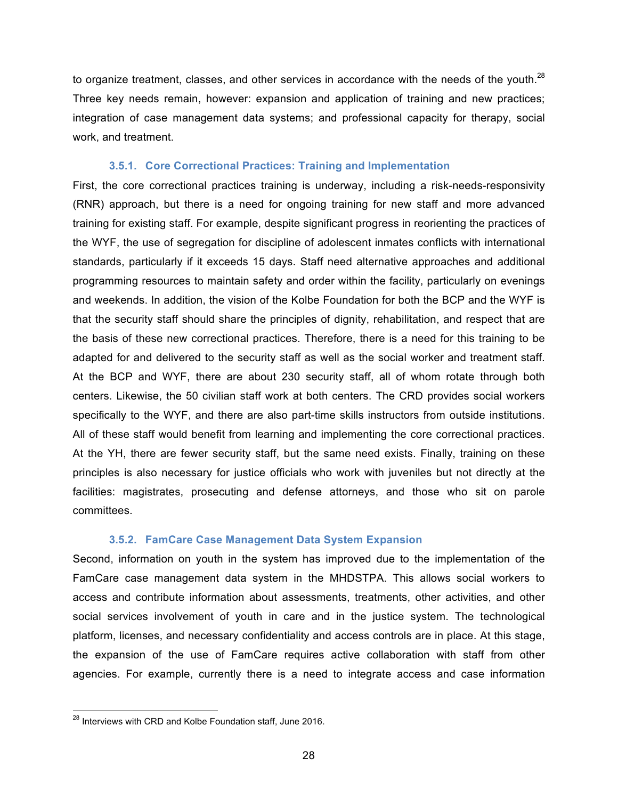to organize treatment, classes, and other services in accordance with the needs of the youth.<sup>28</sup> Three key needs remain, however: expansion and application of training and new practices; integration of case management data systems; and professional capacity for therapy, social work, and treatment.

#### **3.5.1. Core Correctional Practices: Training and Implementation**

First, the core correctional practices training is underway, including a risk-needs-responsivity (RNR) approach, but there is a need for ongoing training for new staff and more advanced training for existing staff. For example, despite significant progress in reorienting the practices of the WYF, the use of segregation for discipline of adolescent inmates conflicts with international standards, particularly if it exceeds 15 days. Staff need alternative approaches and additional programming resources to maintain safety and order within the facility, particularly on evenings and weekends. In addition, the vision of the Kolbe Foundation for both the BCP and the WYF is that the security staff should share the principles of dignity, rehabilitation, and respect that are the basis of these new correctional practices. Therefore, there is a need for this training to be adapted for and delivered to the security staff as well as the social worker and treatment staff. At the BCP and WYF, there are about 230 security staff, all of whom rotate through both centers. Likewise, the 50 civilian staff work at both centers. The CRD provides social workers specifically to the WYF, and there are also part-time skills instructors from outside institutions. All of these staff would benefit from learning and implementing the core correctional practices. At the YH, there are fewer security staff, but the same need exists. Finally, training on these principles is also necessary for justice officials who work with juveniles but not directly at the facilities: magistrates, prosecuting and defense attorneys, and those who sit on parole committees.

#### **3.5.2. FamCare Case Management Data System Expansion**

Second, information on youth in the system has improved due to the implementation of the FamCare case management data system in the MHDSTPA. This allows social workers to access and contribute information about assessments, treatments, other activities, and other social services involvement of youth in care and in the justice system. The technological platform, licenses, and necessary confidentiality and access controls are in place. At this stage, the expansion of the use of FamCare requires active collaboration with staff from other agencies. For example, currently there is a need to integrate access and case information

<sup>&</sup>lt;sup>28</sup> Interviews with CRD and Kolbe Foundation staff, June 2016.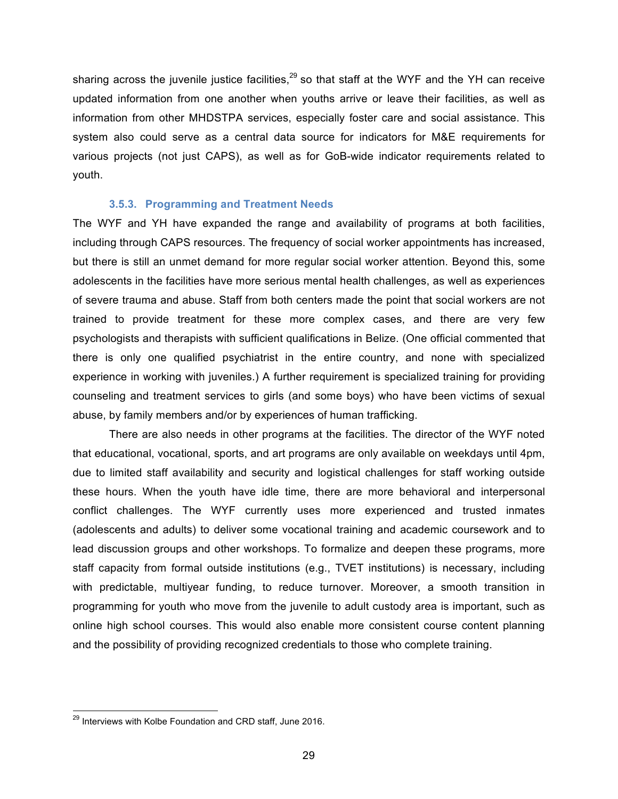sharing across the juvenile justice facilities,  $29$  so that staff at the WYF and the YH can receive updated information from one another when youths arrive or leave their facilities, as well as information from other MHDSTPA services, especially foster care and social assistance. This system also could serve as a central data source for indicators for M&E requirements for various projects (not just CAPS), as well as for GoB-wide indicator requirements related to youth.

#### **3.5.3. Programming and Treatment Needs**

The WYF and YH have expanded the range and availability of programs at both facilities, including through CAPS resources. The frequency of social worker appointments has increased, but there is still an unmet demand for more regular social worker attention. Beyond this, some adolescents in the facilities have more serious mental health challenges, as well as experiences of severe trauma and abuse. Staff from both centers made the point that social workers are not trained to provide treatment for these more complex cases, and there are very few psychologists and therapists with sufficient qualifications in Belize. (One official commented that there is only one qualified psychiatrist in the entire country, and none with specialized experience in working with juveniles.) A further requirement is specialized training for providing counseling and treatment services to girls (and some boys) who have been victims of sexual abuse, by family members and/or by experiences of human trafficking.

There are also needs in other programs at the facilities. The director of the WYF noted that educational, vocational, sports, and art programs are only available on weekdays until 4pm, due to limited staff availability and security and logistical challenges for staff working outside these hours. When the youth have idle time, there are more behavioral and interpersonal conflict challenges. The WYF currently uses more experienced and trusted inmates (adolescents and adults) to deliver some vocational training and academic coursework and to lead discussion groups and other workshops. To formalize and deepen these programs, more staff capacity from formal outside institutions (e.g., TVET institutions) is necessary, including with predictable, multiyear funding, to reduce turnover. Moreover, a smooth transition in programming for youth who move from the juvenile to adult custody area is important, such as online high school courses. This would also enable more consistent course content planning and the possibility of providing recognized credentials to those who complete training.

 $^{29}$  Interviews with Kolbe Foundation and CRD staff, June 2016.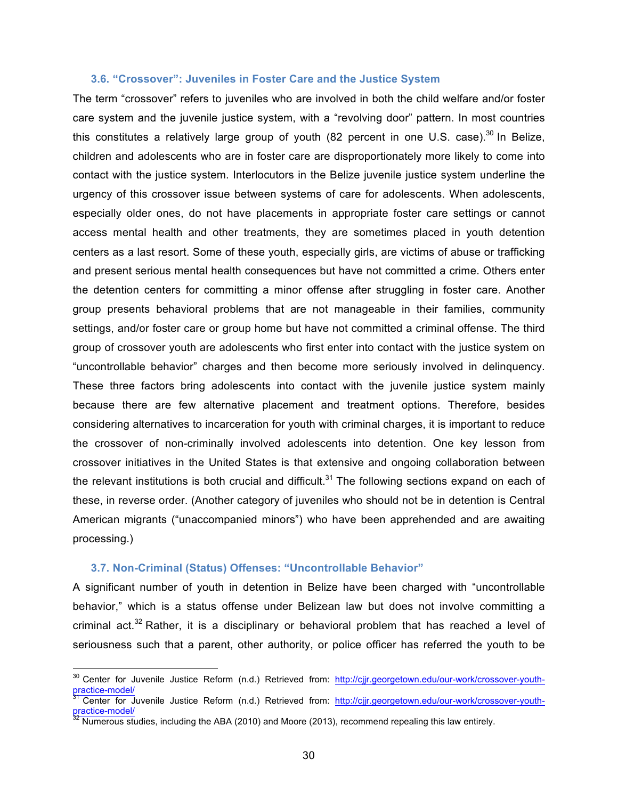#### **3.6. "Crossover": Juveniles in Foster Care and the Justice System**

The term "crossover" refers to juveniles who are involved in both the child welfare and/or foster care system and the juvenile justice system, with a "revolving door" pattern. In most countries this constitutes a relatively large group of youth (82 percent in one U.S. case).<sup>30</sup> In Belize, children and adolescents who are in foster care are disproportionately more likely to come into contact with the justice system. Interlocutors in the Belize juvenile justice system underline the urgency of this crossover issue between systems of care for adolescents. When adolescents, especially older ones, do not have placements in appropriate foster care settings or cannot access mental health and other treatments, they are sometimes placed in youth detention centers as a last resort. Some of these youth, especially girls, are victims of abuse or trafficking and present serious mental health consequences but have not committed a crime. Others enter the detention centers for committing a minor offense after struggling in foster care. Another group presents behavioral problems that are not manageable in their families, community settings, and/or foster care or group home but have not committed a criminal offense. The third group of crossover youth are adolescents who first enter into contact with the justice system on "uncontrollable behavior" charges and then become more seriously involved in delinquency. These three factors bring adolescents into contact with the juvenile justice system mainly because there are few alternative placement and treatment options. Therefore, besides considering alternatives to incarceration for youth with criminal charges, it is important to reduce the crossover of non-criminally involved adolescents into detention. One key lesson from crossover initiatives in the United States is that extensive and ongoing collaboration between the relevant institutions is both crucial and difficult.<sup>31</sup> The following sections expand on each of these, in reverse order. (Another category of juveniles who should not be in detention is Central American migrants ("unaccompanied minors") who have been apprehended and are awaiting processing.)

#### **3.7. Non-Criminal (Status) Offenses: "Uncontrollable Behavior"**

A significant number of youth in detention in Belize have been charged with "uncontrollable behavior," which is a status offense under Belizean law but does not involve committing a criminal act. $32$  Rather, it is a disciplinary or behavioral problem that has reached a level of seriousness such that a parent, other authority, or police officer has referred the youth to be

<sup>&</sup>lt;sup>30</sup> Center for Juvenile Justice Reform (n.d.) Retrieved from: http://cjjr.georgetown.edu/our-work/crossover-youth-<br>practice-model/

<sup>&</sup>lt;sup>31</sup> Center for Juvenile Justice Reform (n.d.) Retrieved from: http://cjjr.georgetown.edu/our-work/crossover-youth-<br>practice-model/

Numerous studies, including the ABA (2010) and Moore (2013), recommend repealing this law entirely.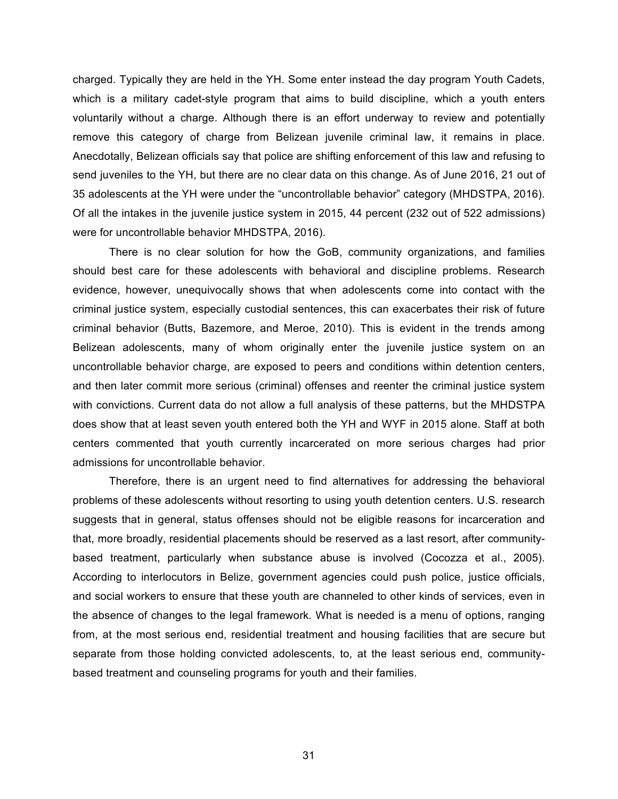charged. Typically they are held in the YH. Some enter instead the day program Youth Cadets, which is a military cadet-style program that aims to build discipline, which a youth enters voluntarily without a charge. Although there is an effort underway to review and potentially remove this category of charge from Belizean juvenile criminal law, it remains in place. Anecdotally, Belizean officials say that police are shifting enforcement of this law and refusing to send juveniles to the YH, but there are no clear data on this change. As of June 2016, 21 out of 35 adolescents at the YH were under the "uncontrollable behavior" category (MHDSTPA, 2016). Of all the intakes in the juvenile justice system in 2015, 44 percent (232 out of 522 admissions) were for uncontrollable behavior MHDSTPA, 2016).

There is no clear solution for how the GoB, community organizations, and families should best care for these adolescents with behavioral and discipline problems. Research evidence, however, unequivocally shows that when adolescents come into contact with the criminal justice system, especially custodial sentences, this can exacerbates their risk of future criminal behavior (Butts, Bazemore, and Meroe, 2010). This is evident in the trends among Belizean adolescents, many of whom originally enter the juvenile justice system on an uncontrollable behavior charge, are exposed to peers and conditions within detention centers, and then later commit more serious (criminal) offenses and reenter the criminal justice system with convictions. Current data do not allow a full analysis of these patterns, but the MHDSTPA does show that at least seven youth entered both the YH and WYF in 2015 alone. Staff at both centers commented that youth currently incarcerated on more serious charges had prior admissions for uncontrollable behavior.

Therefore, there is an urgent need to find alternatives for addressing the behavioral problems of these adolescents without resorting to using youth detention centers. U.S. research suggests that in general, status offenses should not be eligible reasons for incarceration and that, more broadly, residential placements should be reserved as a last resort, after communitybased treatment, particularly when substance abuse is involved (Cocozza et al., 2005). According to interlocutors in Belize, government agencies could push police, justice officials, and social workers to ensure that these youth are channeled to other kinds of services, even in the absence of changes to the legal framework. What is needed is a menu of options, ranging from, at the most serious end, residential treatment and housing facilities that are secure but separate from those holding convicted adolescents, to, at the least serious end, communitybased treatment and counseling programs for youth and their families.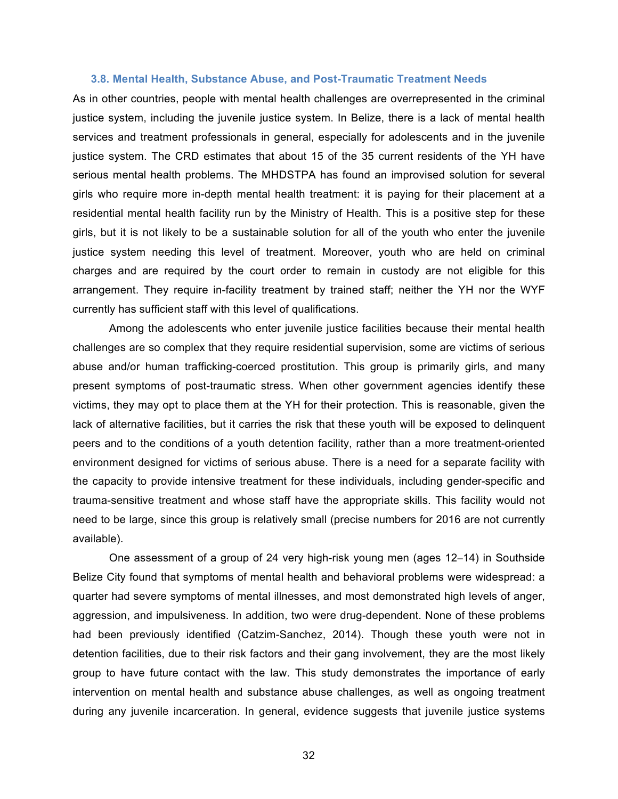#### **3.8. Mental Health, Substance Abuse, and Post-Traumatic Treatment Needs**

As in other countries, people with mental health challenges are overrepresented in the criminal justice system, including the juvenile justice system. In Belize, there is a lack of mental health services and treatment professionals in general, especially for adolescents and in the juvenile justice system. The CRD estimates that about 15 of the 35 current residents of the YH have serious mental health problems. The MHDSTPA has found an improvised solution for several girls who require more in-depth mental health treatment: it is paying for their placement at a residential mental health facility run by the Ministry of Health. This is a positive step for these girls, but it is not likely to be a sustainable solution for all of the youth who enter the juvenile justice system needing this level of treatment. Moreover, youth who are held on criminal charges and are required by the court order to remain in custody are not eligible for this arrangement. They require in-facility treatment by trained staff; neither the YH nor the WYF currently has sufficient staff with this level of qualifications.

Among the adolescents who enter juvenile justice facilities because their mental health challenges are so complex that they require residential supervision, some are victims of serious abuse and/or human trafficking-coerced prostitution. This group is primarily girls, and many present symptoms of post-traumatic stress. When other government agencies identify these victims, they may opt to place them at the YH for their protection. This is reasonable, given the lack of alternative facilities, but it carries the risk that these youth will be exposed to delinquent peers and to the conditions of a youth detention facility, rather than a more treatment-oriented environment designed for victims of serious abuse. There is a need for a separate facility with the capacity to provide intensive treatment for these individuals, including gender-specific and trauma-sensitive treatment and whose staff have the appropriate skills. This facility would not need to be large, since this group is relatively small (precise numbers for 2016 are not currently available).

One assessment of a group of 24 very high-risk young men (ages 12–14) in Southside Belize City found that symptoms of mental health and behavioral problems were widespread: a quarter had severe symptoms of mental illnesses, and most demonstrated high levels of anger, aggression, and impulsiveness. In addition, two were drug-dependent. None of these problems had been previously identified (Catzim-Sanchez, 2014). Though these youth were not in detention facilities, due to their risk factors and their gang involvement, they are the most likely group to have future contact with the law. This study demonstrates the importance of early intervention on mental health and substance abuse challenges, as well as ongoing treatment during any juvenile incarceration. In general, evidence suggests that juvenile justice systems

32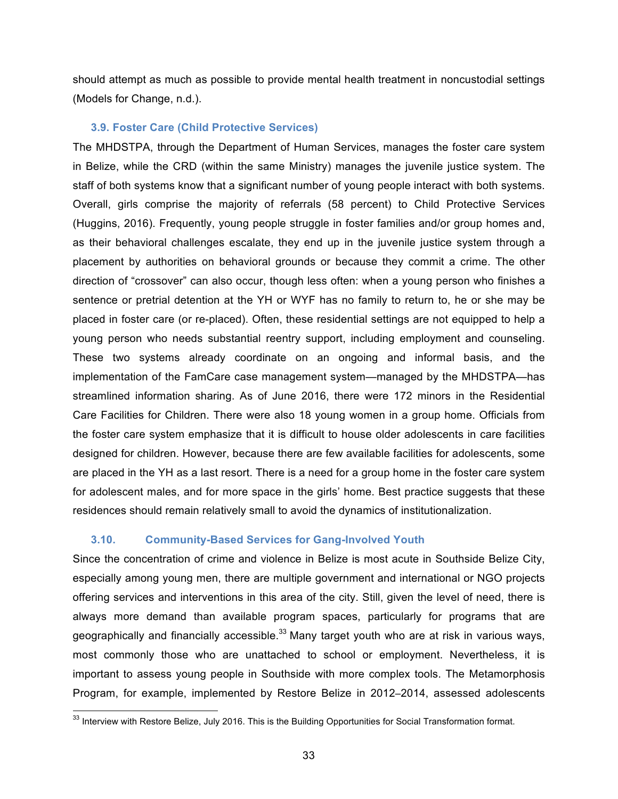should attempt as much as possible to provide mental health treatment in noncustodial settings (Models for Change, n.d.).

#### **3.9. Foster Care (Child Protective Services)**

The MHDSTPA, through the Department of Human Services, manages the foster care system in Belize, while the CRD (within the same Ministry) manages the juvenile justice system. The staff of both systems know that a significant number of young people interact with both systems. Overall, girls comprise the majority of referrals (58 percent) to Child Protective Services (Huggins, 2016). Frequently, young people struggle in foster families and/or group homes and, as their behavioral challenges escalate, they end up in the juvenile justice system through a placement by authorities on behavioral grounds or because they commit a crime. The other direction of "crossover" can also occur, though less often: when a young person who finishes a sentence or pretrial detention at the YH or WYF has no family to return to, he or she may be placed in foster care (or re-placed). Often, these residential settings are not equipped to help a young person who needs substantial reentry support, including employment and counseling. These two systems already coordinate on an ongoing and informal basis, and the implementation of the FamCare case management system—managed by the MHDSTPA—has streamlined information sharing. As of June 2016, there were 172 minors in the Residential Care Facilities for Children. There were also 18 young women in a group home. Officials from the foster care system emphasize that it is difficult to house older adolescents in care facilities designed for children. However, because there are few available facilities for adolescents, some are placed in the YH as a last resort. There is a need for a group home in the foster care system for adolescent males, and for more space in the girls' home. Best practice suggests that these residences should remain relatively small to avoid the dynamics of institutionalization.

#### **3.10. Community-Based Services for Gang-Involved Youth**

Since the concentration of crime and violence in Belize is most acute in Southside Belize City, especially among young men, there are multiple government and international or NGO projects offering services and interventions in this area of the city. Still, given the level of need, there is always more demand than available program spaces, particularly for programs that are geographically and financially accessible. $33$  Many target youth who are at risk in various ways, most commonly those who are unattached to school or employment. Nevertheless, it is important to assess young people in Southside with more complex tools. The Metamorphosis Program, for example, implemented by Restore Belize in 2012–2014, assessed adolescents

<sup>&</sup>lt;sup>33</sup> Interview with Restore Belize, July 2016. This is the Building Opportunities for Social Transformation format.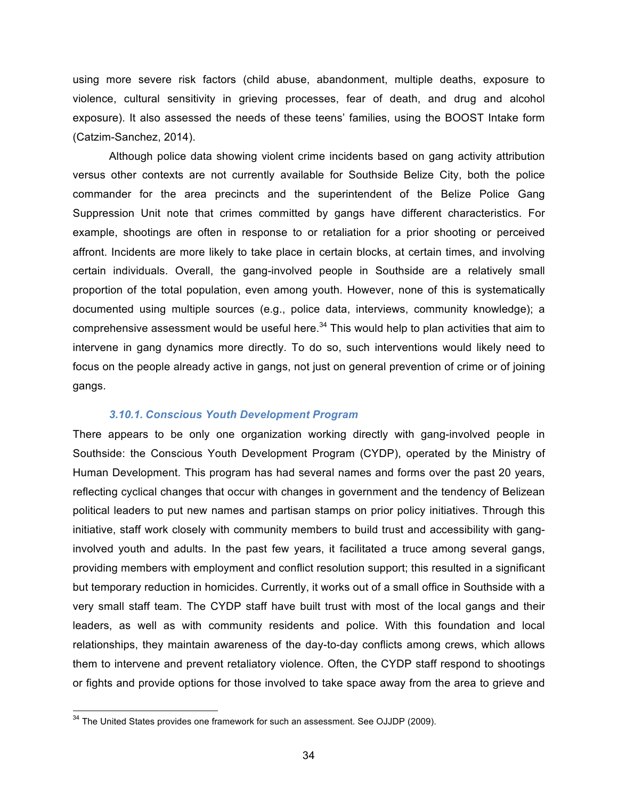using more severe risk factors (child abuse, abandonment, multiple deaths, exposure to violence, cultural sensitivity in grieving processes, fear of death, and drug and alcohol exposure). It also assessed the needs of these teens' families, using the BOOST Intake form (Catzim-Sanchez, 2014).

Although police data showing violent crime incidents based on gang activity attribution versus other contexts are not currently available for Southside Belize City, both the police commander for the area precincts and the superintendent of the Belize Police Gang Suppression Unit note that crimes committed by gangs have different characteristics. For example, shootings are often in response to or retaliation for a prior shooting or perceived affront. Incidents are more likely to take place in certain blocks, at certain times, and involving certain individuals. Overall, the gang-involved people in Southside are a relatively small proportion of the total population, even among youth. However, none of this is systematically documented using multiple sources (e.g., police data, interviews, community knowledge); a comprehensive assessment would be useful here. $34$  This would help to plan activities that aim to intervene in gang dynamics more directly. To do so, such interventions would likely need to focus on the people already active in gangs, not just on general prevention of crime or of joining gangs.

#### *3.10.1. Conscious Youth Development Program*

There appears to be only one organization working directly with gang-involved people in Southside: the Conscious Youth Development Program (CYDP), operated by the Ministry of Human Development. This program has had several names and forms over the past 20 years, reflecting cyclical changes that occur with changes in government and the tendency of Belizean political leaders to put new names and partisan stamps on prior policy initiatives. Through this initiative, staff work closely with community members to build trust and accessibility with ganginvolved youth and adults. In the past few years, it facilitated a truce among several gangs, providing members with employment and conflict resolution support; this resulted in a significant but temporary reduction in homicides. Currently, it works out of a small office in Southside with a very small staff team. The CYDP staff have built trust with most of the local gangs and their leaders, as well as with community residents and police. With this foundation and local relationships, they maintain awareness of the day-to-day conflicts among crews, which allows them to intervene and prevent retaliatory violence. Often, the CYDP staff respond to shootings or fights and provide options for those involved to take space away from the area to grieve and

 $34$  The United States provides one framework for such an assessment. See OJJDP (2009).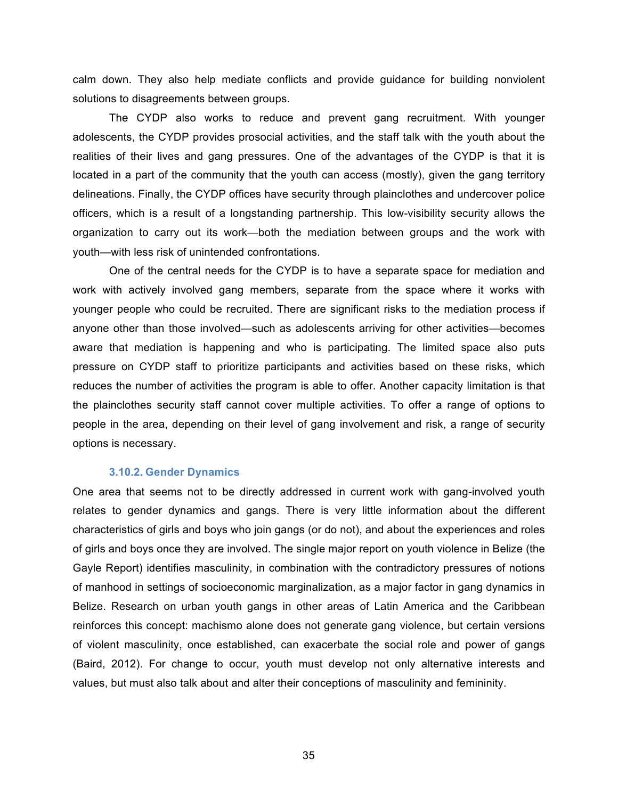calm down. They also help mediate conflicts and provide guidance for building nonviolent solutions to disagreements between groups.

The CYDP also works to reduce and prevent gang recruitment. With younger adolescents, the CYDP provides prosocial activities, and the staff talk with the youth about the realities of their lives and gang pressures. One of the advantages of the CYDP is that it is located in a part of the community that the youth can access (mostly), given the gang territory delineations. Finally, the CYDP offices have security through plainclothes and undercover police officers, which is a result of a longstanding partnership. This low-visibility security allows the organization to carry out its work—both the mediation between groups and the work with youth—with less risk of unintended confrontations.

One of the central needs for the CYDP is to have a separate space for mediation and work with actively involved gang members, separate from the space where it works with younger people who could be recruited. There are significant risks to the mediation process if anyone other than those involved—such as adolescents arriving for other activities—becomes aware that mediation is happening and who is participating. The limited space also puts pressure on CYDP staff to prioritize participants and activities based on these risks, which reduces the number of activities the program is able to offer. Another capacity limitation is that the plainclothes security staff cannot cover multiple activities. To offer a range of options to people in the area, depending on their level of gang involvement and risk, a range of security options is necessary.

#### **3.10.2. Gender Dynamics**

One area that seems not to be directly addressed in current work with gang-involved youth relates to gender dynamics and gangs. There is very little information about the different characteristics of girls and boys who join gangs (or do not), and about the experiences and roles of girls and boys once they are involved. The single major report on youth violence in Belize (the Gayle Report) identifies masculinity, in combination with the contradictory pressures of notions of manhood in settings of socioeconomic marginalization, as a major factor in gang dynamics in Belize. Research on urban youth gangs in other areas of Latin America and the Caribbean reinforces this concept: machismo alone does not generate gang violence, but certain versions of violent masculinity, once established, can exacerbate the social role and power of gangs (Baird, 2012). For change to occur, youth must develop not only alternative interests and values, but must also talk about and alter their conceptions of masculinity and femininity.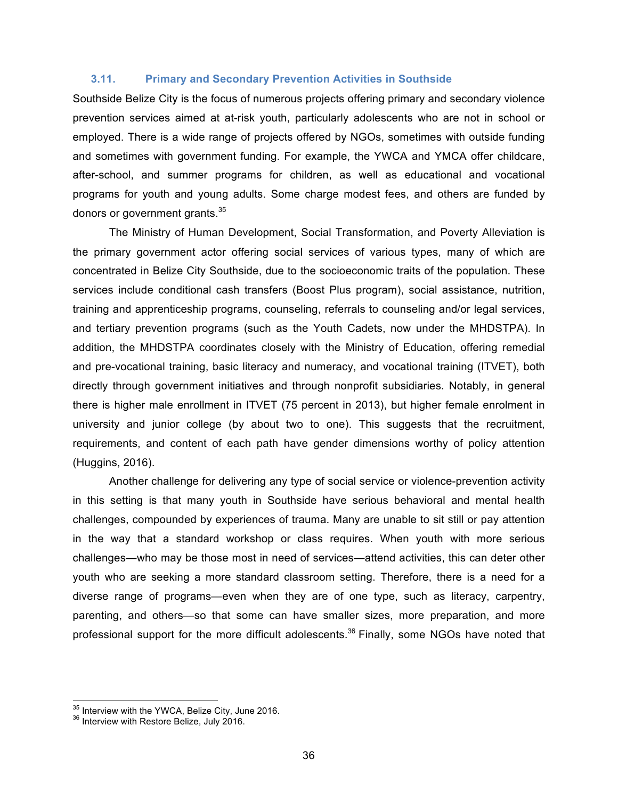#### **3.11. Primary and Secondary Prevention Activities in Southside**

Southside Belize City is the focus of numerous projects offering primary and secondary violence prevention services aimed at at-risk youth, particularly adolescents who are not in school or employed. There is a wide range of projects offered by NGOs, sometimes with outside funding and sometimes with government funding. For example, the YWCA and YMCA offer childcare, after-school, and summer programs for children, as well as educational and vocational programs for youth and young adults. Some charge modest fees, and others are funded by donors or government grants.<sup>35</sup>

The Ministry of Human Development, Social Transformation, and Poverty Alleviation is the primary government actor offering social services of various types, many of which are concentrated in Belize City Southside, due to the socioeconomic traits of the population. These services include conditional cash transfers (Boost Plus program), social assistance, nutrition, training and apprenticeship programs, counseling, referrals to counseling and/or legal services, and tertiary prevention programs (such as the Youth Cadets, now under the MHDSTPA). In addition, the MHDSTPA coordinates closely with the Ministry of Education, offering remedial and pre-vocational training, basic literacy and numeracy, and vocational training (ITVET), both directly through government initiatives and through nonprofit subsidiaries. Notably, in general there is higher male enrollment in ITVET (75 percent in 2013), but higher female enrolment in university and junior college (by about two to one). This suggests that the recruitment, requirements, and content of each path have gender dimensions worthy of policy attention (Huggins, 2016).

Another challenge for delivering any type of social service or violence-prevention activity in this setting is that many youth in Southside have serious behavioral and mental health challenges, compounded by experiences of trauma. Many are unable to sit still or pay attention in the way that a standard workshop or class requires. When youth with more serious challenges—who may be those most in need of services—attend activities, this can deter other youth who are seeking a more standard classroom setting. Therefore, there is a need for a diverse range of programs—even when they are of one type, such as literacy, carpentry, parenting, and others—so that some can have smaller sizes, more preparation, and more professional support for the more difficult adolescents.<sup>36</sup> Finally, some NGOs have noted that

 $35$  Interview with the YWCA, Belize City, June 2016.<br> $36$  Interview with Restore Belize, July 2016.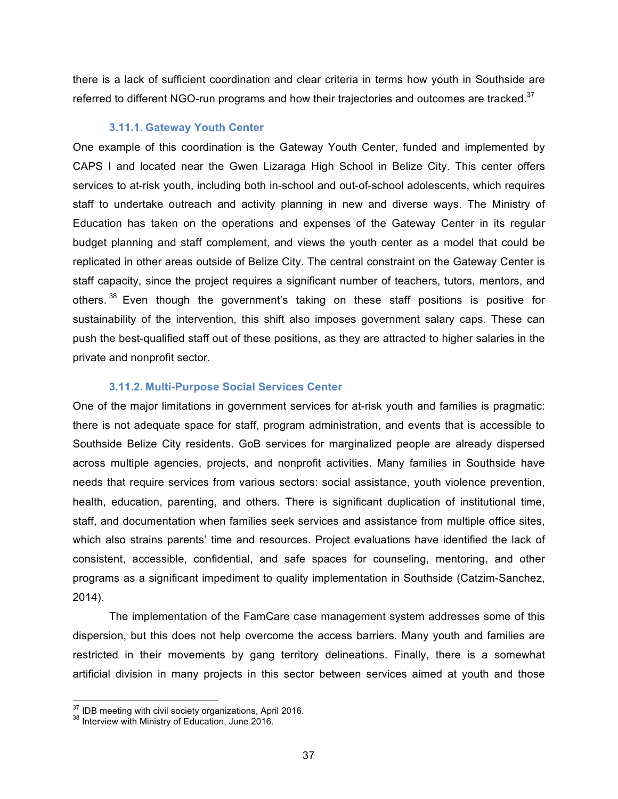there is a lack of sufficient coordination and clear criteria in terms how youth in Southside are referred to different NGO-run programs and how their trajectories and outcomes are tracked.<sup>37</sup>

#### **3.11.1. Gateway Youth Center**

One example of this coordination is the Gateway Youth Center, funded and implemented by CAPS I and located near the Gwen Lizaraga High School in Belize City. This center offers services to at-risk youth, including both in-school and out-of-school adolescents, which requires staff to undertake outreach and activity planning in new and diverse ways. The Ministry of Education has taken on the operations and expenses of the Gateway Center in its regular budget planning and staff complement, and views the youth center as a model that could be replicated in other areas outside of Belize City. The central constraint on the Gateway Center is staff capacity, since the project requires a significant number of teachers, tutors, mentors, and others.<sup>38</sup> Even though the government's taking on these staff positions is positive for sustainability of the intervention, this shift also imposes government salary caps. These can push the best-qualified staff out of these positions, as they are attracted to higher salaries in the private and nonprofit sector.

#### **3.11.2. Multi-Purpose Social Services Center**

One of the major limitations in government services for at-risk youth and families is pragmatic: there is not adequate space for staff, program administration, and events that is accessible to Southside Belize City residents. GoB services for marginalized people are already dispersed across multiple agencies, projects, and nonprofit activities. Many families in Southside have needs that require services from various sectors: social assistance, youth violence prevention, health, education, parenting, and others. There is significant duplication of institutional time, staff, and documentation when families seek services and assistance from multiple office sites, which also strains parents' time and resources. Project evaluations have identified the lack of consistent, accessible, confidential, and safe spaces for counseling, mentoring, and other programs as a significant impediment to quality implementation in Southside (Catzim-Sanchez, 2014).

The implementation of the FamCare case management system addresses some of this dispersion, but this does not help overcome the access barriers. Many youth and families are restricted in their movements by gang territory delineations. Finally, there is a somewhat artificial division in many projects in this sector between services aimed at youth and those

 $37$  IDB meeting with civil society organizations, April 2016.<br> $38$  Interview with Ministry of Education, June 2016.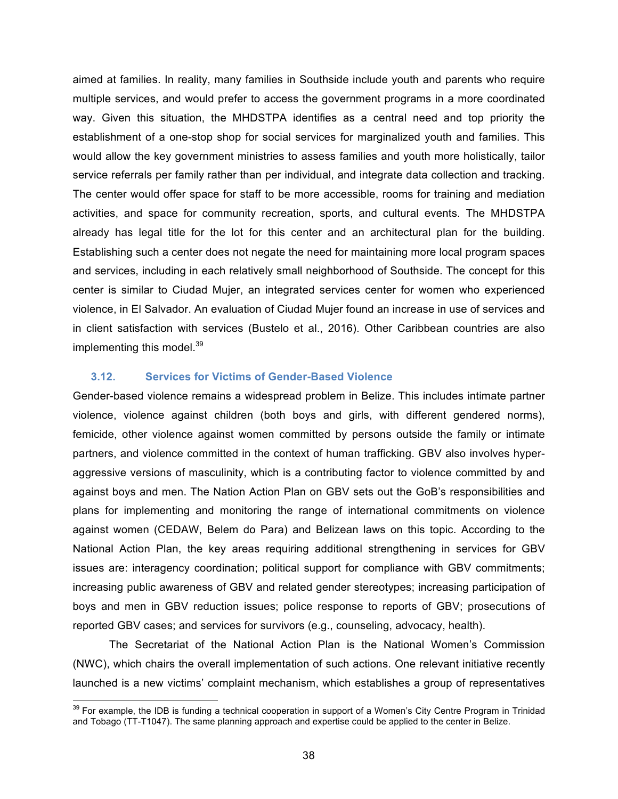aimed at families. In reality, many families in Southside include youth and parents who require multiple services, and would prefer to access the government programs in a more coordinated way. Given this situation, the MHDSTPA identifies as a central need and top priority the establishment of a one-stop shop for social services for marginalized youth and families. This would allow the key government ministries to assess families and youth more holistically, tailor service referrals per family rather than per individual, and integrate data collection and tracking. The center would offer space for staff to be more accessible, rooms for training and mediation activities, and space for community recreation, sports, and cultural events. The MHDSTPA already has legal title for the lot for this center and an architectural plan for the building. Establishing such a center does not negate the need for maintaining more local program spaces and services, including in each relatively small neighborhood of Southside. The concept for this center is similar to Ciudad Mujer, an integrated services center for women who experienced violence, in El Salvador. An evaluation of Ciudad Mujer found an increase in use of services and in client satisfaction with services (Bustelo et al., 2016). Other Caribbean countries are also implementing this model.<sup>39</sup>

#### **3.12. Services for Victims of Gender-Based Violence**

Gender-based violence remains a widespread problem in Belize. This includes intimate partner violence, violence against children (both boys and girls, with different gendered norms), femicide, other violence against women committed by persons outside the family or intimate partners, and violence committed in the context of human trafficking. GBV also involves hyperaggressive versions of masculinity, which is a contributing factor to violence committed by and against boys and men. The Nation Action Plan on GBV sets out the GoB's responsibilities and plans for implementing and monitoring the range of international commitments on violence against women (CEDAW, Belem do Para) and Belizean laws on this topic. According to the National Action Plan, the key areas requiring additional strengthening in services for GBV issues are: interagency coordination; political support for compliance with GBV commitments; increasing public awareness of GBV and related gender stereotypes; increasing participation of boys and men in GBV reduction issues; police response to reports of GBV; prosecutions of reported GBV cases; and services for survivors (e.g., counseling, advocacy, health).

The Secretariat of the National Action Plan is the National Women's Commission (NWC), which chairs the overall implementation of such actions. One relevant initiative recently launched is a new victims' complaint mechanism, which establishes a group of representatives

<sup>&</sup>lt;sup>39</sup> For example, the IDB is funding a technical cooperation in support of a Women's City Centre Program in Trinidad and Tobago (TT-T1047). The same planning approach and expertise could be applied to the center in Belize.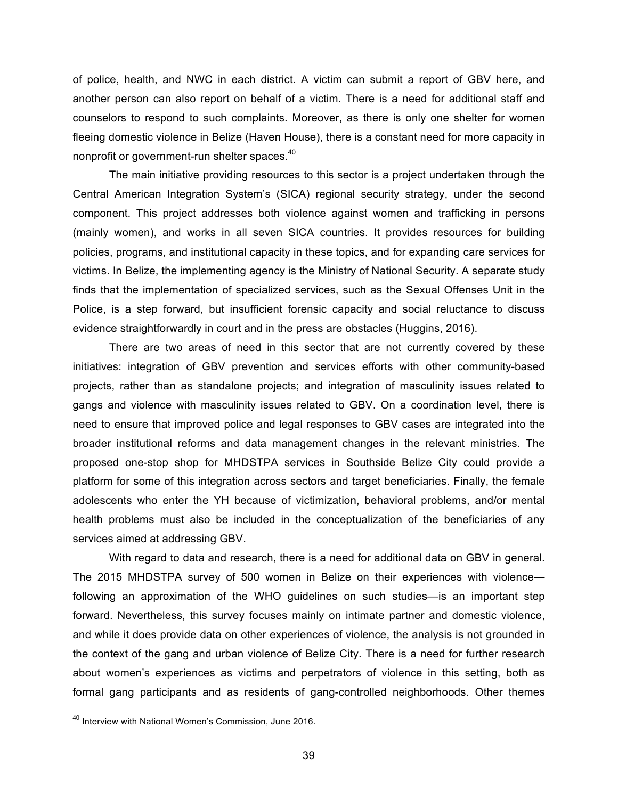of police, health, and NWC in each district. A victim can submit a report of GBV here, and another person can also report on behalf of a victim. There is a need for additional staff and counselors to respond to such complaints. Moreover, as there is only one shelter for women fleeing domestic violence in Belize (Haven House), there is a constant need for more capacity in nonprofit or government-run shelter spaces.<sup>40</sup>

The main initiative providing resources to this sector is a project undertaken through the Central American Integration System's (SICA) regional security strategy, under the second component. This project addresses both violence against women and trafficking in persons (mainly women), and works in all seven SICA countries. It provides resources for building policies, programs, and institutional capacity in these topics, and for expanding care services for victims. In Belize, the implementing agency is the Ministry of National Security. A separate study finds that the implementation of specialized services, such as the Sexual Offenses Unit in the Police, is a step forward, but insufficient forensic capacity and social reluctance to discuss evidence straightforwardly in court and in the press are obstacles (Huggins, 2016).

There are two areas of need in this sector that are not currently covered by these initiatives: integration of GBV prevention and services efforts with other community-based projects, rather than as standalone projects; and integration of masculinity issues related to gangs and violence with masculinity issues related to GBV. On a coordination level, there is need to ensure that improved police and legal responses to GBV cases are integrated into the broader institutional reforms and data management changes in the relevant ministries. The proposed one-stop shop for MHDSTPA services in Southside Belize City could provide a platform for some of this integration across sectors and target beneficiaries. Finally, the female adolescents who enter the YH because of victimization, behavioral problems, and/or mental health problems must also be included in the conceptualization of the beneficiaries of any services aimed at addressing GBV.

With regard to data and research, there is a need for additional data on GBV in general. The 2015 MHDSTPA survey of 500 women in Belize on their experiences with violence following an approximation of the WHO guidelines on such studies—is an important step forward. Nevertheless, this survey focuses mainly on intimate partner and domestic violence, and while it does provide data on other experiences of violence, the analysis is not grounded in the context of the gang and urban violence of Belize City. There is a need for further research about women's experiences as victims and perpetrators of violence in this setting, both as formal gang participants and as residents of gang-controlled neighborhoods. Other themes

 <sup>40</sup> Interview with National Women's Commission, June 2016.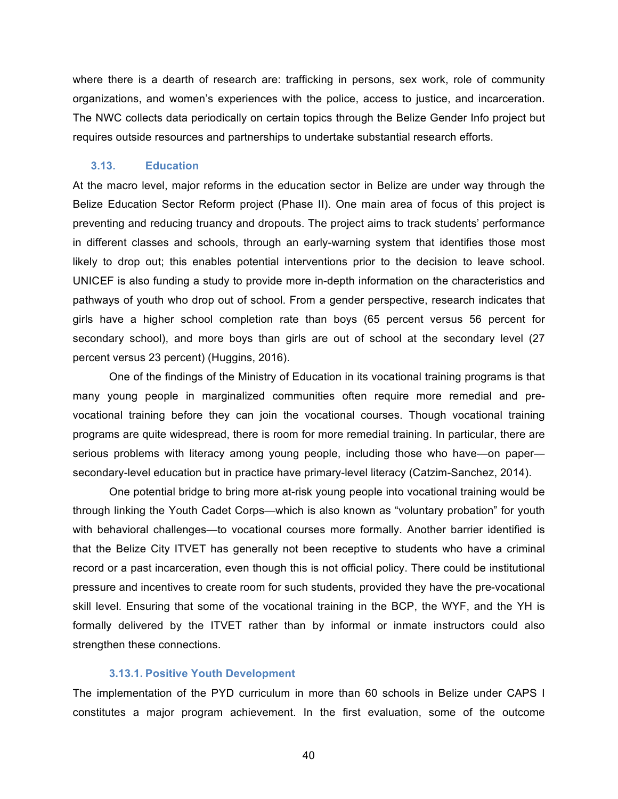where there is a dearth of research are: trafficking in persons, sex work, role of community organizations, and women's experiences with the police, access to justice, and incarceration. The NWC collects data periodically on certain topics through the Belize Gender Info project but requires outside resources and partnerships to undertake substantial research efforts.

#### **3.13. Education**

At the macro level, major reforms in the education sector in Belize are under way through the Belize Education Sector Reform project (Phase II). One main area of focus of this project is preventing and reducing truancy and dropouts. The project aims to track students' performance in different classes and schools, through an early-warning system that identifies those most likely to drop out; this enables potential interventions prior to the decision to leave school. UNICEF is also funding a study to provide more in-depth information on the characteristics and pathways of youth who drop out of school. From a gender perspective, research indicates that girls have a higher school completion rate than boys (65 percent versus 56 percent for secondary school), and more boys than girls are out of school at the secondary level (27 percent versus 23 percent) (Huggins, 2016).

One of the findings of the Ministry of Education in its vocational training programs is that many young people in marginalized communities often require more remedial and prevocational training before they can join the vocational courses. Though vocational training programs are quite widespread, there is room for more remedial training. In particular, there are serious problems with literacy among young people, including those who have—on paper secondary-level education but in practice have primary-level literacy (Catzim-Sanchez, 2014).

One potential bridge to bring more at-risk young people into vocational training would be through linking the Youth Cadet Corps—which is also known as "voluntary probation" for youth with behavioral challenges—to vocational courses more formally. Another barrier identified is that the Belize City ITVET has generally not been receptive to students who have a criminal record or a past incarceration, even though this is not official policy. There could be institutional pressure and incentives to create room for such students, provided they have the pre-vocational skill level. Ensuring that some of the vocational training in the BCP, the WYF, and the YH is formally delivered by the ITVET rather than by informal or inmate instructors could also strengthen these connections.

#### **3.13.1. Positive Youth Development**

The implementation of the PYD curriculum in more than 60 schools in Belize under CAPS I constitutes a major program achievement. In the first evaluation, some of the outcome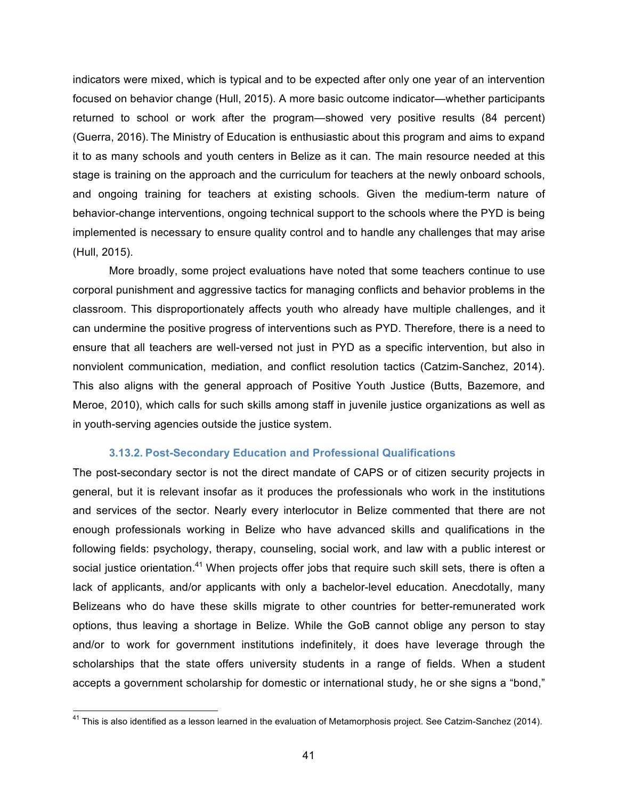indicators were mixed, which is typical and to be expected after only one year of an intervention focused on behavior change (Hull, 2015). A more basic outcome indicator—whether participants returned to school or work after the program—showed very positive results (84 percent) (Guerra, 2016). The Ministry of Education is enthusiastic about this program and aims to expand it to as many schools and youth centers in Belize as it can. The main resource needed at this stage is training on the approach and the curriculum for teachers at the newly onboard schools, and ongoing training for teachers at existing schools. Given the medium-term nature of behavior-change interventions, ongoing technical support to the schools where the PYD is being implemented is necessary to ensure quality control and to handle any challenges that may arise (Hull, 2015).

More broadly, some project evaluations have noted that some teachers continue to use corporal punishment and aggressive tactics for managing conflicts and behavior problems in the classroom. This disproportionately affects youth who already have multiple challenges, and it can undermine the positive progress of interventions such as PYD. Therefore, there is a need to ensure that all teachers are well-versed not just in PYD as a specific intervention, but also in nonviolent communication, mediation, and conflict resolution tactics (Catzim-Sanchez, 2014). This also aligns with the general approach of Positive Youth Justice (Butts, Bazemore, and Meroe, 2010), which calls for such skills among staff in juvenile justice organizations as well as in youth-serving agencies outside the justice system.

#### **3.13.2. Post-Secondary Education and Professional Qualifications**

The post-secondary sector is not the direct mandate of CAPS or of citizen security projects in general, but it is relevant insofar as it produces the professionals who work in the institutions and services of the sector. Nearly every interlocutor in Belize commented that there are not enough professionals working in Belize who have advanced skills and qualifications in the following fields: psychology, therapy, counseling, social work, and law with a public interest or social justice orientation.<sup>41</sup> When projects offer jobs that require such skill sets, there is often a lack of applicants, and/or applicants with only a bachelor-level education. Anecdotally, many Belizeans who do have these skills migrate to other countries for better-remunerated work options, thus leaving a shortage in Belize. While the GoB cannot oblige any person to stay and/or to work for government institutions indefinitely, it does have leverage through the scholarships that the state offers university students in a range of fields. When a student accepts a government scholarship for domestic or international study, he or she signs a "bond,"

 $^{41}$  This is also identified as a lesson learned in the evaluation of Metamorphosis project. See Catzim-Sanchez (2014).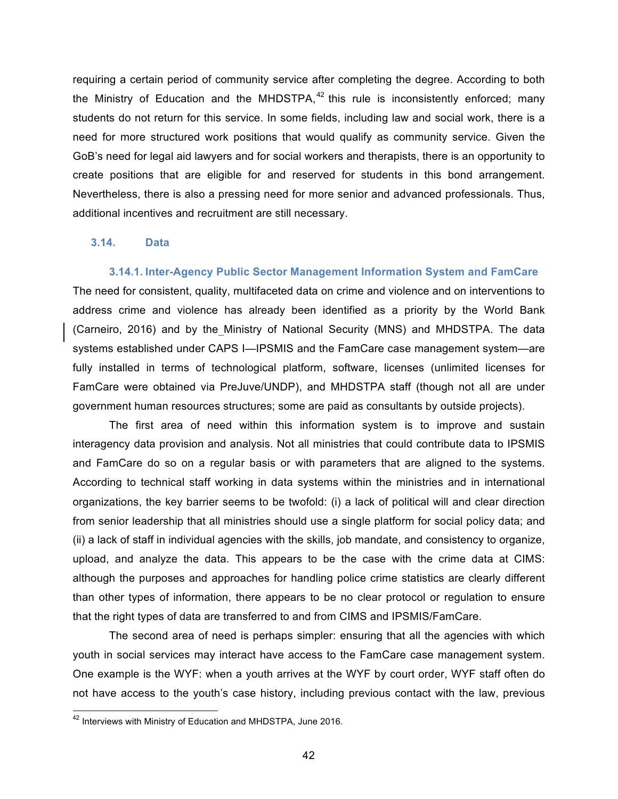requiring a certain period of community service after completing the degree. According to both the Ministry of Education and the MHDSTPA,  $42$  this rule is inconsistently enforced; many students do not return for this service. In some fields, including law and social work, there is a need for more structured work positions that would qualify as community service. Given the GoB's need for legal aid lawyers and for social workers and therapists, there is an opportunity to create positions that are eligible for and reserved for students in this bond arrangement. Nevertheless, there is also a pressing need for more senior and advanced professionals. Thus, additional incentives and recruitment are still necessary.

#### **3.14. Data**

#### **3.14.1. Inter-Agency Public Sector Management Information System and FamCare**

The need for consistent, quality, multifaceted data on crime and violence and on interventions to address crime and violence has already been identified as a priority by the World Bank (Carneiro, 2016) and by the Ministry of National Security (MNS) and MHDSTPA. The data systems established under CAPS I—IPSMIS and the FamCare case management system—are fully installed in terms of technological platform, software, licenses (unlimited licenses for FamCare were obtained via PreJuve/UNDP), and MHDSTPA staff (though not all are under government human resources structures; some are paid as consultants by outside projects).

The first area of need within this information system is to improve and sustain interagency data provision and analysis. Not all ministries that could contribute data to IPSMIS and FamCare do so on a regular basis or with parameters that are aligned to the systems. According to technical staff working in data systems within the ministries and in international organizations, the key barrier seems to be twofold: (i) a lack of political will and clear direction from senior leadership that all ministries should use a single platform for social policy data; and (ii) a lack of staff in individual agencies with the skills, job mandate, and consistency to organize, upload, and analyze the data. This appears to be the case with the crime data at CIMS: although the purposes and approaches for handling police crime statistics are clearly different than other types of information, there appears to be no clear protocol or regulation to ensure that the right types of data are transferred to and from CIMS and IPSMIS/FamCare.

The second area of need is perhaps simpler: ensuring that all the agencies with which youth in social services may interact have access to the FamCare case management system. One example is the WYF: when a youth arrives at the WYF by court order, WYF staff often do not have access to the youth's case history, including previous contact with the law, previous

<sup>&</sup>lt;sup>42</sup> Interviews with Ministry of Education and MHDSTPA, June 2016.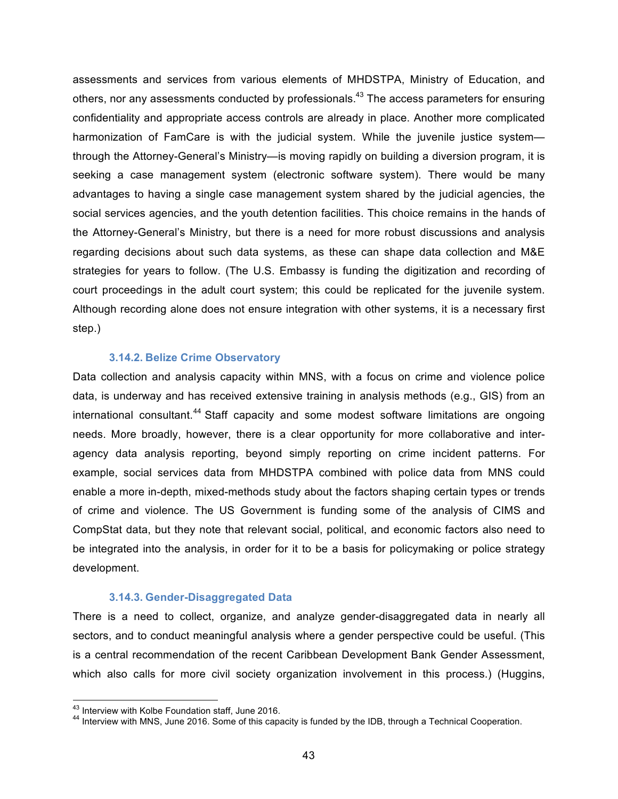assessments and services from various elements of MHDSTPA, Ministry of Education, and others, nor any assessments conducted by professionals.<sup>43</sup> The access parameters for ensuring confidentiality and appropriate access controls are already in place. Another more complicated harmonization of FamCare is with the judicial system. While the juvenile justice system through the Attorney-General's Ministry—is moving rapidly on building a diversion program, it is seeking a case management system (electronic software system). There would be many advantages to having a single case management system shared by the judicial agencies, the social services agencies, and the youth detention facilities. This choice remains in the hands of the Attorney-General's Ministry, but there is a need for more robust discussions and analysis regarding decisions about such data systems, as these can shape data collection and M&E strategies for years to follow. (The U.S. Embassy is funding the digitization and recording of court proceedings in the adult court system; this could be replicated for the juvenile system. Although recording alone does not ensure integration with other systems, it is a necessary first step.)

#### **3.14.2. Belize Crime Observatory**

Data collection and analysis capacity within MNS, with a focus on crime and violence police data, is underway and has received extensive training in analysis methods (e.g., GIS) from an international consultant.<sup>44</sup> Staff capacity and some modest software limitations are ongoing needs. More broadly, however, there is a clear opportunity for more collaborative and interagency data analysis reporting, beyond simply reporting on crime incident patterns. For example, social services data from MHDSTPA combined with police data from MNS could enable a more in-depth, mixed-methods study about the factors shaping certain types or trends of crime and violence. The US Government is funding some of the analysis of CIMS and CompStat data, but they note that relevant social, political, and economic factors also need to be integrated into the analysis, in order for it to be a basis for policymaking or police strategy development.

#### **3.14.3. Gender-Disaggregated Data**

There is a need to collect, organize, and analyze gender-disaggregated data in nearly all sectors, and to conduct meaningful analysis where a gender perspective could be useful. (This is a central recommendation of the recent Caribbean Development Bank Gender Assessment, which also calls for more civil society organization involvement in this process.) (Huggins,

<sup>&</sup>lt;sup>43</sup> Interview with Kolbe Foundation staff, June 2016.<br><sup>44</sup> Interview with MNS, June 2016. Some of this capacity is funded by the IDB, through a Technical Cooperation.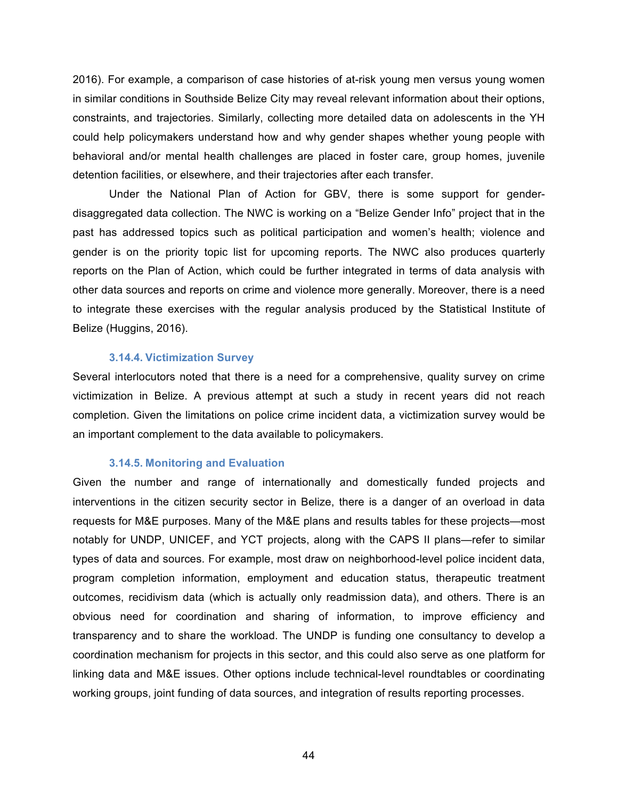2016). For example, a comparison of case histories of at-risk young men versus young women in similar conditions in Southside Belize City may reveal relevant information about their options, constraints, and trajectories. Similarly, collecting more detailed data on adolescents in the YH could help policymakers understand how and why gender shapes whether young people with behavioral and/or mental health challenges are placed in foster care, group homes, juvenile detention facilities, or elsewhere, and their trajectories after each transfer.

Under the National Plan of Action for GBV, there is some support for genderdisaggregated data collection. The NWC is working on a "Belize Gender Info" project that in the past has addressed topics such as political participation and women's health; violence and gender is on the priority topic list for upcoming reports. The NWC also produces quarterly reports on the Plan of Action, which could be further integrated in terms of data analysis with other data sources and reports on crime and violence more generally. Moreover, there is a need to integrate these exercises with the regular analysis produced by the Statistical Institute of Belize (Huggins, 2016).

#### **3.14.4. Victimization Survey**

Several interlocutors noted that there is a need for a comprehensive, quality survey on crime victimization in Belize. A previous attempt at such a study in recent years did not reach completion. Given the limitations on police crime incident data, a victimization survey would be an important complement to the data available to policymakers.

#### **3.14.5. Monitoring and Evaluation**

Given the number and range of internationally and domestically funded projects and interventions in the citizen security sector in Belize, there is a danger of an overload in data requests for M&E purposes. Many of the M&E plans and results tables for these projects—most notably for UNDP, UNICEF, and YCT projects, along with the CAPS II plans—refer to similar types of data and sources. For example, most draw on neighborhood-level police incident data, program completion information, employment and education status, therapeutic treatment outcomes, recidivism data (which is actually only readmission data), and others. There is an obvious need for coordination and sharing of information, to improve efficiency and transparency and to share the workload. The UNDP is funding one consultancy to develop a coordination mechanism for projects in this sector, and this could also serve as one platform for linking data and M&E issues. Other options include technical-level roundtables or coordinating working groups, joint funding of data sources, and integration of results reporting processes.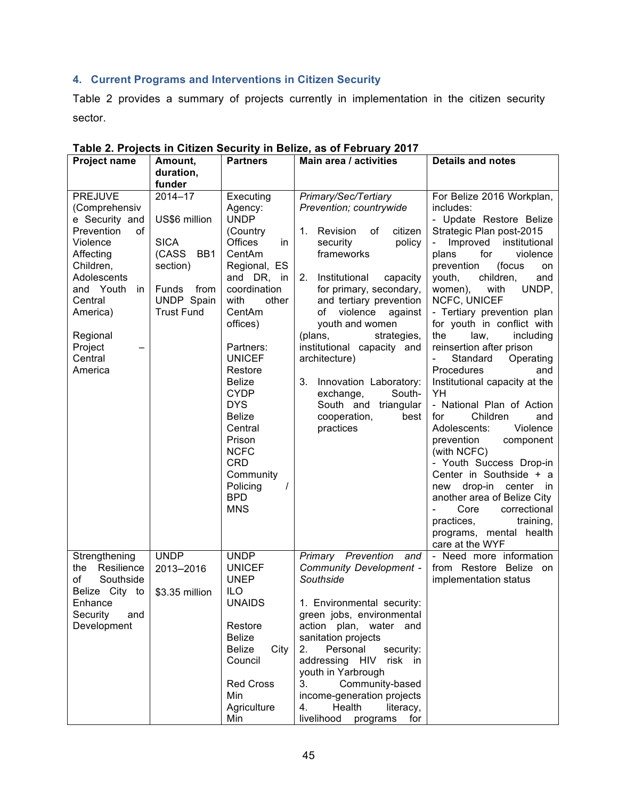## **4. Current Programs and Interventions in Citizen Security**

Table 2 provides a summary of projects currently in implementation in the citizen security sector.

| <b>Project name</b>                                                                                                                                                                                                | Amount,<br>duration,                                                                                                    | <b>Partners</b>                                                                                                                                                                                                                                                                                                                                                                                   | Main area / activities                                                                                                                                                                                                                                                                                                                                                                                                                                          | <b>Details and notes</b>                                                                                                                                                                                                                                                                                                                                                                                                                                                                                                                                                                                                                                                                                                                                                                                                  |
|--------------------------------------------------------------------------------------------------------------------------------------------------------------------------------------------------------------------|-------------------------------------------------------------------------------------------------------------------------|---------------------------------------------------------------------------------------------------------------------------------------------------------------------------------------------------------------------------------------------------------------------------------------------------------------------------------------------------------------------------------------------------|-----------------------------------------------------------------------------------------------------------------------------------------------------------------------------------------------------------------------------------------------------------------------------------------------------------------------------------------------------------------------------------------------------------------------------------------------------------------|---------------------------------------------------------------------------------------------------------------------------------------------------------------------------------------------------------------------------------------------------------------------------------------------------------------------------------------------------------------------------------------------------------------------------------------------------------------------------------------------------------------------------------------------------------------------------------------------------------------------------------------------------------------------------------------------------------------------------------------------------------------------------------------------------------------------------|
|                                                                                                                                                                                                                    | funder                                                                                                                  |                                                                                                                                                                                                                                                                                                                                                                                                   |                                                                                                                                                                                                                                                                                                                                                                                                                                                                 |                                                                                                                                                                                                                                                                                                                                                                                                                                                                                                                                                                                                                                                                                                                                                                                                                           |
| <b>PREJUVE</b><br>(Comprehensiv<br>e Security and<br>Prevention<br>οf<br>Violence<br>Affecting<br>Children,<br>Adolescents<br>and Youth<br>in.<br>Central<br>America)<br>Regional<br>Project<br>Central<br>America | 2014-17<br>US\$6 million<br><b>SICA</b><br>(CASS<br>BB1<br>section)<br>Funds<br>from<br>UNDP Spain<br><b>Trust Fund</b> | Executing<br>Agency:<br><b>UNDP</b><br>(Country<br><b>Offices</b><br>in<br>CentAm<br>Regional, ES<br>and DR, in<br>coordination<br>with<br>other<br>CentAm<br>offices)<br>Partners:<br><b>UNICEF</b><br>Restore<br><b>Belize</b><br><b>CYDP</b><br><b>DYS</b><br><b>Belize</b><br>Central<br>Prison<br><b>NCFC</b><br><b>CRD</b><br>Community<br>Policing<br>$\prime$<br><b>BPD</b><br><b>MNS</b> | Primary/Sec/Tertiary<br>Prevention; countrywide<br>Revision<br>1.<br>οf<br>citizen<br>policy<br>security<br>frameworks<br>2.<br>Institutional<br>capacity<br>for primary, secondary,<br>and tertiary prevention<br>violence<br>of<br>against<br>youth and women<br>(plans,<br>strategies,<br>institutional capacity and<br>architecture)<br>3.<br>Innovation Laboratory:<br>exchange,<br>South-<br>South and<br>triangular<br>cooperation,<br>best<br>practices | For Belize 2016 Workplan,<br>includes:<br>- Update Restore Belize<br>Strategic Plan post-2015<br>Improved<br>institutional<br>plans<br>for<br>violence<br>prevention<br>(focus<br>on<br>children,<br>youth,<br>and<br>with<br>UNDP,<br>women),<br>NCFC, UNICEF<br>- Tertiary prevention plan<br>for youth in conflict with<br>the<br>law,<br>including<br>reinsertion after prison<br>Standard<br>Operating<br>Procedures<br>and<br>Institutional capacity at the<br>YΗ<br>- National Plan of Action<br>Children<br>for<br>and<br>Adolescents:<br>Violence<br>prevention<br>component<br>(with NCFC)<br>- Youth Success Drop-in<br>Center in Southside + a<br>drop-in<br>center in<br>new<br>another area of Belize City<br>correctional<br>Core<br>practices,<br>training,<br>programs, mental health<br>care at the WYF |
| Strengthening<br>Resilience<br>the<br>0f<br>Southside<br>Belize City to<br>Enhance<br>Security<br>and<br>Development                                                                                               | <b>UNDP</b><br>2013-2016<br>\$3.35 million                                                                              | <b>UNDP</b><br><b>UNICEF</b><br><b>UNEP</b><br><b>ILO</b><br><b>UNAIDS</b><br>Restore<br>Belize<br>Belize<br>City<br>Council<br><b>Red Cross</b><br>Min<br>Agriculture<br>Min                                                                                                                                                                                                                     | Primary Prevention<br>and<br>Community Development -<br>Southside<br>1. Environmental security:<br>green jobs, environmental<br>action plan, water and<br>sanitation projects<br>Personal<br>2.<br>security:<br>addressing HIV<br>risk<br>in in<br>youth in Yarbrough<br>3.<br>Community-based<br>income-generation projects<br>Health<br>4.<br>literacy,<br>livelihood<br>for<br>programs                                                                      | - Need more information<br>from Restore Belize<br>on<br>implementation status                                                                                                                                                                                                                                                                                                                                                                                                                                                                                                                                                                                                                                                                                                                                             |

#### **Table 2. Projects in Citizen Security in Belize, as of February 2017**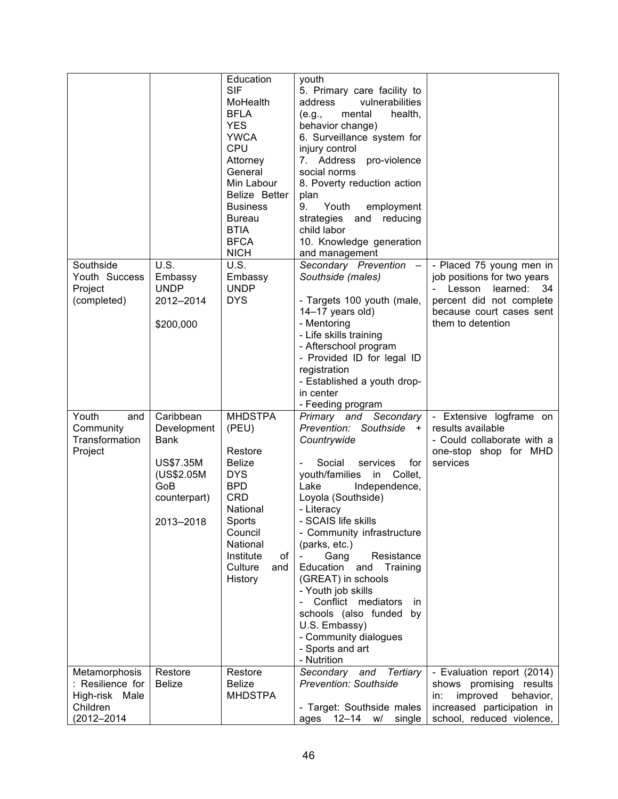|                                                                               |                                                                                                               | Education<br><b>SIF</b><br>MoHealth<br><b>BFLA</b><br><b>YES</b><br><b>YWCA</b><br>CPU<br>Attorney<br>General<br>Min Labour<br>Belize Better<br><b>Business</b><br>Bureau<br><b>BTIA</b><br><b>BFCA</b><br><b>NICH</b> | youth<br>5. Primary care facility to<br>vulnerabilities<br>address<br>mental<br>health,<br>(e.g.,<br>behavior change)<br>6. Surveillance system for<br>injury control<br>7. Address<br>pro-violence<br>social norms<br>8. Poverty reduction action<br>plan<br>Youth<br>9.<br>employment<br>strategies<br>reducing<br>and<br>child labor<br>10. Knowledge generation<br>and management                                                                                                               |                                                                                                                                                                   |
|-------------------------------------------------------------------------------|---------------------------------------------------------------------------------------------------------------|------------------------------------------------------------------------------------------------------------------------------------------------------------------------------------------------------------------------|-----------------------------------------------------------------------------------------------------------------------------------------------------------------------------------------------------------------------------------------------------------------------------------------------------------------------------------------------------------------------------------------------------------------------------------------------------------------------------------------------------|-------------------------------------------------------------------------------------------------------------------------------------------------------------------|
| Southside<br>Youth Success<br>Project<br>(completed)                          | U.S.<br>Embassy<br><b>UNDP</b><br>2012-2014<br>\$200,000                                                      | U.S.<br>Embassy<br><b>UNDP</b><br><b>DYS</b>                                                                                                                                                                           | Secondary Prevention<br>Southside (males)<br>- Targets 100 youth (male,<br>14-17 years old)<br>- Mentoring<br>- Life skills training<br>- Afterschool program<br>- Provided ID for legal ID<br>registration<br>- Established a youth drop-<br>in center<br>- Feeding program                                                                                                                                                                                                                        | - Placed 75 young men in<br>job positions for two years<br>learned:<br>Lesson<br>-34<br>percent did not complete<br>because court cases sent<br>them to detention |
| Youth<br>and<br>Community<br>Transformation<br>Project                        | Caribbean<br>Development<br><b>Bank</b><br><b>US\$7.35M</b><br>(US\$2.05M<br>GoB<br>counterpart)<br>2013-2018 | <b>MHDSTPA</b><br>(PEU)<br>Restore<br><b>Belize</b><br><b>DYS</b><br><b>BPD</b><br><b>CRD</b><br>National<br>Sports<br>Council<br>National<br>of<br>Institute<br>Culture<br>and<br>History                             | Primary and Secondary<br>Prevention: Southside +<br>Countrywide<br>Social<br>for<br>services<br>youth/families in<br>Collet,<br>Lake<br>Independence,<br>Loyola (Southside)<br>- Literacy<br>- SCAIS life skills<br>- Community infrastructure<br>(parks, etc.)<br>Gang<br>Resistance<br>Education and Training<br>(GREAT) in schools<br>- Youth job skills<br>Conflict mediators<br>in.<br>schools (also funded<br>by<br>U.S. Embassy)<br>- Community dialogues<br>- Sports and art<br>- Nutrition | Extensive logframe on<br>results available<br>- Could collaborate with a<br>one-stop shop for MHD<br>services                                                     |
| Metamorphosis<br>: Resilience for<br>High-risk Male<br>Children<br>(2012-2014 | Restore<br><b>Belize</b>                                                                                      | Restore<br><b>Belize</b><br><b>MHDSTPA</b>                                                                                                                                                                             | Secondary and<br>Tertiary<br><b>Prevention: Southside</b><br>- Target: Southside males<br>12–14<br>w/<br>single<br>ages                                                                                                                                                                                                                                                                                                                                                                             | - Evaluation report (2014)<br>shows promising results<br>improved<br>behavior,<br>in:<br>increased participation in<br>school, reduced violence,                  |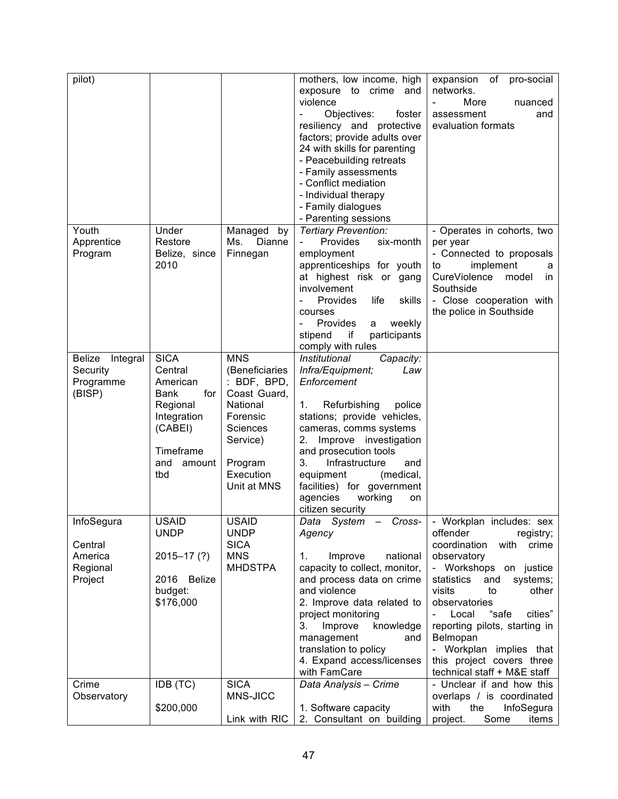| pilot)                                                       |                                                                                                                                     |                                                                                                                                                    | mothers, low income, high<br>exposure to crime and<br>violence<br>Objectives:<br>foster<br>resiliency and protective<br>factors; provide adults over<br>24 with skills for parenting<br>- Peacebuilding retreats<br>- Family assessments<br>- Conflict mediation<br>- Individual therapy<br>- Family dialogues<br>- Parenting sessions                        | expansion<br>of<br>pro-social<br>networks.<br>More<br>nuanced<br>assessment<br>and<br>evaluation formats                                                                                                                                                                                                                                                                                     |
|--------------------------------------------------------------|-------------------------------------------------------------------------------------------------------------------------------------|----------------------------------------------------------------------------------------------------------------------------------------------------|---------------------------------------------------------------------------------------------------------------------------------------------------------------------------------------------------------------------------------------------------------------------------------------------------------------------------------------------------------------|----------------------------------------------------------------------------------------------------------------------------------------------------------------------------------------------------------------------------------------------------------------------------------------------------------------------------------------------------------------------------------------------|
| Youth<br>Apprentice<br>Program                               | Under<br>Restore<br>Belize, since<br>2010                                                                                           | Managed by<br>Ms.<br>Dianne<br>Finnegan                                                                                                            | Tertiary Prevention:<br>Provides<br>six-month<br>employment<br>apprenticeships for youth<br>at highest risk or gang<br>involvement<br>Provides<br>skills<br>life<br>courses<br><b>Provides</b><br>weekly<br>a<br>stipend<br>if<br>participants<br>comply with rules                                                                                           | - Operates in cohorts, two<br>per year<br>- Connected to proposals<br>implement<br>to<br>a<br>CureViolence<br>model<br>in.<br>Southside<br>- Close cooperation with<br>the police in Southside                                                                                                                                                                                               |
| <b>Belize</b><br>Integral<br>Security<br>Programme<br>(BISP) | <b>SICA</b><br>Central<br>American<br><b>Bank</b><br>for<br>Regional<br>Integration<br>(CABEI)<br>Timeframe<br>and<br>amount<br>tbd | <b>MNS</b><br>(Beneficiaries<br>: BDF, BPD,<br>Coast Guard,<br>National<br>Forensic<br>Sciences<br>Service)<br>Program<br>Execution<br>Unit at MNS | Institutional<br>Capacity:<br>Infra/Equipment;<br>Law<br>Enforcement<br>Refurbishing<br>police<br>1.<br>stations; provide vehicles,<br>cameras, comms systems<br>Improve investigation<br>2.<br>and prosecution tools<br>3.<br>Infrastructure<br>and<br>(medical,<br>equipment<br>facilities) for government<br>agencies<br>working<br>on<br>citizen security |                                                                                                                                                                                                                                                                                                                                                                                              |
| InfoSegura<br>Central<br>America<br>Regional<br>Project      | <b>USAID</b><br><b>UNDP</b><br>$2015 - 17(?)$<br>2016 Belize<br>budget:<br>\$176,000                                                | <b>USAID</b><br><b>UNDP</b><br><b>SICA</b><br><b>MNS</b><br><b>MHDSTPA</b>                                                                         | Agency<br>national<br>1.<br>Improve<br>capacity to collect, monitor,<br>and process data on crime<br>and violence<br>2. Improve data related to<br>project monitoring<br>3.<br>knowledge<br>Improve<br>management<br>and<br>translation to policy<br>4. Expand access/licenses<br>with FamCare                                                                | Data System - Cross- - Workplan includes: sex<br>offender<br>registry;<br>coordination<br>with<br>crime<br>observatory<br>- Workshops on justice<br>statistics<br>systems;<br>and<br>visits<br>to<br>other<br>observatories<br>"safe<br>Local<br>cities"<br>reporting pilots, starting in<br>Belmopan<br>- Workplan implies that<br>this project covers three<br>technical staff + M&E staff |
| Crime<br>Observatory                                         | IDB (TC)<br>\$200,000                                                                                                               | <b>SICA</b><br>MNS-JICC<br>Link with RIC                                                                                                           | Data Analysis - Crime<br>1. Software capacity<br>2. Consultant on building                                                                                                                                                                                                                                                                                    | - Unclear if and how this<br>overlaps / is coordinated<br>InfoSegura<br>with<br>the<br>project.<br>Some<br>items                                                                                                                                                                                                                                                                             |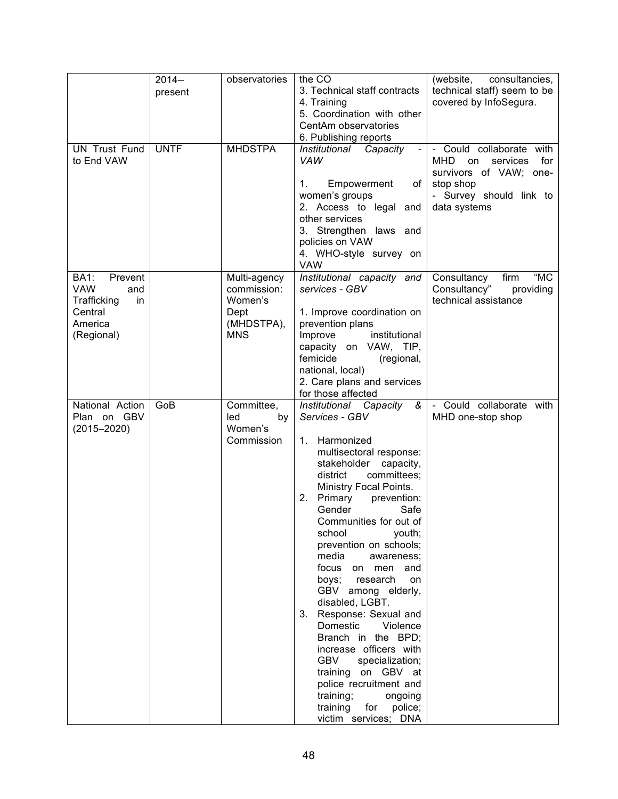|                                                                                                      | $2014 -$<br>present | observatories                                                              | the CO<br>3. Technical staff contracts<br>4. Training<br>5. Coordination with other<br>CentAm observatories<br>6. Publishing reports                                                                                                                                                                                                                                                                                                                                                                                                                                                                                                                                                                  | (website,<br>consultancies,<br>technical staff) seem to be<br>covered by InfoSegura.                                                    |
|------------------------------------------------------------------------------------------------------|---------------------|----------------------------------------------------------------------------|-------------------------------------------------------------------------------------------------------------------------------------------------------------------------------------------------------------------------------------------------------------------------------------------------------------------------------------------------------------------------------------------------------------------------------------------------------------------------------------------------------------------------------------------------------------------------------------------------------------------------------------------------------------------------------------------------------|-----------------------------------------------------------------------------------------------------------------------------------------|
| <b>UN Trust Fund</b><br>to End VAW                                                                   | <b>UNTF</b>         | <b>MHDSTPA</b>                                                             | Institutional Capacity<br><b>VAW</b><br>Empowerment<br>1.<br>of<br>women's groups<br>2. Access to legal and<br>other services<br>3. Strengthen laws and<br>policies on VAW<br>4. WHO-style survey on<br><b>VAW</b>                                                                                                                                                                                                                                                                                                                                                                                                                                                                                    | - Could collaborate with<br>MHD on<br>for<br>services<br>survivors of VAW; one-<br>stop shop<br>- Survey should link to<br>data systems |
| <b>BA1:</b><br>Prevent<br><b>VAW</b><br>and<br>Trafficking<br>in<br>Central<br>America<br>(Regional) |                     | Multi-agency<br>commission:<br>Women's<br>Dept<br>(MHDSTPA),<br><b>MNS</b> | Institutional capacity and<br>services - GBV<br>1. Improve coordination on<br>prevention plans<br>Improve<br>institutional<br>capacity on VAW, TIP,<br>femicide<br>(regional,<br>national, local)<br>2. Care plans and services<br>for those affected                                                                                                                                                                                                                                                                                                                                                                                                                                                 | "MC<br>Consultancy<br>firm<br>Consultancy"<br>providing<br>technical assistance                                                         |
| National Action<br>Plan on GBV<br>$(2015 - 2020)$                                                    | GoB                 | Committee,<br>led<br>by<br>Women's<br>Commission                           | Institutional Capacity<br>ଝ<br>Services - GBV<br>Harmonized<br>1.<br>multisectoral response:<br>stakeholder<br>capacity,<br>committees;<br>district<br>Ministry Focal Points.<br>Primary<br>2.<br>prevention:<br>Gender<br>Safe<br>Communities for out of<br>school<br>youth;<br>prevention on schools;<br>media<br>awareness;<br>focus on men and<br>research<br>boys;<br>on<br>GBV among elderly,<br>disabled, LGBT.<br>Response: Sexual and<br>3.<br>Domestic<br>Violence<br>Branch in the BPD;<br>increase officers with<br><b>GBV</b><br>specialization;<br>training on GBV at<br>police recruitment and<br>training;<br>ongoing<br>training<br>for<br>police;<br>victim services;<br><b>DNA</b> | Could collaborate with<br>MHD one-stop shop                                                                                             |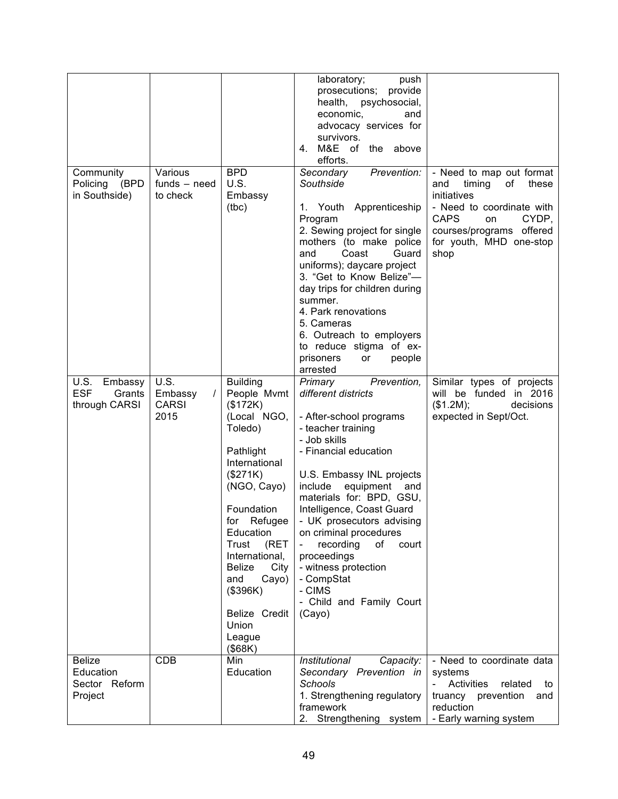| Community<br>Policing<br>(BPD<br>in Southside)         | Various<br>$funds - need$<br>to check               | <b>BPD</b><br>U.S.<br>Embassy<br>(tbc)                                                                                                                                                                                                                                                          | laboratory;<br>push<br>prosecutions; provide<br>health, psychosocial,<br>economic,<br>and<br>advocacy services for<br>survivors.<br>M&E of the above<br>4.<br>efforts.<br>Prevention:<br>Secondary<br>Southside<br>1. Youth Apprenticeship<br>Program<br>2. Sewing project for single<br>mothers (to make police<br>Coast<br>Guard<br>and<br>uniforms); daycare project<br>3. "Get to Know Belize"-<br>day trips for children during<br>summer.<br>4. Park renovations<br>5. Cameras<br>6. Outreach to employers<br>to reduce stigma of ex-<br>prisoners<br>people<br>or<br>arrested | - Need to map out format<br>and<br>timing<br>of<br>these<br>initiatives<br>- Need to coordinate with<br><b>CAPS</b><br>CYDP,<br>on<br>courses/programs offered<br>for youth, MHD one-stop<br>shop |
|--------------------------------------------------------|-----------------------------------------------------|-------------------------------------------------------------------------------------------------------------------------------------------------------------------------------------------------------------------------------------------------------------------------------------------------|--------------------------------------------------------------------------------------------------------------------------------------------------------------------------------------------------------------------------------------------------------------------------------------------------------------------------------------------------------------------------------------------------------------------------------------------------------------------------------------------------------------------------------------------------------------------------------------|---------------------------------------------------------------------------------------------------------------------------------------------------------------------------------------------------|
| U.S. Embassy<br><b>ESF</b><br>Grants<br>through CARSI  | U.S.<br>Embassy<br>$\prime$<br><b>CARSI</b><br>2015 | <b>Building</b><br>People Mvmt<br>(\$172K)<br>(Local NGO,<br>Toledo)<br>Pathlight<br>International<br>(\$271K)<br>(NGO, Cayo)<br>Foundation<br>Education<br>Trust<br>(RET<br>International,<br>City<br><b>Belize</b><br>and<br>Cayo)<br>(\$396K)<br>Belize Credit<br>Union<br>League<br>(\$68K) | Primary<br>Prevention,<br>different districts<br>- After-school programs<br>- teacher training<br>- Job skills<br>- Financial education<br>U.S. Embassy INL projects<br>include equipment and<br>materials for: BPD, GSU,<br>Intelligence, Coast Guard<br>for Refugee $\vert$ - UK prosecutors advising<br>on criminal procedures<br>recording<br>of<br>court<br>$\blacksquare$<br>proceedings<br>- witness protection<br>- CompStat<br>- CIMS<br>- Child and Family Court<br>(Cayo)                                                                                                 | Similar types of projects<br>will be funded in 2016<br>(\$1.2M);<br>decisions<br>expected in Sept/Oct.                                                                                            |
| <b>Belize</b><br>Education<br>Sector Reform<br>Project | <b>CDB</b>                                          | Min<br>Education                                                                                                                                                                                                                                                                                | Institutional<br>Capacity:<br>Secondary Prevention in<br>Schools<br>1. Strengthening regulatory<br>framework<br>2. Strengthening system                                                                                                                                                                                                                                                                                                                                                                                                                                              | - Need to coordinate data<br>systems<br>Activities<br>related<br>to<br>truancy prevention<br>and<br>reduction<br>- Early warning system                                                           |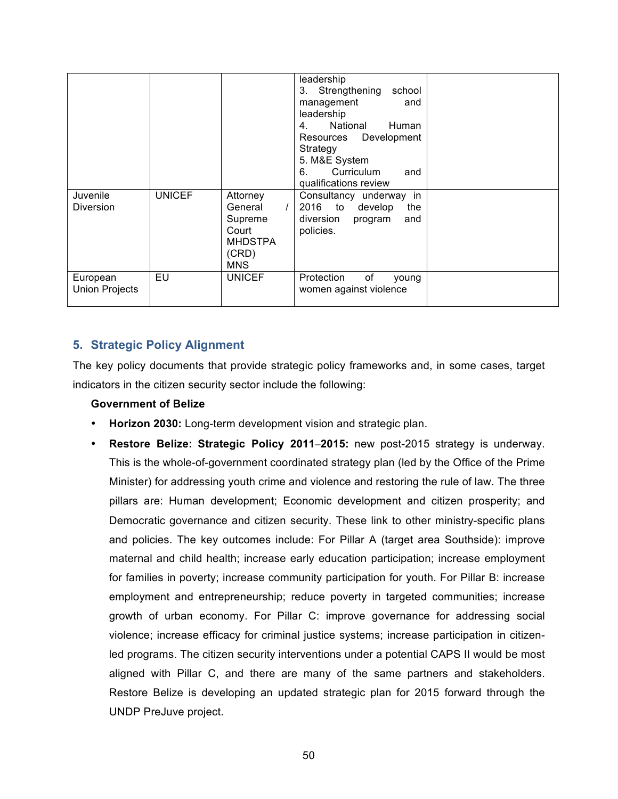| Juvenile<br><b>Diversion</b>      | <b>UNICEF</b> | Attorney<br>General<br>$\prime$<br>Supreme<br>Court<br><b>MHDSTPA</b><br>(CRD)<br><b>MNS</b> | leadership<br>3. Strengthening<br>school<br>management<br>and<br>leadership<br>National<br>Human<br>4.<br>Resources Development<br>Strategy<br>5. M&E System<br>Curriculum<br>6.<br>and<br>qualifications review<br>Consultancy underway in<br>2016<br>to develop<br>the<br>diversion<br>program<br>and<br>policies. |  |
|-----------------------------------|---------------|----------------------------------------------------------------------------------------------|----------------------------------------------------------------------------------------------------------------------------------------------------------------------------------------------------------------------------------------------------------------------------------------------------------------------|--|
| European<br><b>Union Projects</b> | EU            | <b>UNICEF</b>                                                                                | of<br>Protection<br>young<br>women against violence                                                                                                                                                                                                                                                                  |  |

## **5. Strategic Policy Alignment**

The key policy documents that provide strategic policy frameworks and, in some cases, target indicators in the citizen security sector include the following:

## **Government of Belize**

- **Horizon 2030:** Long-term development vision and strategic plan.
- **Restore Belize: Strategic Policy 2011**–**2015:** new post-2015 strategy is underway. This is the whole-of-government coordinated strategy plan (led by the Office of the Prime Minister) for addressing youth crime and violence and restoring the rule of law. The three pillars are: Human development; Economic development and citizen prosperity; and Democratic governance and citizen security. These link to other ministry-specific plans and policies. The key outcomes include: For Pillar A (target area Southside): improve maternal and child health; increase early education participation; increase employment for families in poverty; increase community participation for youth. For Pillar B: increase employment and entrepreneurship; reduce poverty in targeted communities; increase growth of urban economy. For Pillar C: improve governance for addressing social violence; increase efficacy for criminal justice systems; increase participation in citizenled programs. The citizen security interventions under a potential CAPS II would be most aligned with Pillar C, and there are many of the same partners and stakeholders. Restore Belize is developing an updated strategic plan for 2015 forward through the UNDP PreJuve project.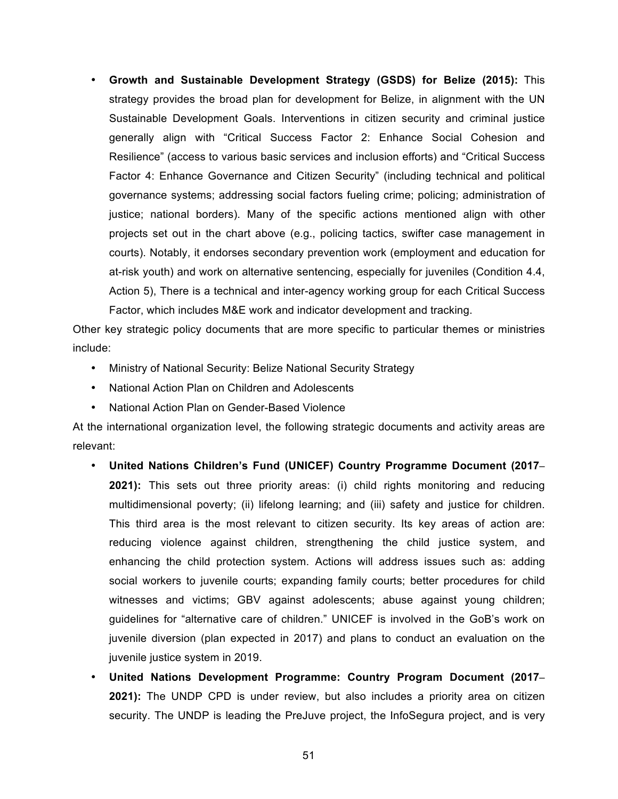• **Growth and Sustainable Development Strategy (GSDS) for Belize (2015):** This strategy provides the broad plan for development for Belize, in alignment with the UN Sustainable Development Goals. Interventions in citizen security and criminal justice generally align with "Critical Success Factor 2: Enhance Social Cohesion and Resilience" (access to various basic services and inclusion efforts) and "Critical Success Factor 4: Enhance Governance and Citizen Security" (including technical and political governance systems; addressing social factors fueling crime; policing; administration of justice; national borders). Many of the specific actions mentioned align with other projects set out in the chart above (e.g., policing tactics, swifter case management in courts). Notably, it endorses secondary prevention work (employment and education for at-risk youth) and work on alternative sentencing, especially for juveniles (Condition 4.4, Action 5), There is a technical and inter-agency working group for each Critical Success Factor, which includes M&E work and indicator development and tracking.

Other key strategic policy documents that are more specific to particular themes or ministries include:

- Ministry of National Security: Belize National Security Strategy
- National Action Plan on Children and Adolescents
- National Action Plan on Gender-Based Violence

At the international organization level, the following strategic documents and activity areas are relevant:

- **United Nations Children's Fund (UNICEF) Country Programme Document (2017 2021):** This sets out three priority areas: (i) child rights monitoring and reducing multidimensional poverty; (ii) lifelong learning; and (iii) safety and justice for children. This third area is the most relevant to citizen security. Its key areas of action are: reducing violence against children, strengthening the child justice system, and enhancing the child protection system. Actions will address issues such as: adding social workers to juvenile courts; expanding family courts; better procedures for child witnesses and victims; GBV against adolescents; abuse against young children; guidelines for "alternative care of children." UNICEF is involved in the GoB's work on juvenile diversion (plan expected in 2017) and plans to conduct an evaluation on the juvenile justice system in 2019.
- **United Nations Development Programme: Country Program Document (2017 2021):** The UNDP CPD is under review, but also includes a priority area on citizen security. The UNDP is leading the PreJuve project, the InfoSegura project, and is very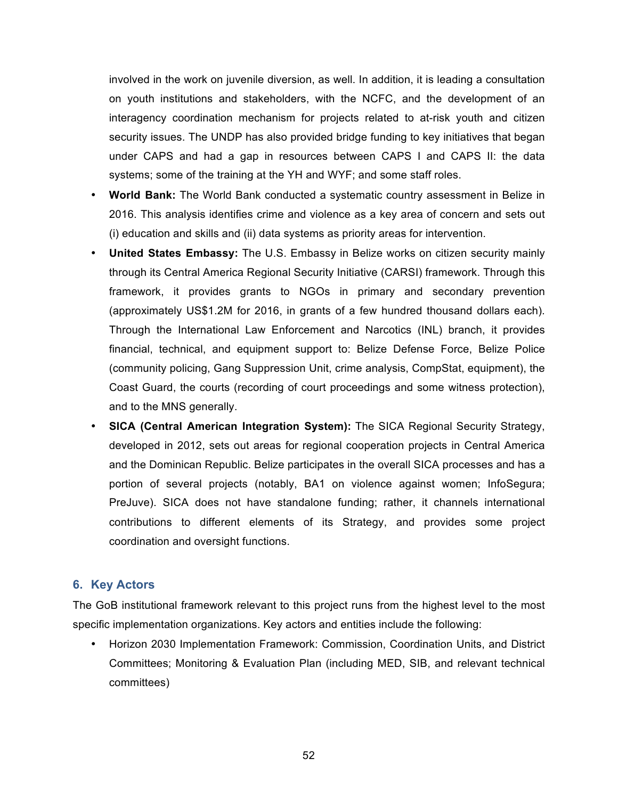involved in the work on juvenile diversion, as well. In addition, it is leading a consultation on youth institutions and stakeholders, with the NCFC, and the development of an interagency coordination mechanism for projects related to at-risk youth and citizen security issues. The UNDP has also provided bridge funding to key initiatives that began under CAPS and had a gap in resources between CAPS I and CAPS II: the data systems; some of the training at the YH and WYF; and some staff roles.

- **World Bank:** The World Bank conducted a systematic country assessment in Belize in 2016. This analysis identifies crime and violence as a key area of concern and sets out (i) education and skills and (ii) data systems as priority areas for intervention.
- **United States Embassy:** The U.S. Embassy in Belize works on citizen security mainly through its Central America Regional Security Initiative (CARSI) framework. Through this framework, it provides grants to NGOs in primary and secondary prevention (approximately US\$1.2M for 2016, in grants of a few hundred thousand dollars each). Through the International Law Enforcement and Narcotics (INL) branch, it provides financial, technical, and equipment support to: Belize Defense Force, Belize Police (community policing, Gang Suppression Unit, crime analysis, CompStat, equipment), the Coast Guard, the courts (recording of court proceedings and some witness protection), and to the MNS generally.
- **SICA (Central American Integration System):** The SICA Regional Security Strategy, developed in 2012, sets out areas for regional cooperation projects in Central America and the Dominican Republic. Belize participates in the overall SICA processes and has a portion of several projects (notably, BA1 on violence against women; InfoSegura; PreJuve). SICA does not have standalone funding; rather, it channels international contributions to different elements of its Strategy, and provides some project coordination and oversight functions.

## **6. Key Actors**

The GoB institutional framework relevant to this project runs from the highest level to the most specific implementation organizations. Key actors and entities include the following:

• Horizon 2030 Implementation Framework: Commission, Coordination Units, and District Committees; Monitoring & Evaluation Plan (including MED, SIB, and relevant technical committees)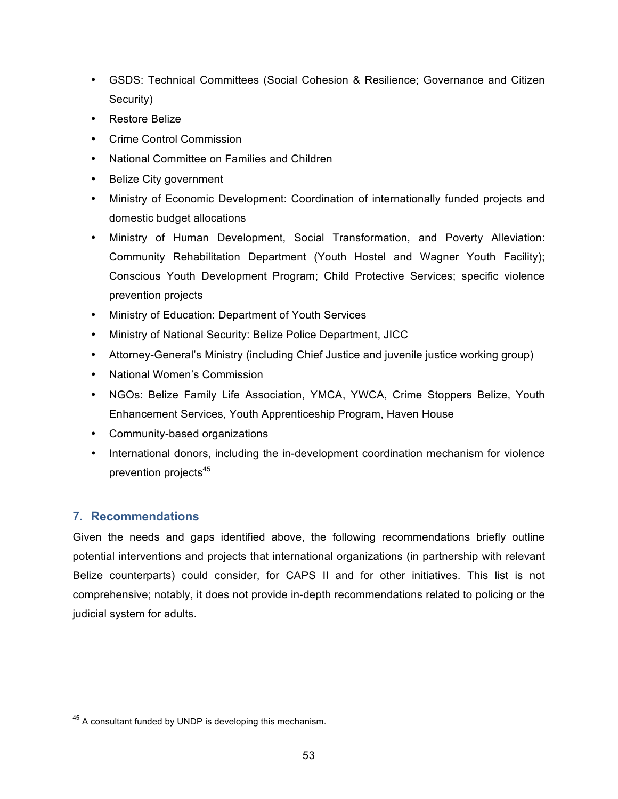- GSDS: Technical Committees (Social Cohesion & Resilience; Governance and Citizen Security)
- Restore Belize
- Crime Control Commission
- National Committee on Families and Children
- Belize City government
- Ministry of Economic Development: Coordination of internationally funded projects and domestic budget allocations
- Ministry of Human Development, Social Transformation, and Poverty Alleviation: Community Rehabilitation Department (Youth Hostel and Wagner Youth Facility); Conscious Youth Development Program; Child Protective Services; specific violence prevention projects
- Ministry of Education: Department of Youth Services
- Ministry of National Security: Belize Police Department, JICC
- Attorney-General's Ministry (including Chief Justice and juvenile justice working group)
- National Women's Commission
- NGOs: Belize Family Life Association, YMCA, YWCA, Crime Stoppers Belize, Youth Enhancement Services, Youth Apprenticeship Program, Haven House
- Community-based organizations
- International donors, including the in-development coordination mechanism for violence prevention projects<sup>45</sup>

## **7. Recommendations**

Given the needs and gaps identified above, the following recommendations briefly outline potential interventions and projects that international organizations (in partnership with relevant Belize counterparts) could consider, for CAPS II and for other initiatives. This list is not comprehensive; notably, it does not provide in-depth recommendations related to policing or the judicial system for adults.

 $45$  A consultant funded by UNDP is developing this mechanism.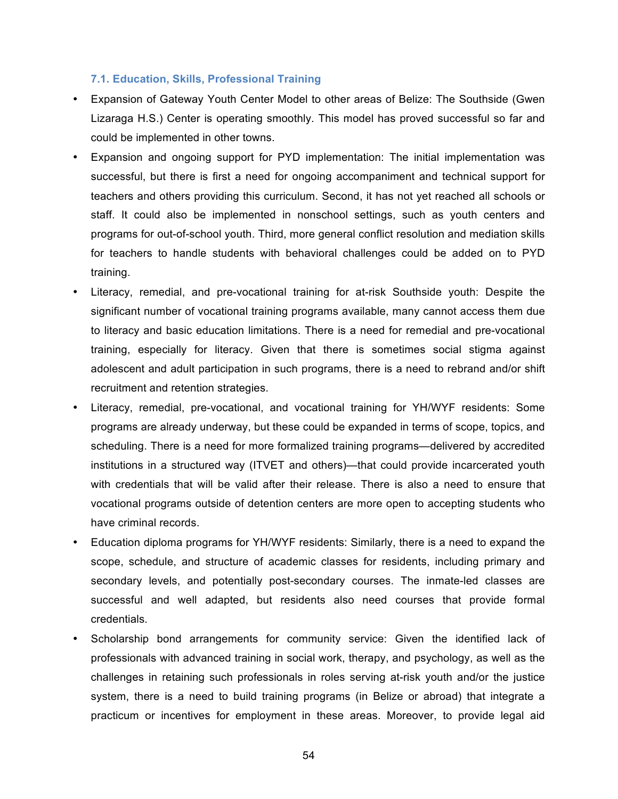#### **7.1. Education, Skills, Professional Training**

- Expansion of Gateway Youth Center Model to other areas of Belize: The Southside (Gwen Lizaraga H.S.) Center is operating smoothly. This model has proved successful so far and could be implemented in other towns.
- Expansion and ongoing support for PYD implementation: The initial implementation was successful, but there is first a need for ongoing accompaniment and technical support for teachers and others providing this curriculum. Second, it has not yet reached all schools or staff. It could also be implemented in nonschool settings, such as youth centers and programs for out-of-school youth. Third, more general conflict resolution and mediation skills for teachers to handle students with behavioral challenges could be added on to PYD training.
- Literacy, remedial, and pre-vocational training for at-risk Southside youth: Despite the significant number of vocational training programs available, many cannot access them due to literacy and basic education limitations. There is a need for remedial and pre-vocational training, especially for literacy. Given that there is sometimes social stigma against adolescent and adult participation in such programs, there is a need to rebrand and/or shift recruitment and retention strategies.
- Literacy, remedial, pre-vocational, and vocational training for YH/WYF residents: Some programs are already underway, but these could be expanded in terms of scope, topics, and scheduling. There is a need for more formalized training programs—delivered by accredited institutions in a structured way (ITVET and others)—that could provide incarcerated youth with credentials that will be valid after their release. There is also a need to ensure that vocational programs outside of detention centers are more open to accepting students who have criminal records.
- Education diploma programs for YH/WYF residents: Similarly, there is a need to expand the scope, schedule, and structure of academic classes for residents, including primary and secondary levels, and potentially post-secondary courses. The inmate-led classes are successful and well adapted, but residents also need courses that provide formal credentials.
- Scholarship bond arrangements for community service: Given the identified lack of professionals with advanced training in social work, therapy, and psychology, as well as the challenges in retaining such professionals in roles serving at-risk youth and/or the justice system, there is a need to build training programs (in Belize or abroad) that integrate a practicum or incentives for employment in these areas. Moreover, to provide legal aid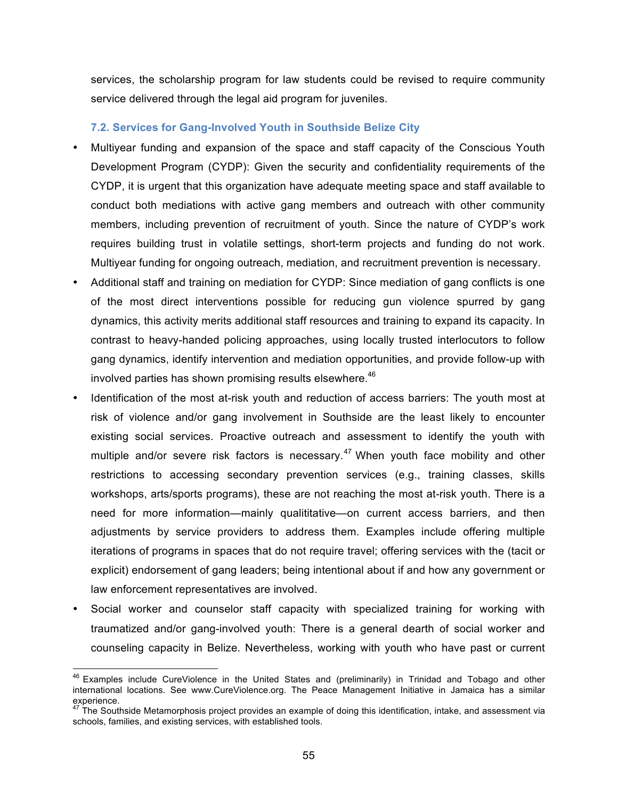services, the scholarship program for law students could be revised to require community service delivered through the legal aid program for juveniles.

## **7.2. Services for Gang-Involved Youth in Southside Belize City**

- Multiyear funding and expansion of the space and staff capacity of the Conscious Youth Development Program (CYDP): Given the security and confidentiality requirements of the CYDP, it is urgent that this organization have adequate meeting space and staff available to conduct both mediations with active gang members and outreach with other community members, including prevention of recruitment of youth. Since the nature of CYDP's work requires building trust in volatile settings, short-term projects and funding do not work. Multiyear funding for ongoing outreach, mediation, and recruitment prevention is necessary.
- Additional staff and training on mediation for CYDP: Since mediation of gang conflicts is one of the most direct interventions possible for reducing gun violence spurred by gang dynamics, this activity merits additional staff resources and training to expand its capacity. In contrast to heavy-handed policing approaches, using locally trusted interlocutors to follow gang dynamics, identify intervention and mediation opportunities, and provide follow-up with involved parties has shown promising results elsewhere.<sup>46</sup>
- Identification of the most at-risk youth and reduction of access barriers: The youth most at risk of violence and/or gang involvement in Southside are the least likely to encounter existing social services. Proactive outreach and assessment to identify the youth with multiple and/or severe risk factors is necessary. $47$  When youth face mobility and other restrictions to accessing secondary prevention services (e.g., training classes, skills workshops, arts/sports programs), these are not reaching the most at-risk youth. There is a need for more information—mainly qualititative—on current access barriers, and then adjustments by service providers to address them. Examples include offering multiple iterations of programs in spaces that do not require travel; offering services with the (tacit or explicit) endorsement of gang leaders; being intentional about if and how any government or law enforcement representatives are involved.
- Social worker and counselor staff capacity with specialized training for working with traumatized and/or gang-involved youth: There is a general dearth of social worker and counseling capacity in Belize. Nevertheless, working with youth who have past or current

<sup>&</sup>lt;sup>46</sup> Examples include CureViolence in the United States and (preliminarily) in Trinidad and Tobago and other international locations. See www.CureViolence.org. The Peace Management Initiative in Jamaica has a similar experience.

 $47$  The Southside Metamorphosis project provides an example of doing this identification, intake, and assessment via schools, families, and existing services, with established tools.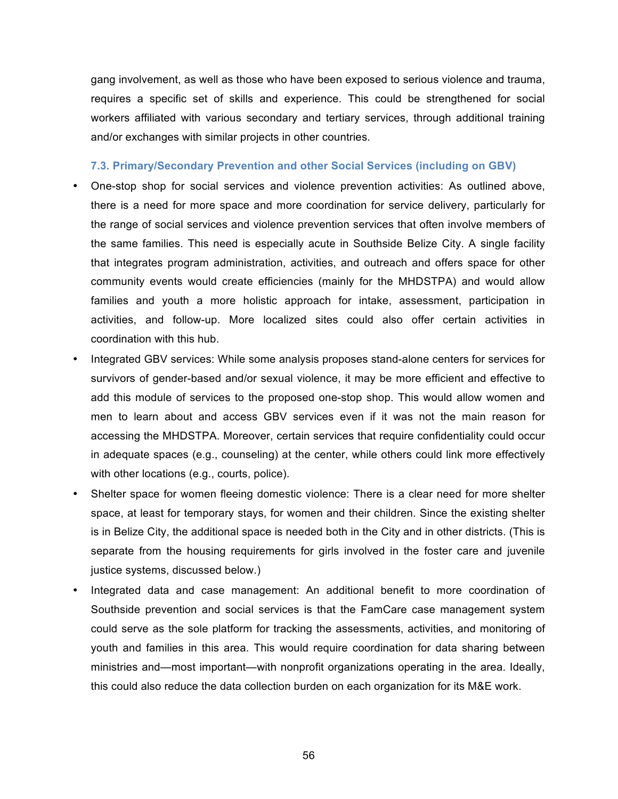gang involvement, as well as those who have been exposed to serious violence and trauma, requires a specific set of skills and experience. This could be strengthened for social workers affiliated with various secondary and tertiary services, through additional training and/or exchanges with similar projects in other countries.

#### **7.3. Primary/Secondary Prevention and other Social Services (including on GBV)**

- One-stop shop for social services and violence prevention activities: As outlined above, there is a need for more space and more coordination for service delivery, particularly for the range of social services and violence prevention services that often involve members of the same families. This need is especially acute in Southside Belize City. A single facility that integrates program administration, activities, and outreach and offers space for other community events would create efficiencies (mainly for the MHDSTPA) and would allow families and youth a more holistic approach for intake, assessment, participation in activities, and follow-up. More localized sites could also offer certain activities in coordination with this hub.
- Integrated GBV services: While some analysis proposes stand-alone centers for services for survivors of gender-based and/or sexual violence, it may be more efficient and effective to add this module of services to the proposed one-stop shop. This would allow women and men to learn about and access GBV services even if it was not the main reason for accessing the MHDSTPA. Moreover, certain services that require confidentiality could occur in adequate spaces (e.g., counseling) at the center, while others could link more effectively with other locations (e.g., courts, police).
- Shelter space for women fleeing domestic violence: There is a clear need for more shelter space, at least for temporary stays, for women and their children. Since the existing shelter is in Belize City, the additional space is needed both in the City and in other districts. (This is separate from the housing requirements for girls involved in the foster care and juvenile justice systems, discussed below.)
- Integrated data and case management: An additional benefit to more coordination of Southside prevention and social services is that the FamCare case management system could serve as the sole platform for tracking the assessments, activities, and monitoring of youth and families in this area. This would require coordination for data sharing between ministries and—most important—with nonprofit organizations operating in the area. Ideally, this could also reduce the data collection burden on each organization for its M&E work.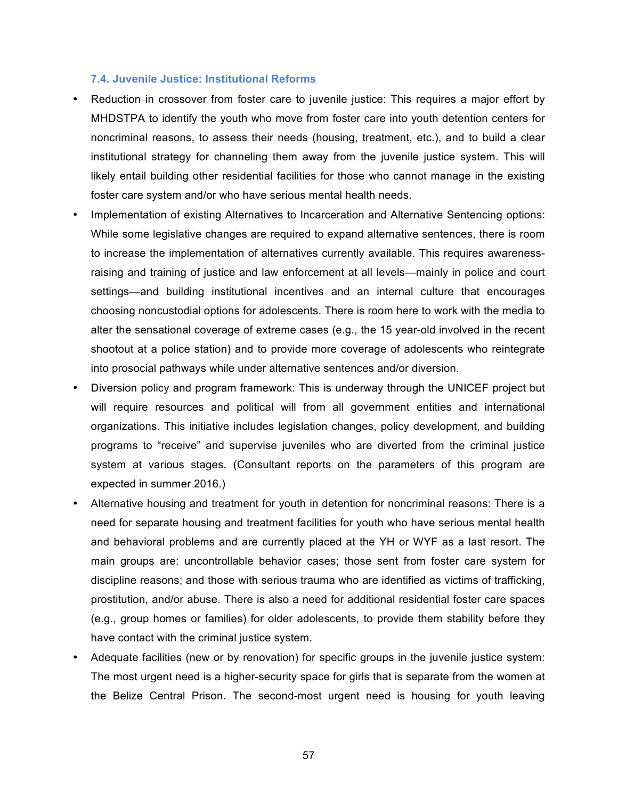#### **7.4. Juvenile Justice: Institutional Reforms**

- Reduction in crossover from foster care to juvenile justice: This requires a major effort by MHDSTPA to identify the youth who move from foster care into youth detention centers for noncriminal reasons, to assess their needs (housing, treatment, etc.), and to build a clear institutional strategy for channeling them away from the juvenile justice system. This will likely entail building other residential facilities for those who cannot manage in the existing foster care system and/or who have serious mental health needs.
- Implementation of existing Alternatives to Incarceration and Alternative Sentencing options: While some legislative changes are required to expand alternative sentences, there is room to increase the implementation of alternatives currently available. This requires awarenessraising and training of justice and law enforcement at all levels—mainly in police and court settings—and building institutional incentives and an internal culture that encourages choosing noncustodial options for adolescents. There is room here to work with the media to alter the sensational coverage of extreme cases (e.g., the 15 year-old involved in the recent shootout at a police station) and to provide more coverage of adolescents who reintegrate into prosocial pathways while under alternative sentences and/or diversion.
- Diversion policy and program framework: This is underway through the UNICEF project but will require resources and political will from all government entities and international organizations. This initiative includes legislation changes, policy development, and building programs to "receive" and supervise juveniles who are diverted from the criminal justice system at various stages. (Consultant reports on the parameters of this program are expected in summer 2016.)
- Alternative housing and treatment for youth in detention for noncriminal reasons: There is a need for separate housing and treatment facilities for youth who have serious mental health and behavioral problems and are currently placed at the YH or WYF as a last resort. The main groups are: uncontrollable behavior cases; those sent from foster care system for discipline reasons; and those with serious trauma who are identified as victims of trafficking, prostitution, and/or abuse. There is also a need for additional residential foster care spaces (e.g., group homes or families) for older adolescents, to provide them stability before they have contact with the criminal justice system.
- Adequate facilities (new or by renovation) for specific groups in the juvenile justice system: The most urgent need is a higher-security space for girls that is separate from the women at the Belize Central Prison. The second-most urgent need is housing for youth leaving

57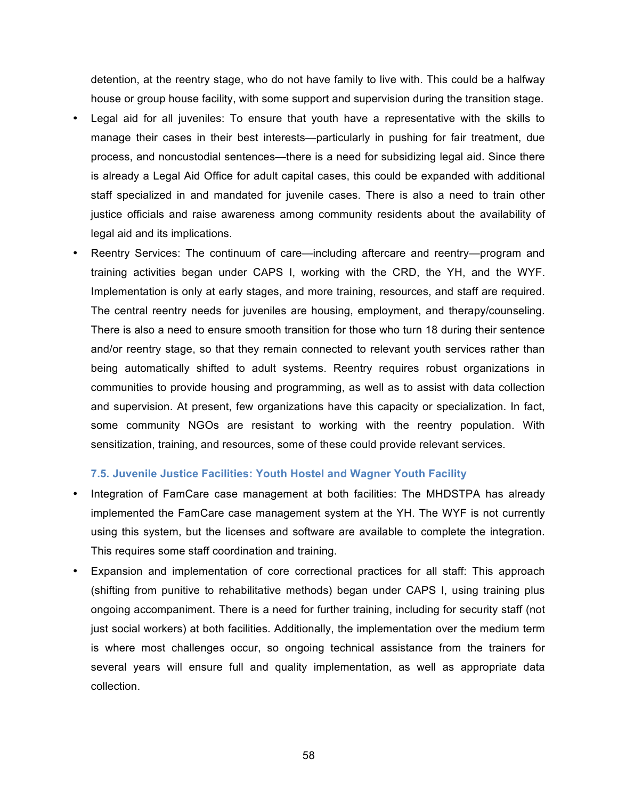detention, at the reentry stage, who do not have family to live with. This could be a halfway house or group house facility, with some support and supervision during the transition stage.

- Legal aid for all juveniles: To ensure that youth have a representative with the skills to manage their cases in their best interests—particularly in pushing for fair treatment, due process, and noncustodial sentences—there is a need for subsidizing legal aid. Since there is already a Legal Aid Office for adult capital cases, this could be expanded with additional staff specialized in and mandated for juvenile cases. There is also a need to train other justice officials and raise awareness among community residents about the availability of legal aid and its implications.
- Reentry Services: The continuum of care—including aftercare and reentry—program and training activities began under CAPS I, working with the CRD, the YH, and the WYF. Implementation is only at early stages, and more training, resources, and staff are required. The central reentry needs for juveniles are housing, employment, and therapy/counseling. There is also a need to ensure smooth transition for those who turn 18 during their sentence and/or reentry stage, so that they remain connected to relevant youth services rather than being automatically shifted to adult systems. Reentry requires robust organizations in communities to provide housing and programming, as well as to assist with data collection and supervision. At present, few organizations have this capacity or specialization. In fact, some community NGOs are resistant to working with the reentry population. With sensitization, training, and resources, some of these could provide relevant services.

#### **7.5. Juvenile Justice Facilities: Youth Hostel and Wagner Youth Facility**

- Integration of FamCare case management at both facilities: The MHDSTPA has already implemented the FamCare case management system at the YH. The WYF is not currently using this system, but the licenses and software are available to complete the integration. This requires some staff coordination and training.
- Expansion and implementation of core correctional practices for all staff: This approach (shifting from punitive to rehabilitative methods) began under CAPS I, using training plus ongoing accompaniment. There is a need for further training, including for security staff (not just social workers) at both facilities. Additionally, the implementation over the medium term is where most challenges occur, so ongoing technical assistance from the trainers for several years will ensure full and quality implementation, as well as appropriate data collection.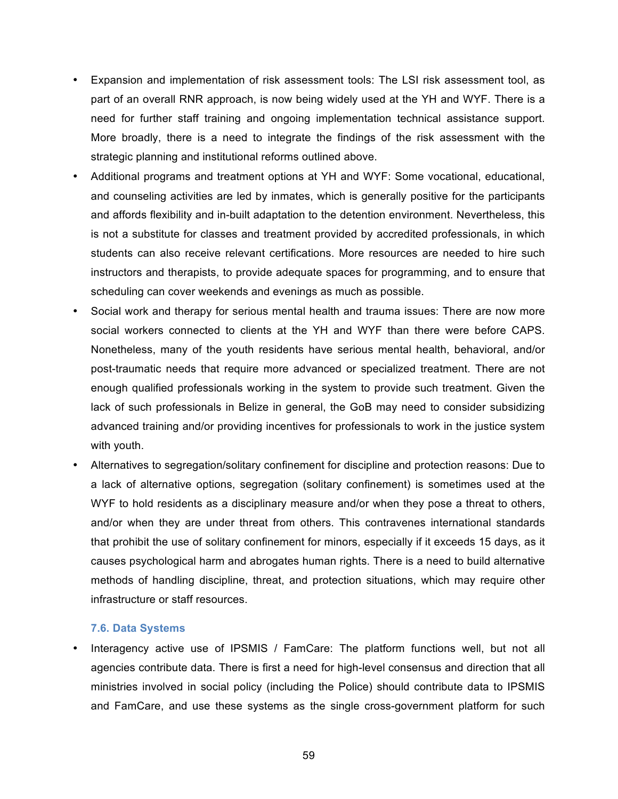- Expansion and implementation of risk assessment tools: The LSI risk assessment tool, as part of an overall RNR approach, is now being widely used at the YH and WYF. There is a need for further staff training and ongoing implementation technical assistance support. More broadly, there is a need to integrate the findings of the risk assessment with the strategic planning and institutional reforms outlined above.
- Additional programs and treatment options at YH and WYF: Some vocational, educational, and counseling activities are led by inmates, which is generally positive for the participants and affords flexibility and in-built adaptation to the detention environment. Nevertheless, this is not a substitute for classes and treatment provided by accredited professionals, in which students can also receive relevant certifications. More resources are needed to hire such instructors and therapists, to provide adequate spaces for programming, and to ensure that scheduling can cover weekends and evenings as much as possible.
- Social work and therapy for serious mental health and trauma issues: There are now more social workers connected to clients at the YH and WYF than there were before CAPS. Nonetheless, many of the youth residents have serious mental health, behavioral, and/or post-traumatic needs that require more advanced or specialized treatment. There are not enough qualified professionals working in the system to provide such treatment. Given the lack of such professionals in Belize in general, the GoB may need to consider subsidizing advanced training and/or providing incentives for professionals to work in the justice system with youth.
- Alternatives to segregation/solitary confinement for discipline and protection reasons: Due to a lack of alternative options, segregation (solitary confinement) is sometimes used at the WYF to hold residents as a disciplinary measure and/or when they pose a threat to others, and/or when they are under threat from others. This contravenes international standards that prohibit the use of solitary confinement for minors, especially if it exceeds 15 days, as it causes psychological harm and abrogates human rights. There is a need to build alternative methods of handling discipline, threat, and protection situations, which may require other infrastructure or staff resources.

#### **7.6. Data Systems**

Interagency active use of IPSMIS / FamCare: The platform functions well, but not all agencies contribute data. There is first a need for high-level consensus and direction that all ministries involved in social policy (including the Police) should contribute data to IPSMIS and FamCare, and use these systems as the single cross-government platform for such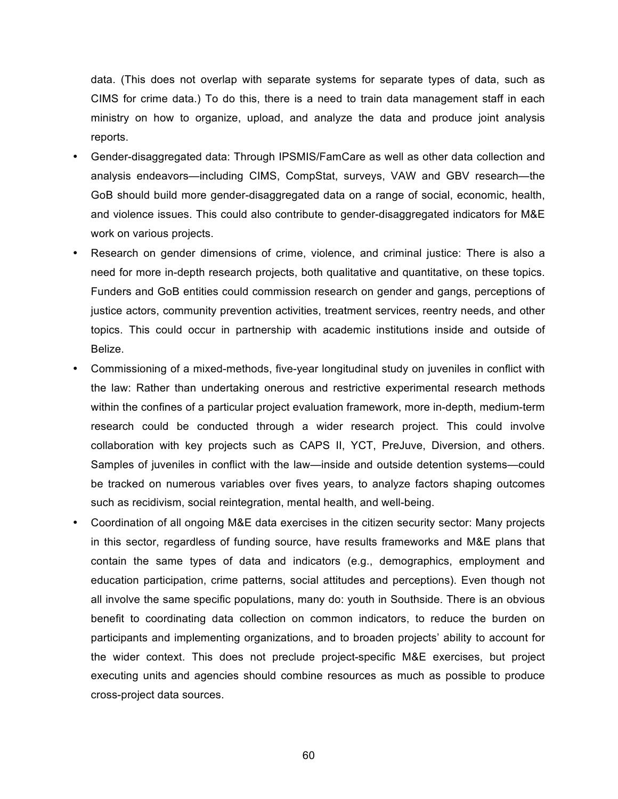data. (This does not overlap with separate systems for separate types of data, such as CIMS for crime data.) To do this, there is a need to train data management staff in each ministry on how to organize, upload, and analyze the data and produce joint analysis reports.

- Gender-disaggregated data: Through IPSMIS/FamCare as well as other data collection and analysis endeavors—including CIMS, CompStat, surveys, VAW and GBV research—the GoB should build more gender-disaggregated data on a range of social, economic, health, and violence issues. This could also contribute to gender-disaggregated indicators for M&E work on various projects.
- Research on gender dimensions of crime, violence, and criminal justice: There is also a need for more in-depth research projects, both qualitative and quantitative, on these topics. Funders and GoB entities could commission research on gender and gangs, perceptions of justice actors, community prevention activities, treatment services, reentry needs, and other topics. This could occur in partnership with academic institutions inside and outside of Belize.
- Commissioning of a mixed-methods, five-year longitudinal study on juveniles in conflict with the law: Rather than undertaking onerous and restrictive experimental research methods within the confines of a particular project evaluation framework, more in-depth, medium-term research could be conducted through a wider research project. This could involve collaboration with key projects such as CAPS II, YCT, PreJuve, Diversion, and others. Samples of juveniles in conflict with the law—inside and outside detention systems—could be tracked on numerous variables over fives years, to analyze factors shaping outcomes such as recidivism, social reintegration, mental health, and well-being.
- Coordination of all ongoing M&E data exercises in the citizen security sector: Many projects in this sector, regardless of funding source, have results frameworks and M&E plans that contain the same types of data and indicators (e.g., demographics, employment and education participation, crime patterns, social attitudes and perceptions). Even though not all involve the same specific populations, many do: youth in Southside. There is an obvious benefit to coordinating data collection on common indicators, to reduce the burden on participants and implementing organizations, and to broaden projects' ability to account for the wider context. This does not preclude project-specific M&E exercises, but project executing units and agencies should combine resources as much as possible to produce cross-project data sources.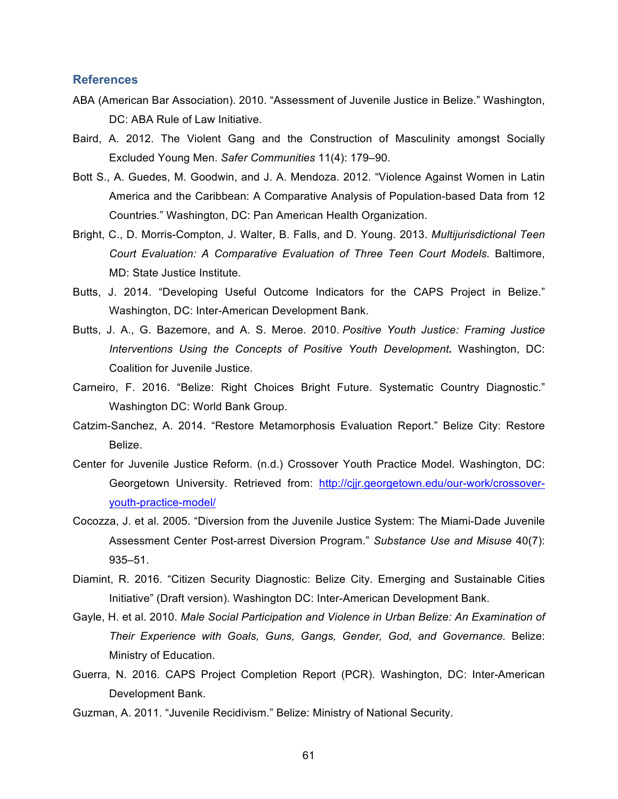#### **References**

- ABA (American Bar Association). 2010. "Assessment of Juvenile Justice in Belize." Washington, DC: ABA Rule of Law Initiative.
- Baird, A. 2012. The Violent Gang and the Construction of Masculinity amongst Socially Excluded Young Men. *Safer Communities* 11(4): 179–90.
- Bott S., A. Guedes, M. Goodwin, and J. A. Mendoza. 2012. "Violence Against Women in Latin America and the Caribbean: A Comparative Analysis of Population-based Data from 12 Countries." Washington, DC: Pan American Health Organization.
- Bright, C., D. Morris-Compton, J. Walter, B. Falls, and D. Young. 2013. *Multijurisdictional Teen Court Evaluation: A Comparative Evaluation of Three Teen Court Models.* Baltimore, MD: State Justice Institute.
- Butts, J. 2014. "Developing Useful Outcome Indicators for the CAPS Project in Belize." Washington, DC: Inter-American Development Bank.
- Butts, J. A., G. Bazemore, and A. S. Meroe. 2010. *Positive Youth Justice: Framing Justice Interventions Using the Concepts of Positive Youth Development***.** Washington, DC: Coalition for Juvenile Justice.
- Carneiro, F. 2016. "Belize: Right Choices Bright Future. Systematic Country Diagnostic." Washington DC: World Bank Group.
- Catzim-Sanchez, A. 2014. "Restore Metamorphosis Evaluation Report." Belize City: Restore Belize.
- Center for Juvenile Justice Reform. (n.d.) Crossover Youth Practice Model. Washington, DC: Georgetown University. Retrieved from: http://cjjr.georgetown.edu/our-work/crossoveryouth-practice-model/
- Cocozza, J. et al. 2005. "Diversion from the Juvenile Justice System: The Miami-Dade Juvenile Assessment Center Post-arrest Diversion Program." *Substance Use and Misuse* 40(7): 935–51.
- Diamint, R. 2016. "Citizen Security Diagnostic: Belize City. Emerging and Sustainable Cities Initiative" (Draft version). Washington DC: Inter-American Development Bank.
- Gayle, H. et al. 2010. *Male Social Participation and Violence in Urban Belize: An Examination of Their Experience with Goals, Guns, Gangs, Gender, God, and Governance.* Belize: Ministry of Education.
- Guerra, N. 2016. CAPS Project Completion Report (PCR). Washington, DC: Inter-American Development Bank.
- Guzman, A. 2011. "Juvenile Recidivism." Belize: Ministry of National Security.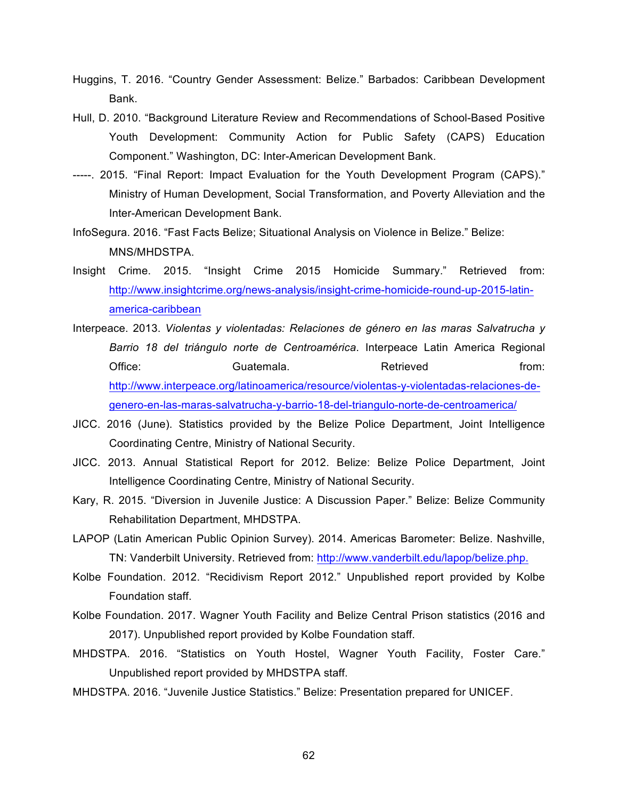- Huggins, T. 2016. "Country Gender Assessment: Belize." Barbados: Caribbean Development Bank.
- Hull, D. 2010. "Background Literature Review and Recommendations of School-Based Positive Youth Development: Community Action for Public Safety (CAPS) Education Component." Washington, DC: Inter-American Development Bank.
- -----. 2015. "Final Report: Impact Evaluation for the Youth Development Program (CAPS)." Ministry of Human Development, Social Transformation, and Poverty Alleviation and the Inter-American Development Bank.
- InfoSegura. 2016. "Fast Facts Belize; Situational Analysis on Violence in Belize." Belize: MNS/MHDSTPA.
- Insight Crime. 2015. "Insight Crime 2015 Homicide Summary." Retrieved from: http://www.insightcrime.org/news-analysis/insight-crime-homicide-round-up-2015-latinamerica-caribbean
- Interpeace. 2013. *Violentas y violentadas: Relaciones de género en las maras Salvatrucha y Barrio 18 del triángulo norte de Centroamérica*. Interpeace Latin America Regional Office: Guatemala. Business Retrieved From: http://www.interpeace.org/latinoamerica/resource/violentas-y-violentadas-relaciones-degenero-en-las-maras-salvatrucha-y-barrio-18-del-triangulo-norte-de-centroamerica/
- JICC. 2016 (June). Statistics provided by the Belize Police Department, Joint Intelligence Coordinating Centre, Ministry of National Security.
- JICC. 2013. Annual Statistical Report for 2012. Belize: Belize Police Department, Joint Intelligence Coordinating Centre, Ministry of National Security.
- Kary, R. 2015. "Diversion in Juvenile Justice: A Discussion Paper." Belize: Belize Community Rehabilitation Department, MHDSTPA.
- LAPOP (Latin American Public Opinion Survey). 2014. Americas Barometer: Belize. Nashville, TN: Vanderbilt University. Retrieved from: http://www.vanderbilt.edu/lapop/belize.php.
- Kolbe Foundation. 2012. "Recidivism Report 2012." Unpublished report provided by Kolbe Foundation staff.
- Kolbe Foundation. 2017. Wagner Youth Facility and Belize Central Prison statistics (2016 and 2017). Unpublished report provided by Kolbe Foundation staff.
- MHDSTPA. 2016. "Statistics on Youth Hostel, Wagner Youth Facility, Foster Care." Unpublished report provided by MHDSTPA staff.
- MHDSTPA. 2016. "Juvenile Justice Statistics." Belize: Presentation prepared for UNICEF.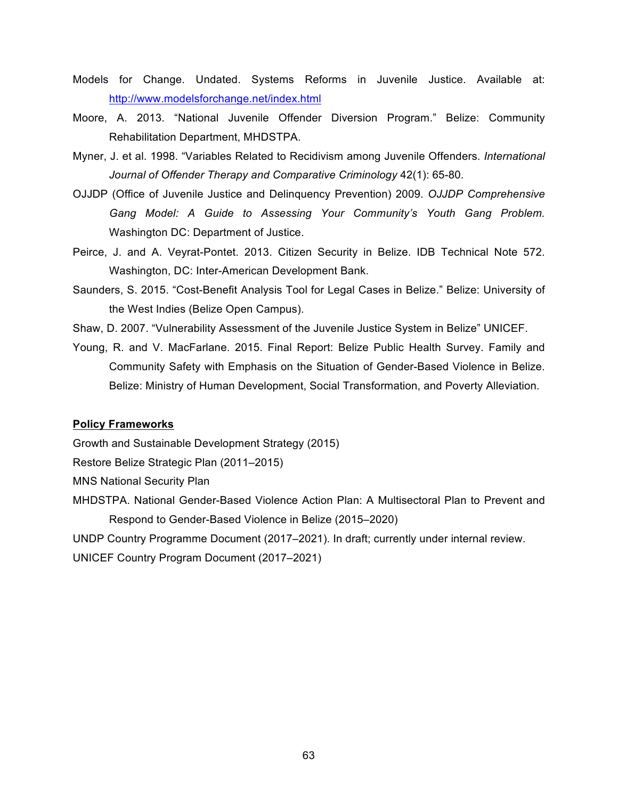- Models for Change. Undated. Systems Reforms in Juvenile Justice. Available at: http://www.modelsforchange.net/index.html
- Moore, A. 2013. "National Juvenile Offender Diversion Program." Belize: Community Rehabilitation Department, MHDSTPA.
- Myner, J. et al. 1998. "Variables Related to Recidivism among Juvenile Offenders. *International Journal of Offender Therapy and Comparative Criminology* 42(1): 65-80.
- OJJDP (Office of Juvenile Justice and Delinquency Prevention) 2009. *OJJDP Comprehensive Gang Model: A Guide to Assessing Your Community's Youth Gang Problem.* Washington DC: Department of Justice.
- Peirce, J. and A. Veyrat-Pontet. 2013. Citizen Security in Belize. IDB Technical Note 572. Washington, DC: Inter-American Development Bank.
- Saunders, S. 2015. "Cost-Benefit Analysis Tool for Legal Cases in Belize." Belize: University of the West Indies (Belize Open Campus).
- Shaw, D. 2007. "Vulnerability Assessment of the Juvenile Justice System in Belize" UNICEF.
- Young, R. and V. MacFarlane. 2015. Final Report: Belize Public Health Survey. Family and Community Safety with Emphasis on the Situation of Gender-Based Violence in Belize. Belize: Ministry of Human Development, Social Transformation, and Poverty Alleviation.

#### **Policy Frameworks**

Growth and Sustainable Development Strategy (2015)

Restore Belize Strategic Plan (2011–2015)

MNS National Security Plan

MHDSTPA. National Gender-Based Violence Action Plan: A Multisectoral Plan to Prevent and Respond to Gender-Based Violence in Belize (2015–2020)

UNDP Country Programme Document (2017–2021). In draft; currently under internal review. UNICEF Country Program Document (2017–2021)